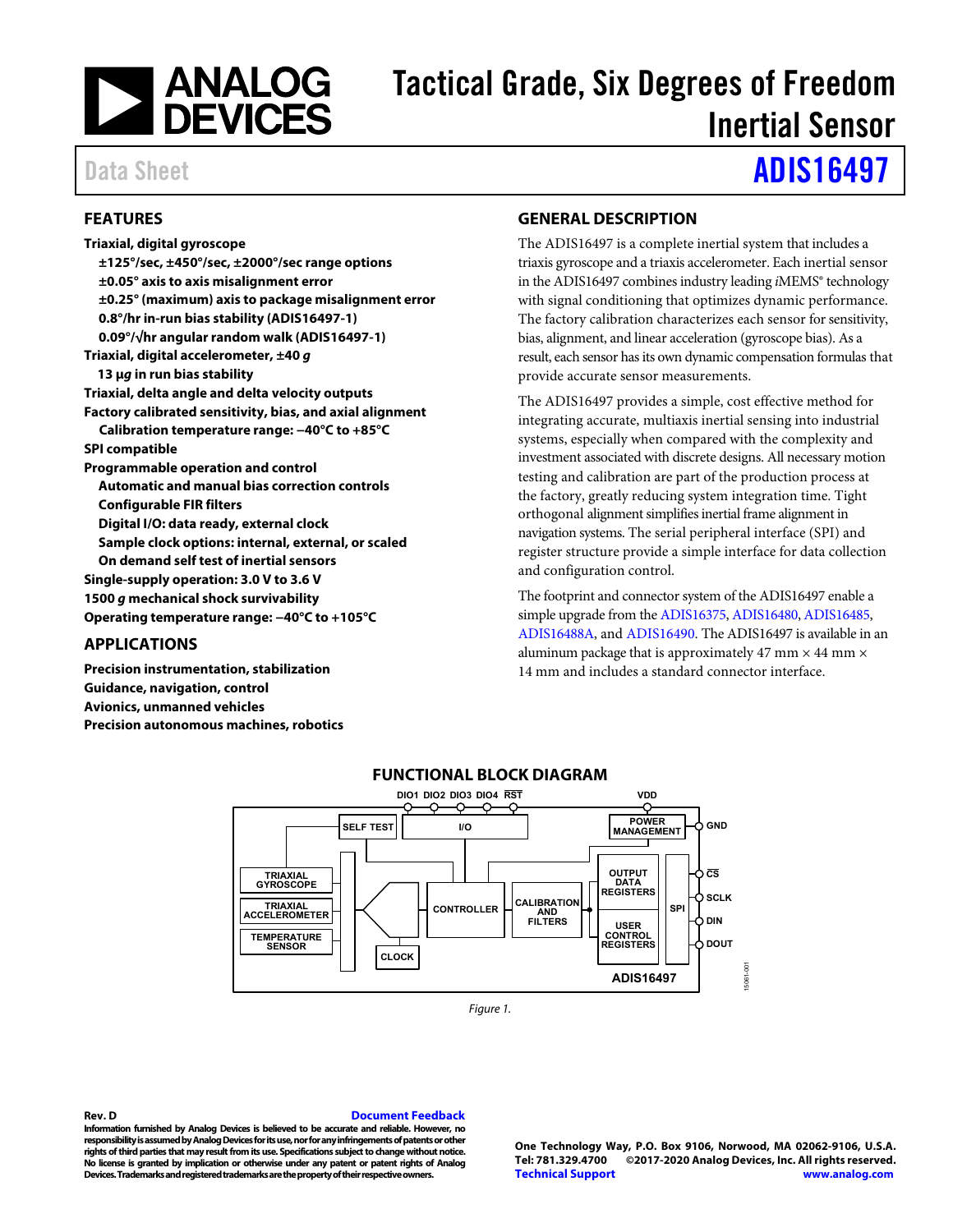

# Tactical Grade, Six Degrees of Freedom Inertial Sensor

# Data Sheet **[ADIS16497](https://www.analog.com/ADIS16497?doc=ADIS16497.pdf)**

## <span id="page-0-0"></span>**FEATURES**

**Triaxial, digital gyroscope ±125°/sec, ±450°/sec, ±2000°/sec range options ±0.05° axis to axis misalignment error ±0.25° (maximum) axis to package misalignment error 0.8°/hr in-run bias stability (ADIS16497-1) 0.09°/√hr angular random walk (ADIS16497-1) Triaxial, digital accelerometer, ±40 g 13 μg in run bias stability Triaxial, delta angle and delta velocity outputs Factory calibrated sensitivity, bias, and axial alignment Calibration temperature range: −40°C to +85°C SPI compatible Programmable operation and control Automatic and manual bias correction controls Configurable FIR filters Digital I/O: data ready, external clock Sample clock options: internal, external, or scaled On demand self test of inertial sensors Single-supply operation: 3.0 V to 3.6 V 1500 g mechanical shock survivability Operating temperature range: −40°C to +105°C** 

## <span id="page-0-1"></span>**APPLICATIONS**

<span id="page-0-3"></span>**Precision instrumentation, stabilization Guidance, navigation, control Avionics, unmanned vehicles Precision autonomous machines, robotics** 

## <span id="page-0-2"></span>**GENERAL DESCRIPTION**

The ADIS16497 is a complete inertial system that includes a triaxis gyroscope and a triaxis accelerometer. Each inertial sensor in the ADIS16497 combines industry leading *i*MEMS® technology with signal conditioning that optimizes dynamic performance. The factory calibration characterizes each sensor for sensitivity, bias, alignment, and linear acceleration (gyroscope bias). As a result, each sensor has its own dynamic compensation formulas that provide accurate sensor measurements.

The ADIS16497 provides a simple, cost effective method for integrating accurate, multiaxis inertial sensing into industrial systems, especially when compared with the complexity and investment associated with discrete designs. All necessary motion testing and calibration are part of the production process at the factory, greatly reducing system integration time. Tight orthogonal alignment simplifies inertial frame alignment in navigation systems. The serial peripheral interface (SPI) and register structure provide a simple interface for data collection and configuration control.

The footprint and connector system of the ADIS16497 enable a simple upgrade from th[e ADIS16375,](http://www.analog.com/ADIS16375?doc=ADIS16497.pdf) [ADIS16480,](http://www.analog.com/ADIS16480?doc=ADIS16497.pdf) [ADIS16485,](http://www.analog.com/ADIS16485?doc=ADIS16497.pdf)  [ADIS16488A,](http://www.analog.com/ADIS16488A?doc=ADIS16497.pdf) an[d ADIS16490.](http://www.analog.com/ADIS16490?doc=ADIS16497.pdf) The ADIS16497 is available in an aluminum package that is approximately 47 mm  $\times$  44 mm  $\times$ 14 mm and includes a standard connector interface.



## **FUNCTIONAL BLOCK DIAGRAM**

Figure 1.

**Rev. D [Document Feedback](https://form.analog.com/Form_Pages/feedback/documentfeedback.aspx?doc=ADIS16497.pdf&product=ADIS16497&rev=D) Information furnished by Analog Devices is believed to be accurate and reliable. However, no responsibility is assumed by Analog Devices for its use, nor for any infringements of patents or other rights of third parties that may result from its use. Specifications subject to change without notice. No license is granted by implication or otherwise under any patent or patent rights of Analog Devices. Trademarks and registered trademarks are the property of their respective owners.**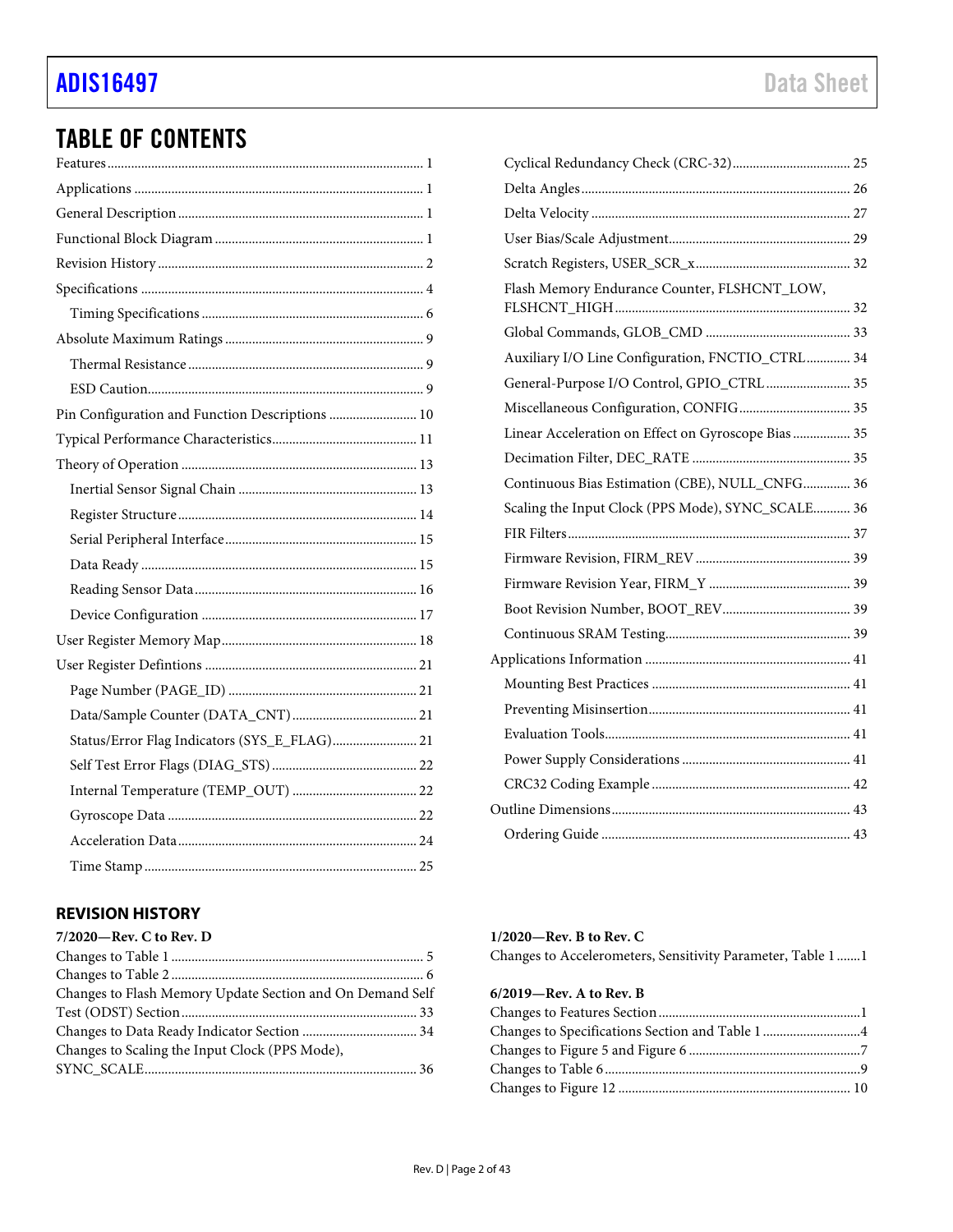## TABLE OF CONTENTS

| Pin Configuration and Function Descriptions  10 |  |
|-------------------------------------------------|--|
|                                                 |  |
|                                                 |  |
|                                                 |  |
|                                                 |  |
|                                                 |  |
|                                                 |  |
|                                                 |  |
|                                                 |  |
|                                                 |  |
|                                                 |  |
|                                                 |  |
|                                                 |  |
| Status/Error Flag Indicators (SYS_E_FLAG) 21    |  |
|                                                 |  |
|                                                 |  |
|                                                 |  |
|                                                 |  |
|                                                 |  |

## [Cyclical Redundancy Check \(CRC-32\) ................................... 25](#page-24-1) [Delta Angles ................................................................................ 26](#page-25-0) [Delta Velocity ............................................................................. 27](#page-26-0) [User Bias/Scale Adjustment ...................................................... 29](#page-28-0) [Scratch Registers, USER\\_SCR\\_x .............................................. 32](#page-31-0) [Flash Memory Endurance Counter, FLSHCNT\\_LOW,](#page-31-1)  [FLSHCNT\\_HIGH ...................................................................... 32](#page-31-1) [Global Commands, GLOB\\_CMD ........................................... 33](#page-32-0) [Auxiliary I/O Line Configuration, FNCTIO\\_CTRL ............. 34](#page-33-0) [General-Purpose I/O Control, GPIO\\_CTRL ......................... 35](#page-34-0) [Miscellaneous Configuration, CONFIG ................................. 35](#page-34-1) [Linear Acceleration on Effect on Gyroscope Bias ................. 35](#page-34-2) [Decimation Filter, DEC\\_RATE ............................................... 35](#page-34-3) [Continuous Bias Estimation \(CBE\), NULL\\_CNFG .............. 36](#page-35-0) [Scaling the Input Clock \(PPS Mode\), SYNC\\_SCALE........... 36](#page-35-1) [FIR Filters .................................................................................... 37](#page-36-0) [Firmware Revision, FIRM\\_REV .............................................. 39](#page-38-0) [Firmware Revision Year, FIRM\\_Y .......................................... 39](#page-38-1) [Boot Revision Number, BOOT\\_REV ...................................... 39](#page-38-2) [Continuous SRAM Testing ....................................................... 39](#page-38-3) [Applications Information ............................................................. 41](#page-40-0) [Mounting Best Practices ........................................................... 41](#page-40-1) [Preventing Misinsertion ............................................................ 41](#page-40-2) [Evaluation Tools ......................................................................... 41](#page-40-3) [Power Supply Considerations .................................................. 41](#page-40-4) [CRC32 Coding Example ........................................................... 42](#page-41-0) [Outline Dimensions ....................................................................... 43](#page-42-0) [Ordering Guide .......................................................................... 43](#page-42-1)

## <span id="page-1-0"></span>**REVISION HISTORY**

| 7/2020-Rev. C to Rev. D                                   |  |
|-----------------------------------------------------------|--|
|                                                           |  |
|                                                           |  |
| Changes to Flash Memory Update Section and On Demand Self |  |
|                                                           |  |
|                                                           |  |
| Changes to Scaling the Input Clock (PPS Mode),            |  |
|                                                           |  |
|                                                           |  |

#### **1/2020—Rev. B to Rev. C**

Changes to Accelerometers, Sensitivity Parameter, Table 1 ....... 1

| 6/2019-Rev. A to Rev. B                        |  |
|------------------------------------------------|--|
|                                                |  |
| Changes to Specifications Section and Table 14 |  |
|                                                |  |
|                                                |  |
|                                                |  |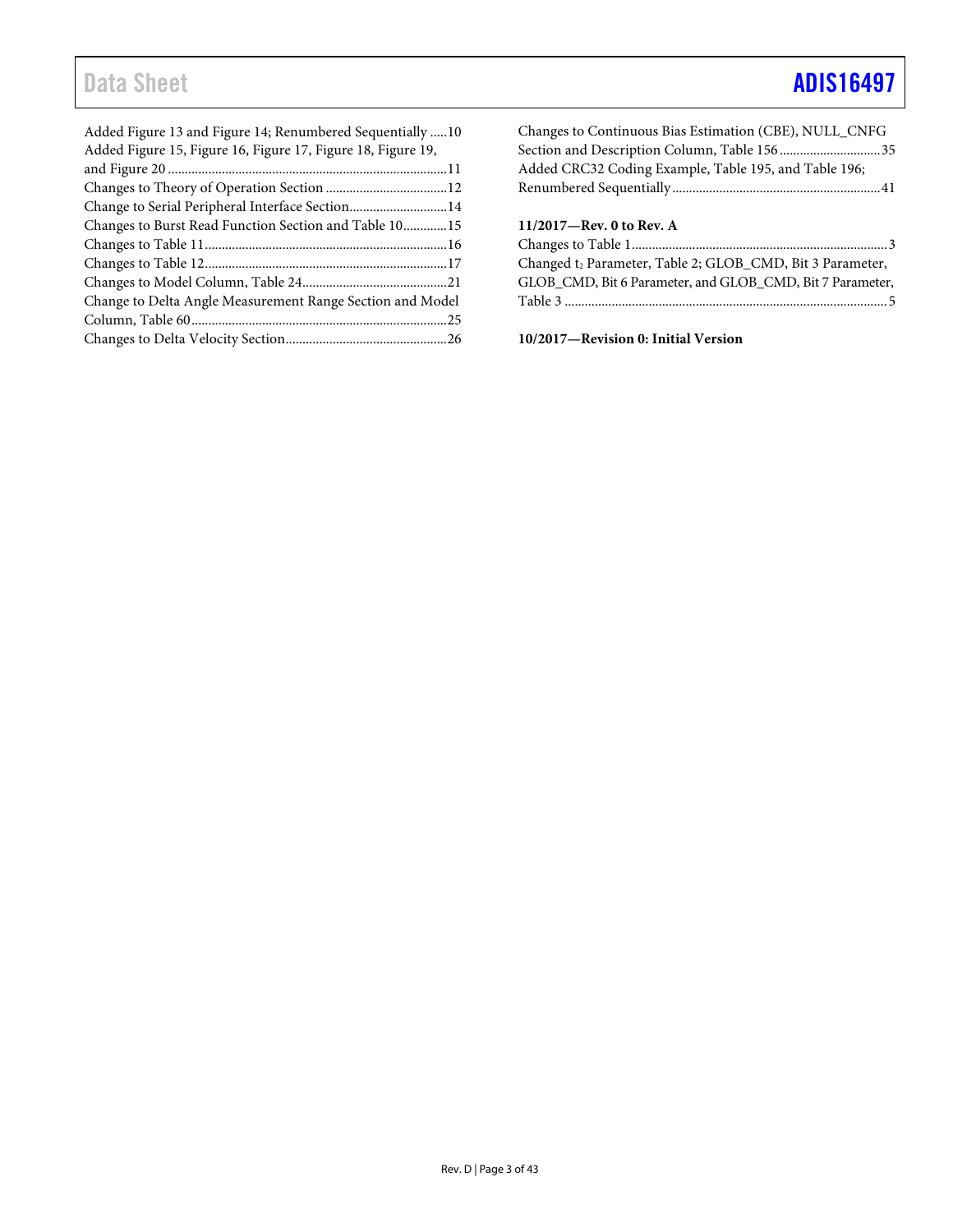## Data Sheet **[ADIS16497](https://www.analog.com/ADIS16497?doc=ADIS16497.pdf)**

| Added Figure 13 and Figure 14; Renumbered Sequentially 10<br>Added Figure 15, Figure 16, Figure 17, Figure 18, Figure 19, |  |
|---------------------------------------------------------------------------------------------------------------------------|--|
|                                                                                                                           |  |
|                                                                                                                           |  |
| Change to Serial Peripheral Interface Section14                                                                           |  |
| Changes to Burst Read Function Section and Table 1015                                                                     |  |
|                                                                                                                           |  |
|                                                                                                                           |  |
|                                                                                                                           |  |
| Change to Delta Angle Measurement Range Section and Model                                                                 |  |
|                                                                                                                           |  |
|                                                                                                                           |  |
|                                                                                                                           |  |

| Changes to Continuous Bias Estimation (CBE), NULL_CNFG    |
|-----------------------------------------------------------|
| Section and Description Column, Table 15635               |
| Added CRC32 Coding Example, Table 195, and Table 196;     |
|                                                           |
|                                                           |
| $11/2017$ —Rev. 0 to Rev. A                               |
|                                                           |
|                                                           |
| Changed t2 Parameter, Table 2; GLOB_CMD, Bit 3 Parameter, |
| GLOB CMD, Bit 6 Parameter, and GLOB CMD, Bit 7 Parameter, |

**10/2017—Revision 0: Initial Version**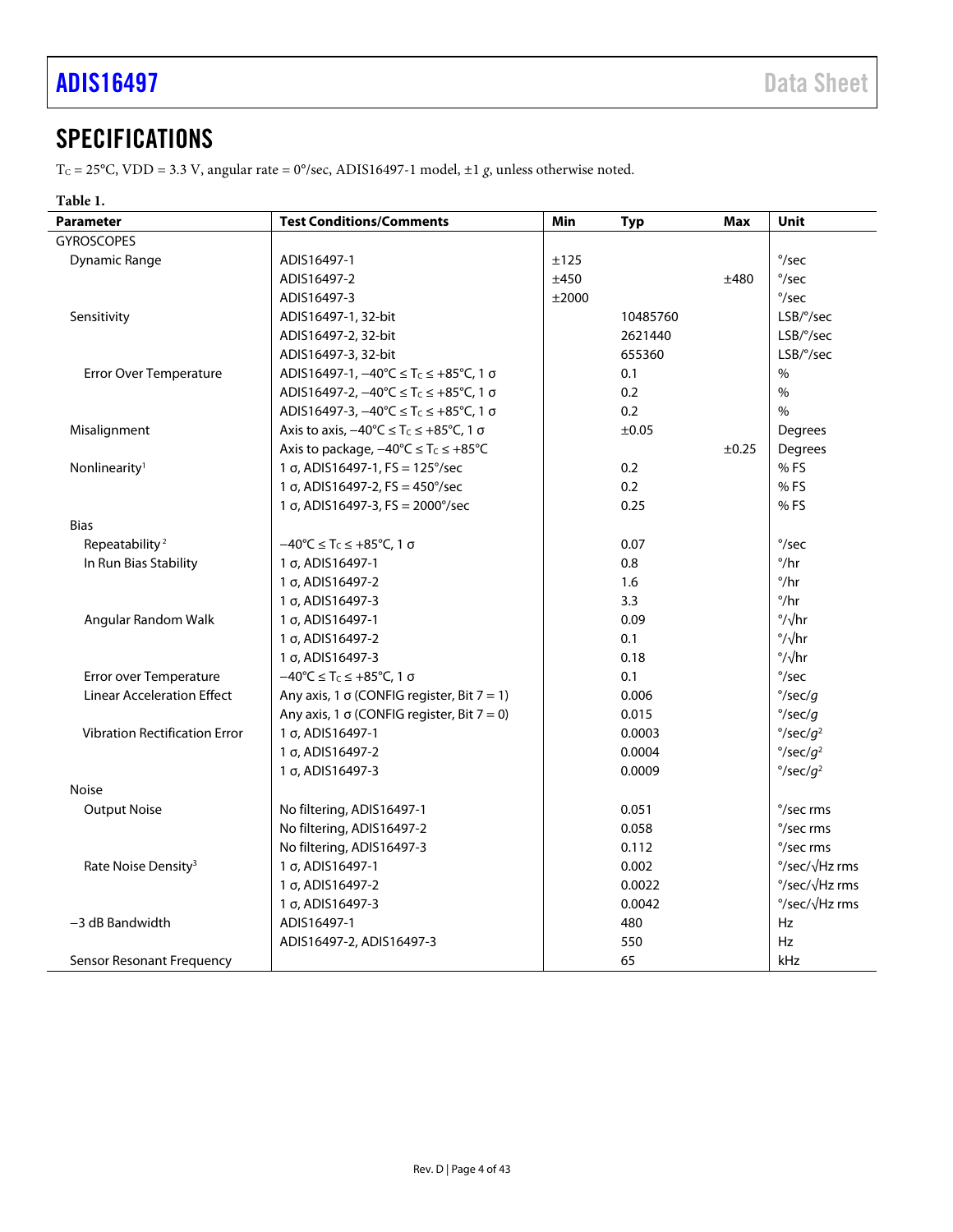## <span id="page-3-0"></span>**SPECIFICATIONS**

T<sub>C</sub> = 25°C, VDD = 3.3 V, angular rate = 0°/sec, ADIS16497-1 model, ±1 g, unless otherwise noted.

## <span id="page-3-1"></span>**Table 1.**

| <b>Parameter</b>                     | <b>Test Conditions/Comments</b>                                           | Min   | <b>Typ</b> | <b>Max</b> | Unit                          |
|--------------------------------------|---------------------------------------------------------------------------|-------|------------|------------|-------------------------------|
| <b>GYROSCOPES</b>                    |                                                                           |       |            |            |                               |
| <b>Dynamic Range</b>                 | ADIS16497-1                                                               | ±125  |            |            | $\degree$ /sec                |
|                                      | ADIS16497-2                                                               | ±450  |            | ±480       | $\degree$ /sec                |
|                                      | ADIS16497-3                                                               | ±2000 |            |            | $\degree$ /sec                |
| Sensitivity                          | ADIS16497-1, 32-bit                                                       |       | 10485760   |            | $LSB$ / $\degree$ /sec        |
|                                      | ADIS16497-2, 32-bit                                                       |       | 2621440    |            | LSB/°/sec                     |
|                                      | ADIS16497-3, 32-bit                                                       |       | 655360     |            | LSB/°/sec                     |
| <b>Error Over Temperature</b>        | ADIS16497-1, $-40^{\circ}$ C ≤ T <sub>c</sub> ≤ +85°C, 1 σ                |       | 0.1        |            | $\%$                          |
|                                      | ADIS16497-2, -40°C ≤ T <sub>c</sub> ≤ +85°C, 1 σ                          |       | 0.2        |            | $\%$                          |
|                                      | ADIS16497-3, $-40^{\circ}$ C ≤ T <sub>c</sub> ≤ +85°C, 1 σ                |       | 0.2        |            | $\%$                          |
| Misalignment                         | Axis to axis, $-40^{\circ}C \leq T_C \leq +85^{\circ}C$ , 1 $\sigma$      |       | ±0.05      |            | Degrees                       |
|                                      | Axis to package, $-40^{\circ}C \le T_C \le +85^{\circ}C$                  |       |            | $\pm 0.25$ | Degrees                       |
| Nonlinearity <sup>1</sup>            | 1 σ, ADIS16497-1, FS = 125°/sec                                           |       | 0.2        |            | %FS                           |
|                                      | 1 $\sigma$ , ADIS16497-2, FS = 450°/sec                                   |       | 0.2        |            | %FS                           |
|                                      | 1 $\sigma$ , ADIS16497-3, FS = 2000°/sec                                  |       | 0.25       |            | % FS                          |
| <b>Bias</b>                          |                                                                           |       |            |            |                               |
| Repeatability <sup>2</sup>           | $-40^{\circ}$ C $\leq$ T <sub>C</sub> $\leq$ +85 $^{\circ}$ C, 1 $\sigma$ |       | 0.07       |            | $\degree$ /sec                |
| In Run Bias Stability                | 1 σ, ADIS16497-1                                                          |       | 0.8        |            | $^{\circ}/\text{hr}$          |
|                                      | 1 σ, ADIS16497-2                                                          |       | 1.6        |            | $^{\circ}/\text{hr}$          |
|                                      | 1 σ, ADIS16497-3                                                          |       | 3.3        |            | $^{\circ}/\text{hr}$          |
| Angular Random Walk                  | 1 σ, ADIS16497-1                                                          |       | 0.09       |            | $\frac{\circ}{\sqrt{hr}}$     |
|                                      | 1 σ, ADIS16497-2                                                          |       | 0.1        |            | $\degree$ / $\sqrt{hr}$       |
|                                      | 1 σ, ADIS16497-3                                                          |       | 0.18       |            | $\frac{\circ}{\sqrt{hr}}$     |
| Error over Temperature               | $-40^{\circ}$ C $\leq$ T <sub>C</sub> $\leq$ +85 $^{\circ}$ C, 1 $\sigma$ |       | 0.1        |            | $\degree$ /sec                |
| <b>Linear Acceleration Effect</b>    | Any axis, 1 $\sigma$ (CONFIG register, Bit 7 = 1)                         |       | 0.006      |            | $\degree$ /sec/g              |
|                                      | Any axis, 1 $\sigma$ (CONFIG register, Bit 7 = 0)                         |       | 0.015      |            | $\degree$ /sec/g              |
| <b>Vibration Rectification Error</b> | 1 σ, ADIS16497-1                                                          |       | 0.0003     |            | $\degree$ /sec/q <sup>2</sup> |
|                                      | 1 σ, ADIS16497-2                                                          |       | 0.0004     |            | $\degree$ /sec/q <sup>2</sup> |
|                                      | 1 σ, ADIS16497-3                                                          |       | 0.0009     |            | $\degree$ /sec/q <sup>2</sup> |
| <b>Noise</b>                         |                                                                           |       |            |            |                               |
| <b>Output Noise</b>                  | No filtering, ADIS16497-1                                                 |       | 0.051      |            | °/sec rms                     |
|                                      | No filtering, ADIS16497-2                                                 |       | 0.058      |            | °/sec rms                     |
|                                      | No filtering, ADIS16497-3                                                 |       | 0.112      |            | °/sec rms                     |
| Rate Noise Density <sup>3</sup>      | 1 σ, ADIS16497-1                                                          |       | 0.002      |            | °/sec/√Hz rms                 |
|                                      | 1 σ, ADIS16497-2                                                          |       | 0.0022     |            | °/sec/√Hz rms                 |
|                                      | 1 σ, ADIS16497-3                                                          |       | 0.0042     |            | °/sec/√Hz rms                 |
| -3 dB Bandwidth                      | ADIS16497-1                                                               |       | 480        |            | Hz                            |
|                                      | ADIS16497-2, ADIS16497-3                                                  |       | 550        |            | Hz                            |
| Sensor Resonant Frequency            |                                                                           |       | 65         |            | kHz                           |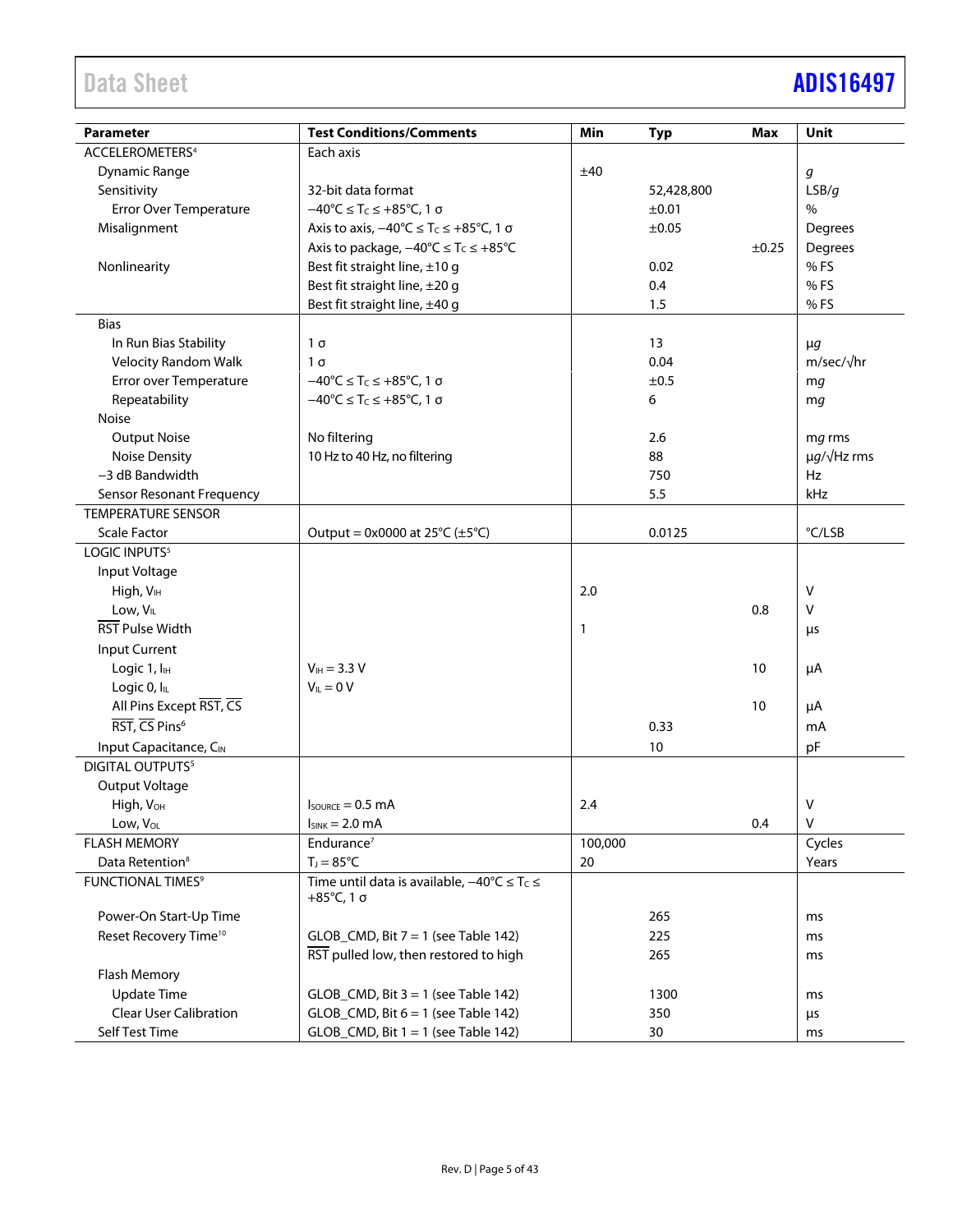# Data Sheet **[ADIS16497](https://www.analog.com/ADIS16497?doc=ADIS16497.pdf)**

| <b>Parameter</b>                  | <b>Test Conditions/Comments</b>                                           | Min          | <b>Typ</b> | Max   | <b>Unit</b>           |
|-----------------------------------|---------------------------------------------------------------------------|--------------|------------|-------|-----------------------|
| ACCELEROMETERS <sup>4</sup>       | Each axis                                                                 |              |            |       |                       |
| <b>Dynamic Range</b>              |                                                                           | ±40          |            |       | g                     |
| Sensitivity                       | 32-bit data format                                                        |              | 52,428,800 |       | LSB/g                 |
| <b>Error Over Temperature</b>     | $-40^{\circ}$ C $\leq$ T <sub>C</sub> $\leq$ +85 $^{\circ}$ C, 1 $\sigma$ |              | ±0.01      |       | $\%$                  |
| Misalignment                      | Axis to axis, $-40^{\circ}C \le T_C \le +85^{\circ}C$ , 1 $\sigma$        |              | ±0.05      |       | Degrees               |
|                                   | Axis to package, $-40^{\circ}C \leq T_C \leq +85^{\circ}C$                |              |            | ±0.25 | Degrees               |
| Nonlinearity                      | Best fit straight line, ±10 g                                             |              | 0.02       |       | % FS                  |
|                                   | Best fit straight line, ±20 g                                             |              | 0.4        |       | % FS                  |
|                                   | Best fit straight line, ±40 g                                             |              | 1.5        |       | % FS                  |
| <b>Bias</b>                       |                                                                           |              |            |       |                       |
| In Run Bias Stability             | $1\sigma$                                                                 |              | 13         |       | $\mu$ g               |
| <b>Velocity Random Walk</b>       | $1\sigma$                                                                 |              | 0.04       |       | m/sec/√hr             |
| Error over Temperature            | $-40^{\circ}$ C $\leq$ T <sub>C</sub> $\leq$ +85 $^{\circ}$ C, 1 $\sigma$ |              | ±0.5       |       | mg                    |
| Repeatability                     | $-40^{\circ}$ C $\leq$ T <sub>c</sub> $\leq$ +85 $^{\circ}$ C, 1 $\sigma$ |              | 6          |       | mg                    |
| Noise                             |                                                                           |              |            |       |                       |
| <b>Output Noise</b>               | No filtering                                                              |              | 2.6        |       | mg rms                |
| <b>Noise Density</b>              | 10 Hz to 40 Hz, no filtering                                              |              | 88         |       | $\mu g/\sqrt{Hz}$ rms |
| -3 dB Bandwidth                   |                                                                           |              | 750        |       | Hz                    |
| Sensor Resonant Frequency         |                                                                           |              | 5.5        |       | kHz                   |
| <b>TEMPERATURE SENSOR</b>         |                                                                           |              |            |       |                       |
| <b>Scale Factor</b>               | Output = $0x0000$ at 25°C ( $\pm$ 5°C)                                    |              | 0.0125     |       | °C/LSB                |
| LOGIC INPUTS <sup>5</sup>         |                                                                           |              |            |       |                       |
| Input Voltage                     |                                                                           |              |            |       |                       |
| High, V <sub>IH</sub>             |                                                                           | 2.0          |            |       | V                     |
| Low, V <sub>IL</sub>              |                                                                           |              |            | 0.8   | $\vee$                |
| RST Pulse Width                   |                                                                           | $\mathbf{1}$ |            |       | $\mu$ s               |
| Input Current                     |                                                                           |              |            |       |                       |
| Logic 1, I <sub>H</sub>           | $V_{IH} = 3.3 V$                                                          |              |            | 10    | μA                    |
| Logic 0, lL                       | $V_{IL} = 0 V$                                                            |              |            |       |                       |
| All Pins Except RST, CS           |                                                                           |              |            | 10    | μA                    |
| RST, CS Pins <sup>6</sup>         |                                                                           |              | 0.33       |       | mA                    |
| Input Capacitance, CIN            |                                                                           |              | 10         |       | pF                    |
| DIGITAL OUTPUTS <sup>5</sup>      |                                                                           |              |            |       |                       |
| Output Voltage                    |                                                                           |              |            |       |                       |
| High, V <sub>OH</sub>             | $I_{\text{SOWRCE}} = 0.5 \text{ mA}$                                      | 2.4          |            |       | V                     |
| Low, VOL                          | $I_{SINK} = 2.0 \text{ mA}$                                               |              |            | 0.4   | V                     |
| <b>FLASH MEMORY</b>               | Endurance <sup>7</sup>                                                    | 100,000      |            |       | Cycles                |
| Data Retention <sup>8</sup>       | $T_J = 85^{\circ}C$                                                       | 20           |            |       | Years                 |
| FUNCTIONAL TIMES <sup>9</sup>     | Time until data is available, $-40^{\circ}C \leq T_C \leq$                |              |            |       |                       |
|                                   | $+85^{\circ}$ C, 1 σ                                                      |              |            |       |                       |
| Power-On Start-Up Time            |                                                                           |              | 265        |       | ms                    |
| Reset Recovery Time <sup>10</sup> | $GLOB_CMD$ , Bit $7 = 1$ (see Table 142)                                  |              | 225        |       | ms                    |
|                                   | RST pulled low, then restored to high                                     |              | 265        |       | ms                    |
| Flash Memory                      |                                                                           |              |            |       |                       |
| <b>Update Time</b>                | $GLOB_CMD$ , Bit $3 = 1$ (see Table 142)                                  |              | 1300       |       | ms                    |
| <b>Clear User Calibration</b>     | $GLOB_CMD$ , Bit $6 = 1$ (see Table 142)                                  |              | 350        |       | $\mu$ s               |
| Self Test Time                    | $GLOB_CMD$ , Bit $1 = 1$ (see Table 142)                                  |              | 30         |       | ms                    |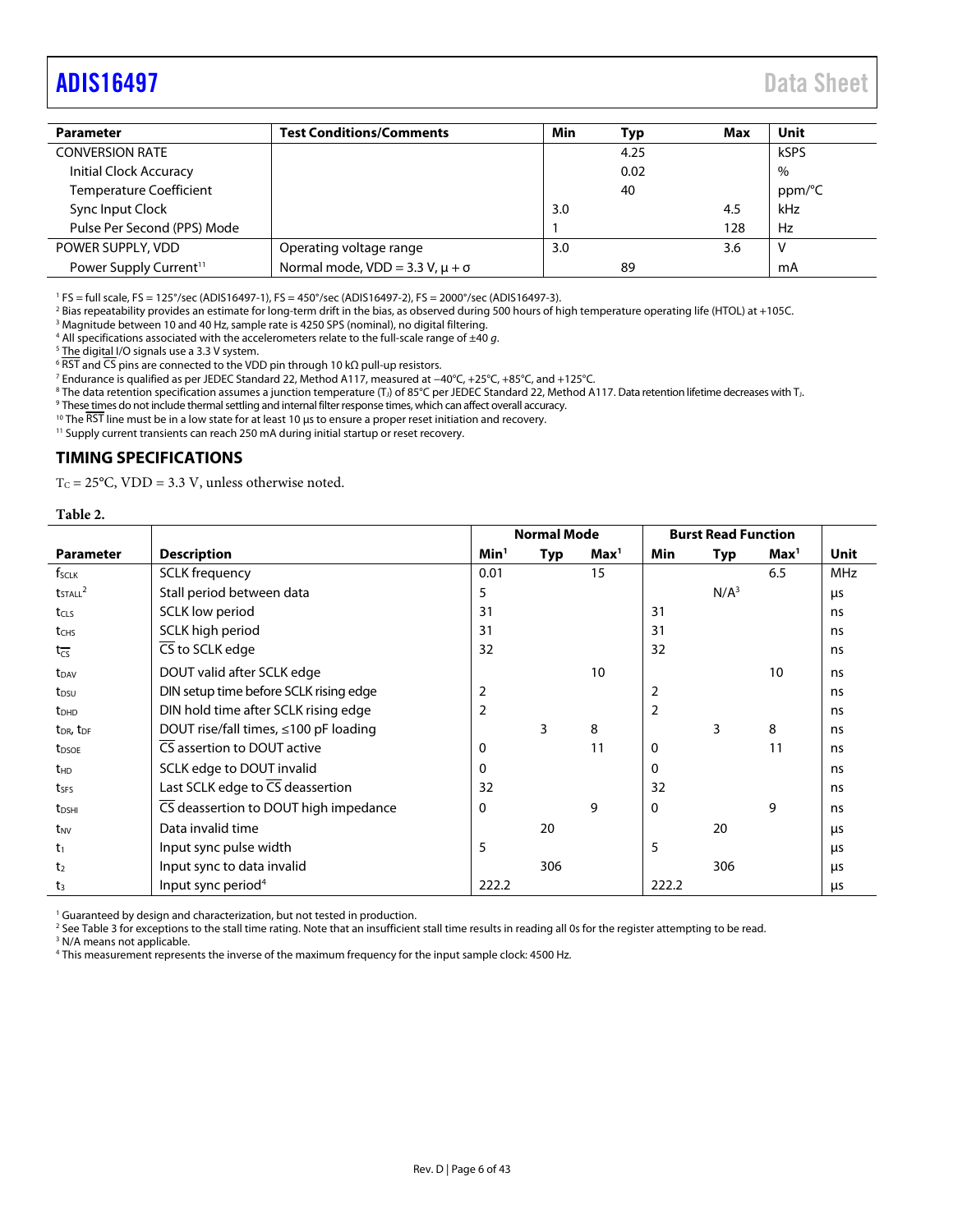## <span id="page-5-1"></span>[ADIS16497](https://www.analog.com/ADIS16497?doc=ADIS16497.pdf) Data Sheet

| <b>Parameter</b>                   | <b>Test Conditions/Comments</b>             | Min | Typ  | Max | Unit   |
|------------------------------------|---------------------------------------------|-----|------|-----|--------|
| <b>CONVERSION RATE</b>             |                                             |     | 4.25 |     | kSPS   |
| Initial Clock Accuracy             |                                             |     | 0.02 |     | $\%$   |
| <b>Temperature Coefficient</b>     |                                             |     | 40   |     | ppm/°C |
| Sync Input Clock                   |                                             | 3.0 |      | 4.5 | kHz    |
| Pulse Per Second (PPS) Mode        |                                             |     |      | 128 | Hz     |
| POWER SUPPLY, VDD                  | Operating voltage range                     | 3.0 |      | 3.6 | V      |
| Power Supply Current <sup>11</sup> | Normal mode, $VDD = 3.3 V$ , $\mu + \sigma$ |     | 89   |     | mA     |

<sup>1</sup> FS = full scale, FS = 125°/sec (ADIS16497-1), FS = 450°/sec (ADIS16497-2), FS = 2000°/sec (ADIS16497-3).<br><sup>2</sup> Bias repostability provides an estimate for long-term drift in the bias, as obsenyed during 500 bours of bi

<sup>2</sup> Bias repeatability provides an estimate for long-term drift in the bias, as observed during 500 hours of high temperature operating life (HTOL) at +105C.

<sup>3</sup> Magnitude between 10 and 40 Hz, sample rate is 4250 SPS (nominal), no digital filtering.

<sup>4</sup> All specifications associated with the accelerometers relate to the full-scale range of  $\pm 40$  g.

<sup>5</sup> The digital I/O signals use a 3.3 V system.

 $6$  RST and CS pins are connected to the VDD pin through 10 kΩ pull-up resistors.

Endurance is qualified as per JEDEC Standard 22, Method A117, measured at −40°C, +25°C, +85°C, and +125°C. 8

 $8$  The data retention specification assumes a junction temperature (T<sub>J</sub>) of 85°C per JEDEC Standard 22, Method A117. Data retention lifetime decreases with T<sub>J</sub>.

<sup>9</sup> These times do not include thermal settling and internal filter response times, which can affect overall accuracy.<br><sup>10</sup> The RST line must be in a low state for at least 10 µs to ensure a proper reset initiation and re

<sup>11</sup> Supply current transients can reach 250 mA during initial startup or reset recovery.

#### <span id="page-5-0"></span>**TIMING SPECIFICATIONS**

 $T_C = 25^{\circ}C$ , VDD = 3.3 V, unless otherwise noted.

**Table 2.** 

|                                   |                                               | <b>Normal Mode</b> |     | <b>Burst Read Function</b> |                |                  |                  |            |
|-----------------------------------|-----------------------------------------------|--------------------|-----|----------------------------|----------------|------------------|------------------|------------|
| <b>Parameter</b>                  | <b>Description</b>                            | Min <sup>1</sup>   | Typ | Max <sup>1</sup>           | Min            | Typ              | Max <sup>1</sup> | Unit       |
| f <sub>SCLK</sub>                 | <b>SCLK</b> frequency                         | 0.01               |     | 15                         |                |                  | 6.5              | <b>MHz</b> |
| $t$ <sub>STALL</sub> $^2$         | Stall period between data                     | 5                  |     |                            |                | N/A <sup>3</sup> |                  | μs         |
| tcLs                              | SCLK low period                               | 31                 |     |                            | 31             |                  |                  | ns         |
| t <sub>CHS</sub>                  | SCLK high period                              | 31                 |     |                            | 31             |                  |                  | ns         |
| $t_{\overline{CS}}$               | $\overline{\text{CS}}$ to SCLK edge           | 32                 |     |                            | 32             |                  |                  | ns         |
| t <sub>DAV</sub>                  | DOUT valid after SCLK edge                    |                    |     | 10                         |                |                  | 10               | ns         |
| t <sub>DSU</sub>                  | DIN setup time before SCLK rising edge        | 2                  |     |                            | $\overline{2}$ |                  |                  | ns         |
| t <sub>DHD</sub>                  | DIN hold time after SCLK rising edge          | $\overline{2}$     |     |                            | $\overline{2}$ |                  |                  | ns         |
| t <sub>DR</sub> , t <sub>DF</sub> | DOUT rise/fall times, ≤100 pF loading         |                    | 3   | 8                          |                | 3                | 8                | ns         |
| t <sub>DSOE</sub>                 | CS assertion to DOUT active                   | 0                  |     | 11                         | $\mathbf 0$    |                  | 11               | ns         |
| t <sub>HD</sub>                   | SCLK edge to DOUT invalid                     | 0                  |     |                            | 0              |                  |                  | ns         |
| tses                              | Last SCLK edge to $\overline{CS}$ deassertion | 32                 |     |                            | 32             |                  |                  | ns         |
| t <sub>DSHI</sub>                 | CS deassertion to DOUT high impedance         | $\mathbf{0}$       |     | 9                          | $\Omega$       |                  | 9                | ns         |
| t <sub>NV</sub>                   | Data invalid time                             |                    | 20  |                            |                | 20               |                  | μs         |
| t <sub>1</sub>                    | Input sync pulse width                        | 5                  |     |                            | 5              |                  |                  | <b>LIS</b> |
| t <sub>2</sub>                    | Input sync to data invalid                    |                    | 306 |                            |                | 306              |                  | μs         |
| t <sub>3</sub>                    | Input sync period <sup>4</sup>                | 222.2              |     |                            | 222.2          |                  |                  | μs         |

<sup>1</sup> Guaranteed by design and characterization, but not tested in production.

<sup>2</sup> Se[e Table 3 f](#page-6-0)or exceptions to the stall time rating. Note that an insufficient stall time results in reading all 0s for the register attempting to be read.<br><sup>3</sup> N/A means not applicable

<sup>3</sup> N/A means not applicable.

4 This measurement represents the inverse of the maximum frequency for the input sample clock: 4500 Hz.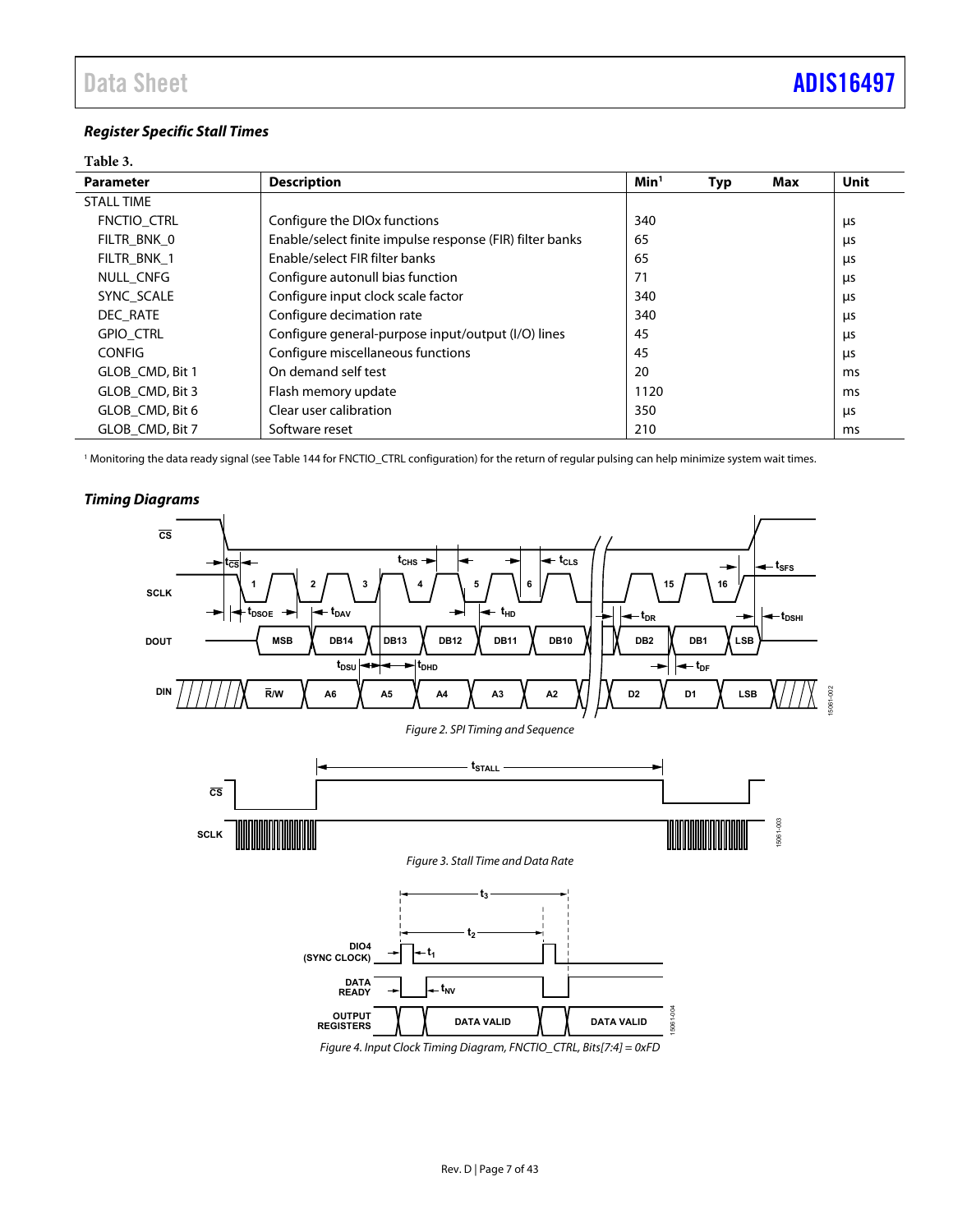## **Register Specific Stall Times**

### <span id="page-6-0"></span>**Table 3.**

| <b>Parameter</b>  | <b>Description</b>                                       | Min <sup>1</sup> | Typ | Max | Unit       |
|-------------------|----------------------------------------------------------|------------------|-----|-----|------------|
| <b>STALL TIME</b> |                                                          |                  |     |     |            |
| FNCTIO CTRL       | Configure the DIO <sub>x</sub> functions                 | 340              |     |     | μs         |
| FILTR BNK 0       | Enable/select finite impulse response (FIR) filter banks | 65               |     |     | μs         |
| FILTR BNK 1       | Enable/select FIR filter banks                           | 65               |     |     | μs         |
| NULL CNFG         | Configure autonull bias function                         | 71               |     |     | μs         |
| SYNC SCALE        | Configure input clock scale factor                       | 340              |     |     | μs         |
| DEC RATE          | Configure decimation rate                                | 340              |     |     | <b>LIS</b> |
| <b>GPIO CTRL</b>  | Configure general-purpose input/output (I/O) lines       | 45               |     |     | μs         |
| <b>CONFIG</b>     | Configure miscellaneous functions                        | 45               |     |     | μs         |
| GLOB CMD, Bit 1   | On demand self test                                      | 20               |     |     | ms         |
| GLOB CMD, Bit 3   | Flash memory update                                      | 1120             |     |     | ms         |
| GLOB CMD, Bit 6   | Clear user calibration                                   | 350              |     |     | μs         |
| GLOB CMD, Bit 7   | Software reset                                           | 210              |     |     | ms         |

1 Monitoring the data ready signal (se[e Table 144 f](#page-33-1)or FNCTIO\_CTRL configuration) for the return of regular pulsing can help minimize system wait times.



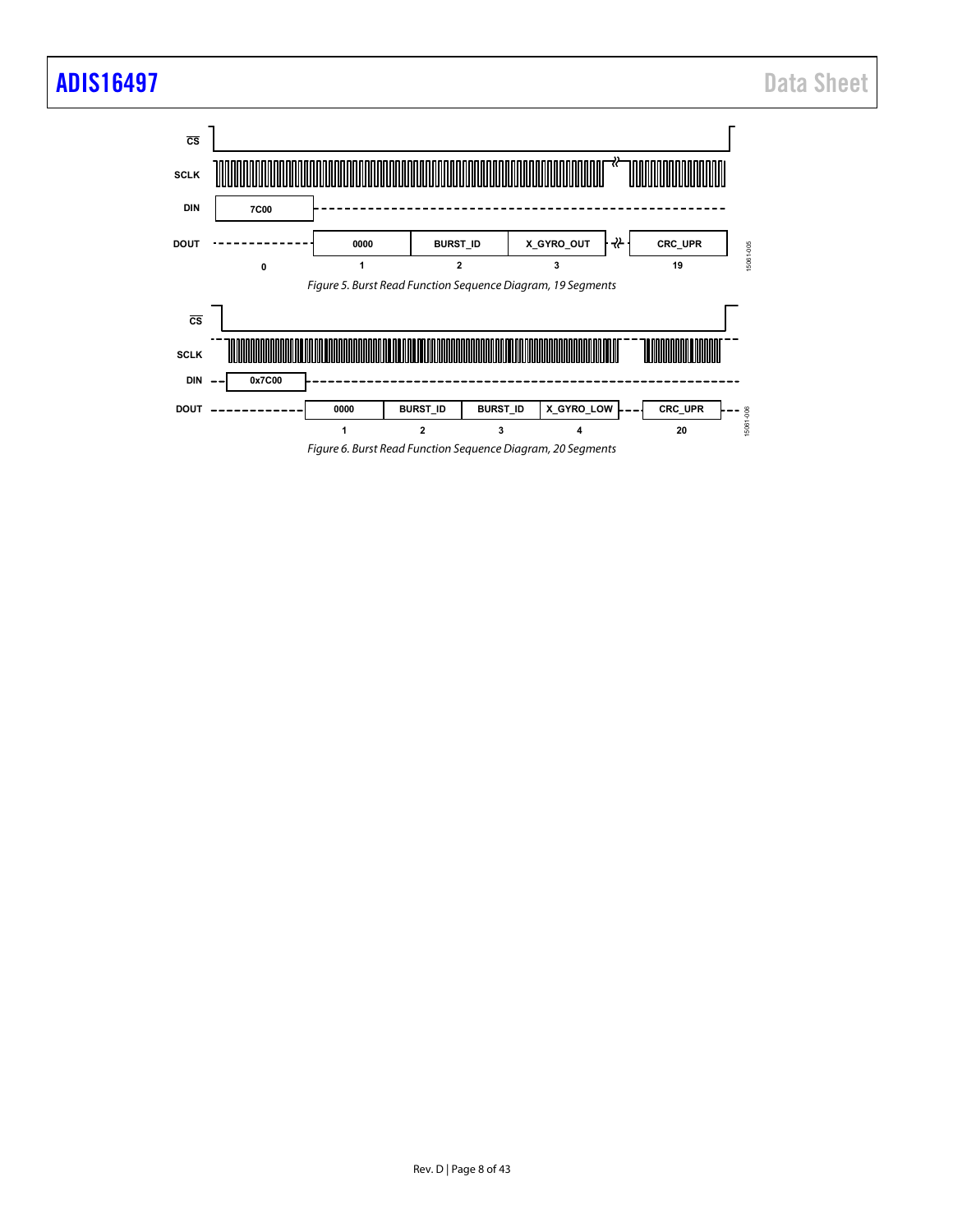## [ADIS16497](https://www.analog.com/ADIS16497?doc=ADIS16497.pdf) Data Sheet

<span id="page-7-1"></span><span id="page-7-0"></span>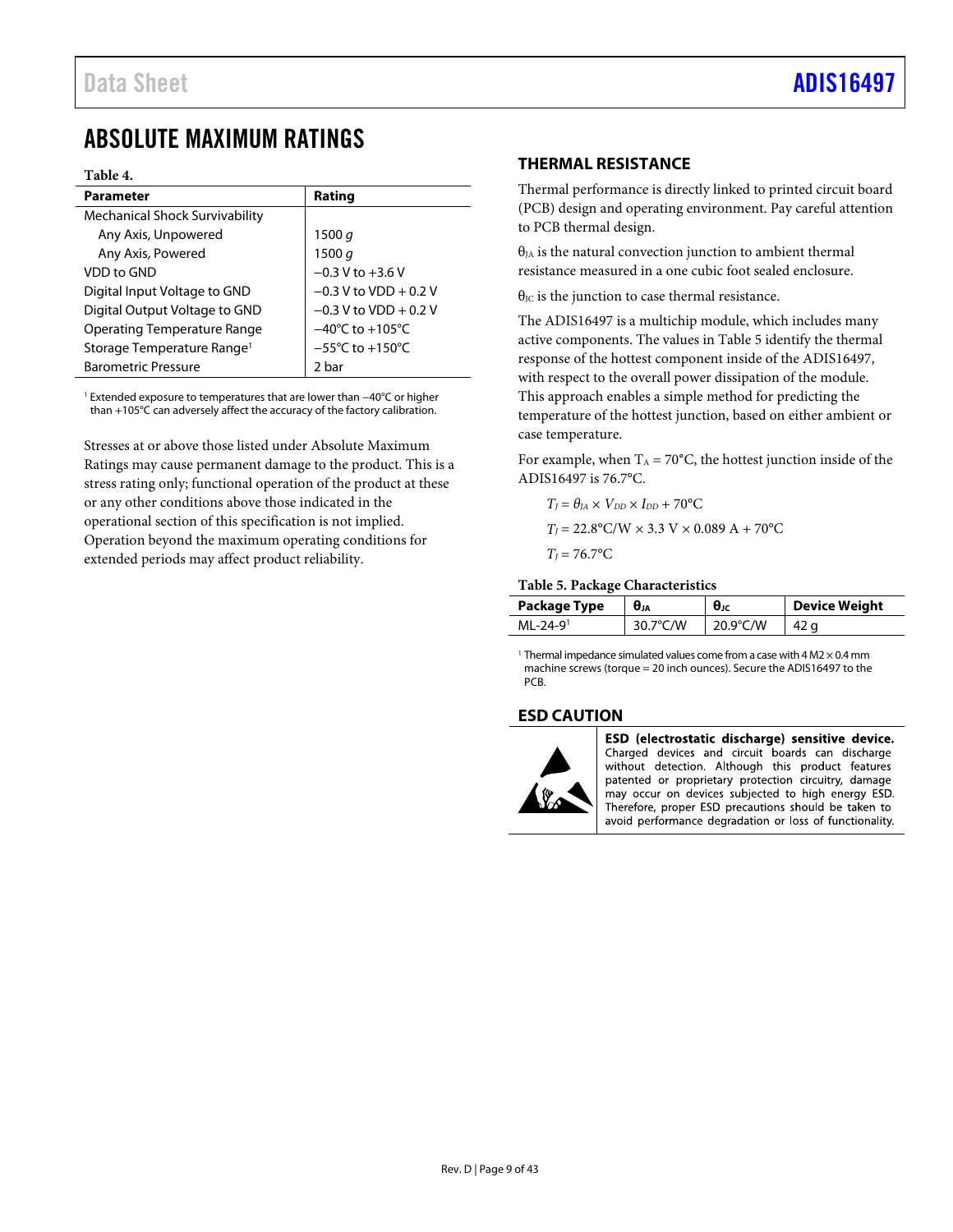## <span id="page-8-0"></span>ABSOLUTE MAXIMUM RATINGS

#### **Table 4.**

| <b>Parameter</b>                       | Rating                               |
|----------------------------------------|--------------------------------------|
| <b>Mechanical Shock Survivability</b>  |                                      |
| Any Axis, Unpowered                    | 1500 g                               |
| Any Axis, Powered                      | 1500 $q$                             |
| VDD to GND                             | $-0.3 V$ to $+3.6 V$                 |
| Digital Input Voltage to GND           | $-0.3$ V to VDD + 0.2 V              |
| Digital Output Voltage to GND          | $-0.3$ V to VDD + 0.2 V              |
| <b>Operating Temperature Range</b>     | $-40^{\circ}$ C to +105 $^{\circ}$ C |
| Storage Temperature Range <sup>1</sup> | $-55^{\circ}$ C to $+150^{\circ}$ C  |
| <b>Barometric Pressure</b>             | 2 bar                                |

1 Extended exposure to temperatures that are lower than −40°C or higher than +105°C can adversely affect the accuracy of the factory calibration.

<span id="page-8-3"></span>Stresses at or above those listed under Absolute Maximum Ratings may cause permanent damage to the product. This is a stress rating only; functional operation of the product at these or any other conditions above those indicated in the operational section of this specification is not implied. Operation beyond the maximum operating conditions for extended periods may affect product reliability.

## <span id="page-8-1"></span>**THERMAL RESISTANCE**

Thermal performance is directly linked to printed circuit board (PCB) design and operating environment. Pay careful attention to PCB thermal design.

 $\theta_{JA}$  is the natural convection junction to ambient thermal resistance measured in a one cubic foot sealed enclosure.

 $\theta_{\text{IC}}$  is the junction to case thermal resistance.

The ADIS16497 is a multichip module, which includes many active components. The values i[n Table 5 i](#page-8-4)dentify the thermal response of the hottest component inside of the ADIS16497, with respect to the overall power dissipation of the module. This approach enables a simple method for predicting the temperature of the hottest junction, based on either ambient or case temperature.

For example, when  $T_A = 70^{\circ}$ C, the hottest junction inside of the ADIS16497 is 76.7°C.

$$
T_J = \theta_{JA} \times V_{DD} \times I_{DD} + 70^{\circ}\text{C}
$$
  
\n
$$
T_J = 22.8^{\circ}\text{C/W} \times 3.3 \text{ V} \times 0.089 \text{ A} + 70^{\circ}\text{C}
$$
  
\n
$$
T_J = 76.7^{\circ}\text{C}
$$

#### <span id="page-8-4"></span>**Table 5. Package Characteristics**

| Package Type   | Uja      | $\bm{\theta}_{\text{JC}}$ | <b>Device Weight</b> |
|----------------|----------|---------------------------|----------------------|
| $MI - 24 - 91$ | 30.7°C/W | $20.9^{\circ}$ C/W        | 42 a                 |

<sup>1</sup> Thermal impedance simulated values come from a case with 4 M2  $\times$  0.4 mm machine screws (torque = 20 inch ounces). Secure the ADIS16497 to the PCB.

## <span id="page-8-2"></span>**ESD CAUTION**



ESD (electrostatic discharge) sensitive device. Charged devices and circuit boards can discharge without detection. Although this product features patented or proprietary protection circuitry, damage may occur on devices subjected to high energy ESD. Therefore, proper ESD precautions should be taken to avoid performance degradation or loss of functionality.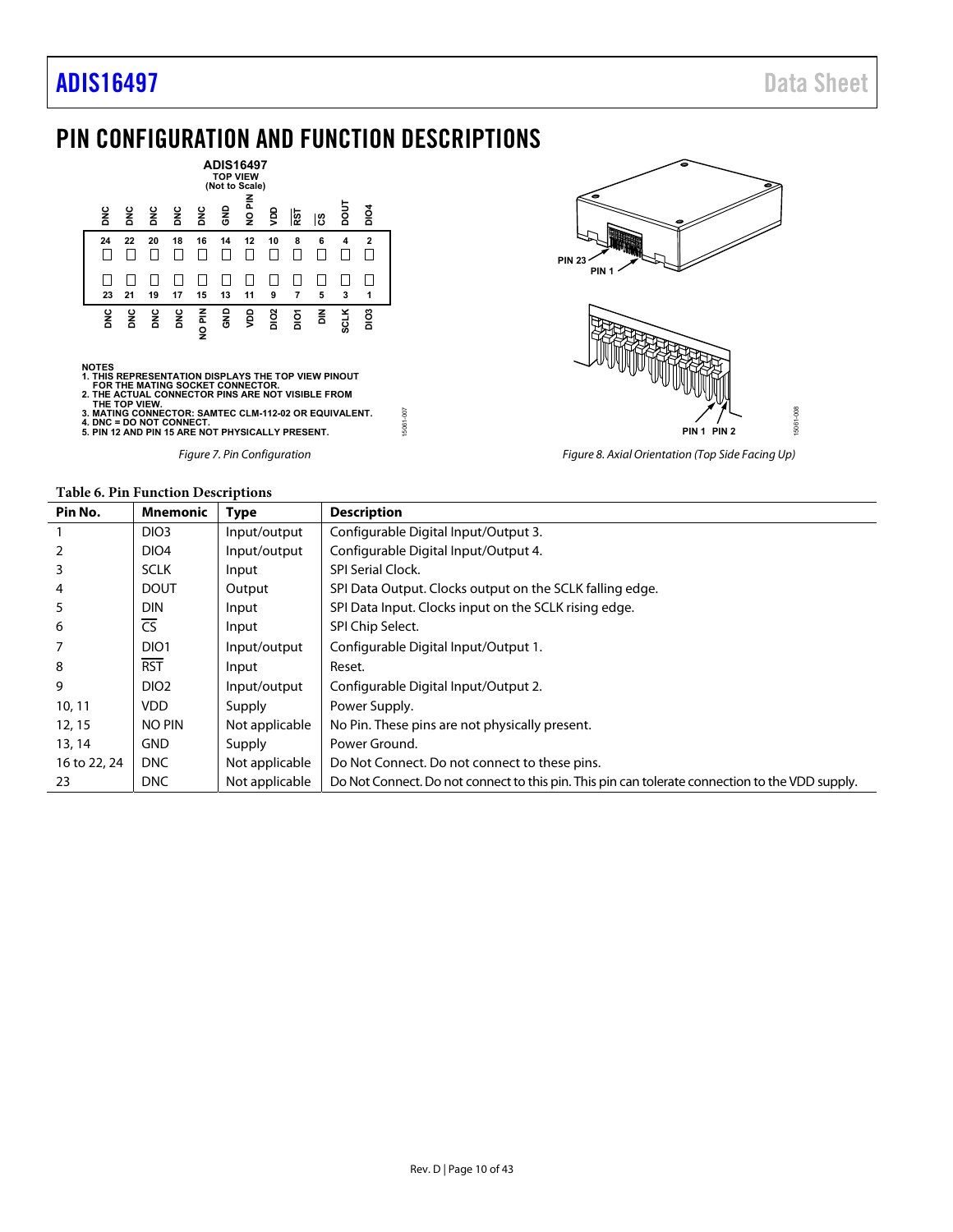## <span id="page-9-0"></span>PIN CONFIGURATION AND FUNCTION DESCRIPTIONS





- 
- 
- 

Figure 7. Pin Configuration



Figure 8. Axial Orientation (Top Side Facing Up)

<span id="page-9-1"></span>

| Pin No.      | <b>Mnemonic</b>        | <b>Type</b>    | <b>Description</b>                                                                              |  |  |  |
|--------------|------------------------|----------------|-------------------------------------------------------------------------------------------------|--|--|--|
|              | DIO <sub>3</sub>       | Input/output   | Configurable Digital Input/Output 3.                                                            |  |  |  |
|              | DIO <sub>4</sub>       | Input/output   | Configurable Digital Input/Output 4.                                                            |  |  |  |
|              | <b>SCLK</b>            | Input          | <b>SPI Serial Clock.</b>                                                                        |  |  |  |
| 4            | <b>DOUT</b>            | Output         | SPI Data Output. Clocks output on the SCLK falling edge.                                        |  |  |  |
|              | <b>DIN</b>             | Input          | SPI Data Input. Clocks input on the SCLK rising edge.                                           |  |  |  |
| 6            | $\overline{\text{CS}}$ | Input          | SPI Chip Select.                                                                                |  |  |  |
|              | DIO <sub>1</sub>       | Input/output   | Configurable Digital Input/Output 1.                                                            |  |  |  |
| 8            | <b>RST</b>             | Input          | Reset.                                                                                          |  |  |  |
| 9            | DIO <sub>2</sub>       | Input/output   | Configurable Digital Input/Output 2.                                                            |  |  |  |
| 10, 11       | <b>VDD</b>             | Supply         | Power Supply.                                                                                   |  |  |  |
| 12, 15       | NO PIN                 | Not applicable | No Pin. These pins are not physically present.                                                  |  |  |  |
| 13, 14       | <b>GND</b>             | Supply         | Power Ground.                                                                                   |  |  |  |
| 16 to 22, 24 | <b>DNC</b>             | Not applicable | Do Not Connect. Do not connect to these pins.                                                   |  |  |  |
| 23           | <b>DNC</b>             | Not applicable | Do Not Connect. Do not connect to this pin. This pin can tolerate connection to the VDD supply. |  |  |  |

15061-007

15061-007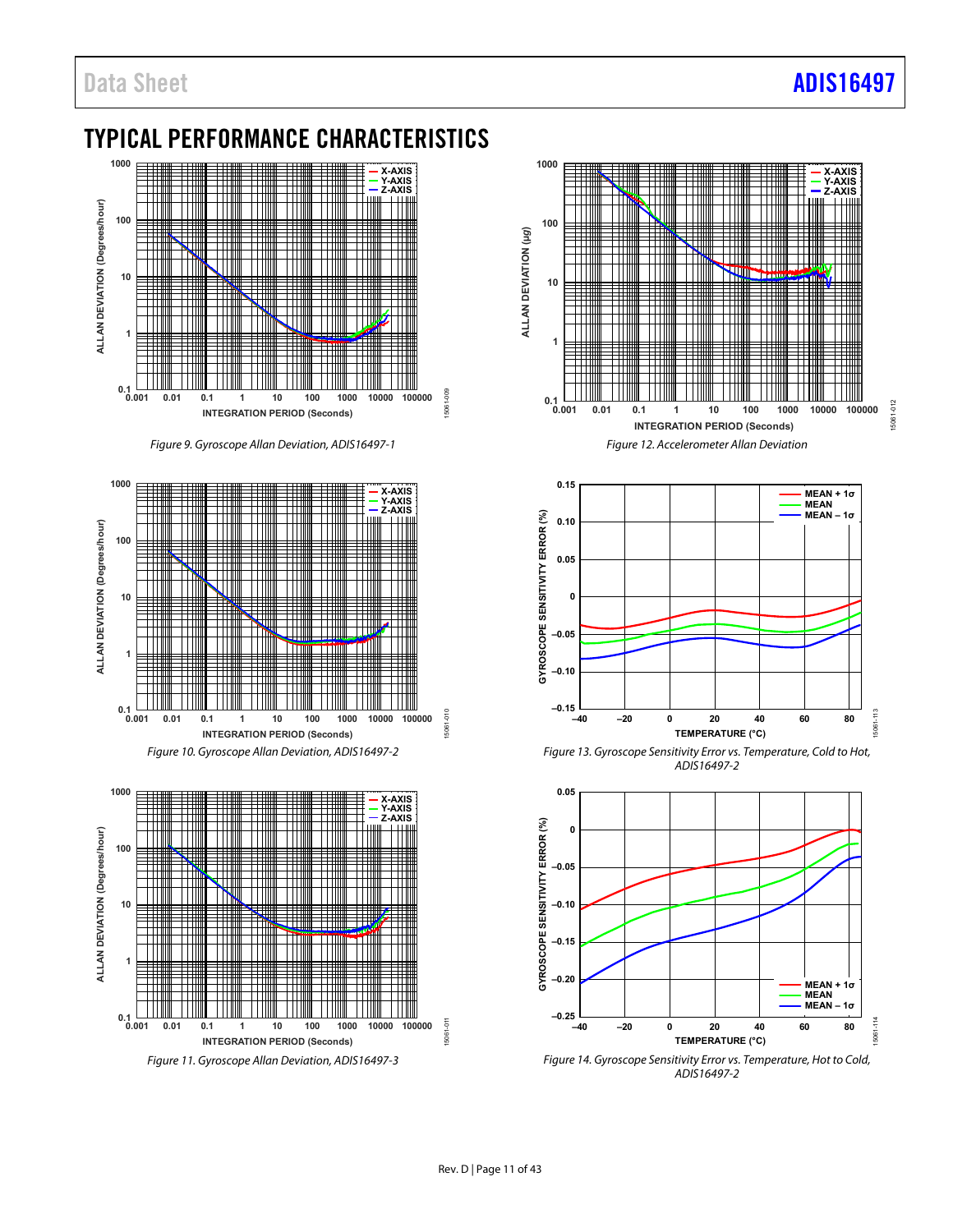## <span id="page-10-0"></span>TYPICAL PERFORMANCE CHARACTERISTICS



Figure 9. Gyroscope Allan Deviation, ADIS16497-1





Figure 11. Gyroscope Allan Deviation, ADIS16497-3





Figure 13. Gyroscope Sensitivity Error vs. Temperature, Cold to Hot, ADIS16497-2



Figure 14. Gyroscope Sensitivity Error vs. Temperature, Hot to Cold, ADIS16497-2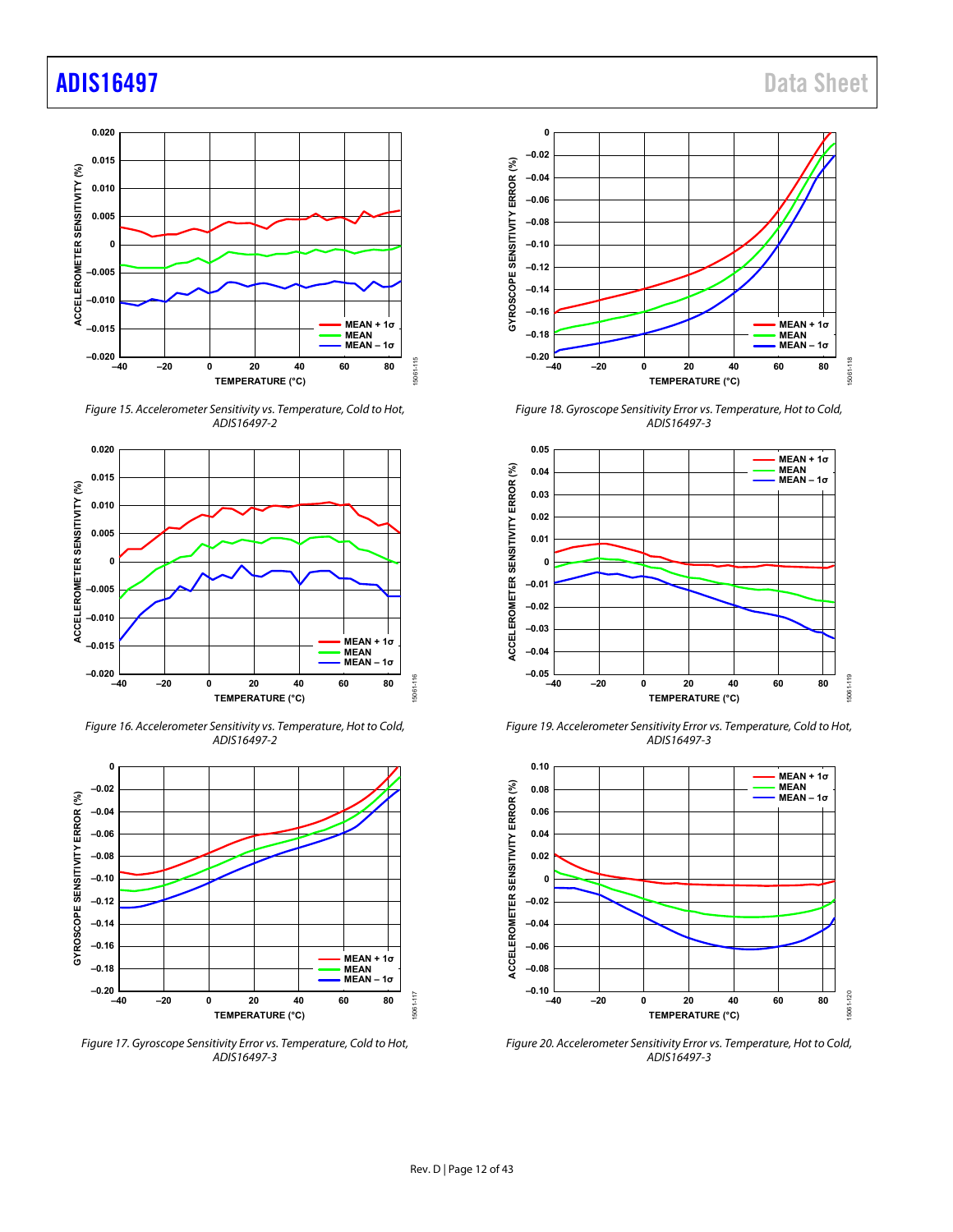## [ADIS16497](https://www.analog.com/ADIS16497?doc=ADIS16497.pdf) Data Sheet



Figure 15. Accelerometer Sensitivity vs. Temperature, Cold to Hot, ADIS16497-2



Figure 16. Accelerometer Sensitivity vs. Temperature, Hot to Cold, ADIS16497-2



Figure 17. Gyroscope Sensitivity Error vs. Temperature, Cold to Hot, ADIS16497-3



Figure 18. Gyroscope Sensitivity Error vs. Temperature, Hot to Cold, ADIS16497-3



Figure 19. Accelerometer Sensitivity Error vs. Temperature, Cold to Hot, ADIS16497-3



Figure 20. Accelerometer Sensitivity Error vs. Temperature, Hot to Cold, ADIS16497-3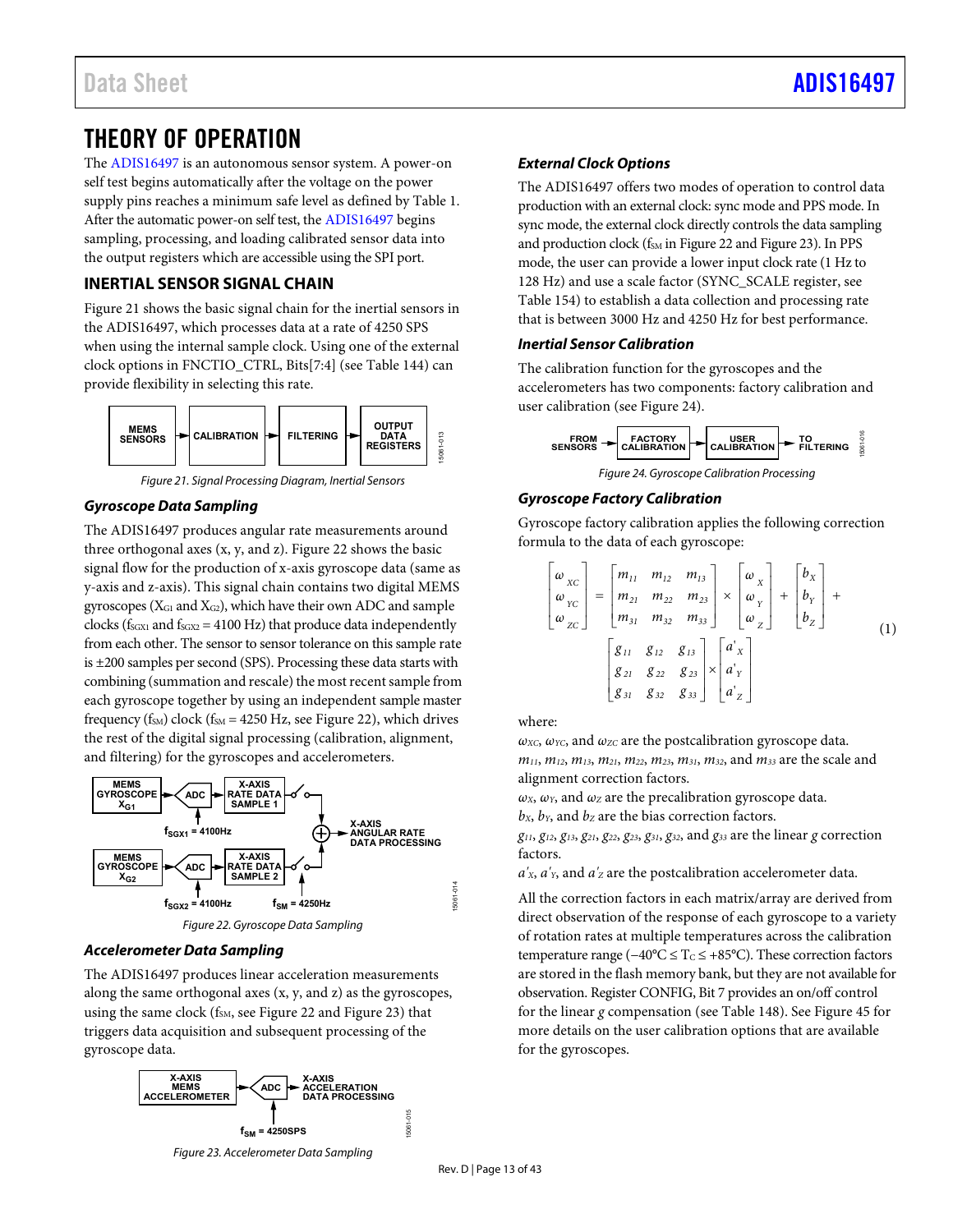## <span id="page-12-0"></span>THEORY OF OPERATION

The [ADIS16497](http://www.analog.com/ADIS16497?doc=ADIS16497.pdf) is an autonomous sensor system. A power-on self test begins automatically after the voltage on the power supply pins reaches a minimum safe level as defined b[y Table 1.](#page-3-1)  After the automatic power-on self test, the [ADIS16497](http://www.analog.com/ADIS16497?doc=ADIS16497.pdf) begins sampling, processing, and loading calibrated sensor data into the output registers which are accessible using the SPI port.

## <span id="page-12-1"></span>**INERTIAL SENSOR SIGNAL CHAIN**

[Figure 21](#page-12-2) shows the basic signal chain for the inertial sensors in the ADIS16497, which processes data at a rate of 4250 SPS when using the internal sample clock. Using one of the external clock options in FNCTIO\_CTRL, Bits[7:4] (se[e Table 144\)](#page-33-1) can provide flexibility in selecting this rate.



Figure 21. Signal Processing Diagram, Inertial Sensors

## <span id="page-12-2"></span>**Gyroscope Data Sampling**

The ADIS16497 produces angular rate measurements around three orthogonal axes (x, y, and z)[. Figure 22 s](#page-12-3)hows the basic signal flow for the production of x-axis gyroscope data (same as y-axis and z-axis). This signal chain contains two digital MEMS gyroscopes ( $X_{G1}$  and  $X_{G2}$ ), which have their own ADC and sample clocks ( $f_{SGX1}$  and  $f_{SGX2}$  = 4100 Hz) that produce data independently from each other. The sensor to sensor tolerance on this sample rate is ±200 samples per second (SPS). Processing these data starts with combining (summation and rescale) the most recent sample from each gyroscope together by using an independent sample master frequency ( $f_{SM}$ ) clock ( $f_{SM}$  = 4250 Hz, see [Figure 22\)](#page-12-3), which drives the rest of the digital signal processing (calibration, alignment, and filtering) for the gyroscopes and accelerometers.



Figure 22. Gyroscope Data Sampling

## <span id="page-12-3"></span>**Accelerometer Data Sampling**

The ADIS16497 produces linear acceleration measurements along the same orthogonal axes (x, y, and z) as the gyroscopes, using the same clock ( $f<sub>SM</sub>$ , se[e Figure 22 a](#page-12-3)nd [Figure 23\)](#page-12-4) that triggers data acquisition and subsequent processing of the gyroscope data.



## **External Clock Options**

The ADIS16497 offers two modes of operation to control data production with an external clock: sync mode and PPS mode. In sync mode, the external clock directly controls the data sampling and production clock (f<sub>SM</sub> i[n Figure 22 a](#page-12-3)n[d Figure 23\)](#page-12-4). In PPS mode, the user can provide a lower input clock rate (1 Hz to 128 Hz) and use a scale factor (SYNC\_SCALE register, see [Table 154\)](#page-35-2) to establish a data collection and processing rate that is between 3000 Hz and 4250 Hz for best performance.

## **Inertial Sensor Calibration**

The calibration function for the gyroscopes and the accelerometers has two components: factory calibration and user calibration (se[e Figure 24\)](#page-12-5).



Figure 24. Gyroscope Calibration Processing

## <span id="page-12-5"></span>**Gyroscope Factory Calibration**

Gyroscope factory calibration applies the following correction formula to the data of each gyroscope:

$$
\begin{bmatrix}\n\omega_{XC} \\
\omega_{TC} \\
\omega_{ZC}\n\end{bmatrix} = \begin{bmatrix}\nm_{11} & m_{12} & m_{13} \\
m_{21} & m_{22} & m_{23} \\
m_{31} & m_{32} & m_{33}\n\end{bmatrix} \times \begin{bmatrix}\n\omega_{X} \\
\omega_{Y} \\
\omega_{Z}\n\end{bmatrix} + \begin{bmatrix}\nb_{X} \\
b_{Y} \\
b_{Z}\n\end{bmatrix} + \begin{bmatrix}\ng_{11} & g_{12} & g_{13} \\
g_{21} & g_{22} & g_{23} \\
g_{31} & g_{32} & g_{33}\n\end{bmatrix} \times \begin{bmatrix}\na'_{X} \\
a'_{Y} \\
a'_{Z}\n\end{bmatrix}
$$
\n(1)

where:

 $\omega_{\text{XC}}$ ,  $\omega_{\text{YC}}$ , and  $\omega_{\text{ZC}}$  are the postcalibration gyroscope data. *m11*, *m12*, *m13*, *m21*, *m22*, *m23*, *m31*, *m32*, and *m33* are the scale and alignment correction factors.

 $\omega_X$ ,  $\omega_Y$ , and  $\omega_Z$  are the precalibration gyroscope data.  $b_x$ ,  $b_y$ , and  $b_z$  are the bias correction factors.

*g11*, *g12*, *g13*, *g21*, *g22*, *g23*, *g31*, *g32*, and *g33* are the linear *g* correction factors.

 $a'_{X}$ ,  $a'_{Y}$ , and  $a'_{Z}$  are the postcalibration accelerometer data.

All the correction factors in each matrix/array are derived from direct observation of the response of each gyroscope to a variety of rotation rates at multiple temperatures across the calibration temperature range ( $-40^{\circ}$ C ≤ T<sub>C</sub> ≤ +85°C). These correction factors are stored in the flash memory bank, but they are not available for observation. Register CONFIG, Bit 7 provides an on/off control for the linear *g* compensation (see [Table 148\)](#page-34-4). Se[e Figure 45](#page-28-1) for more details on the user calibration options that are available for the gyroscopes.

<span id="page-12-4"></span>Figure 23. Accelerometer Data Sampling

15061-015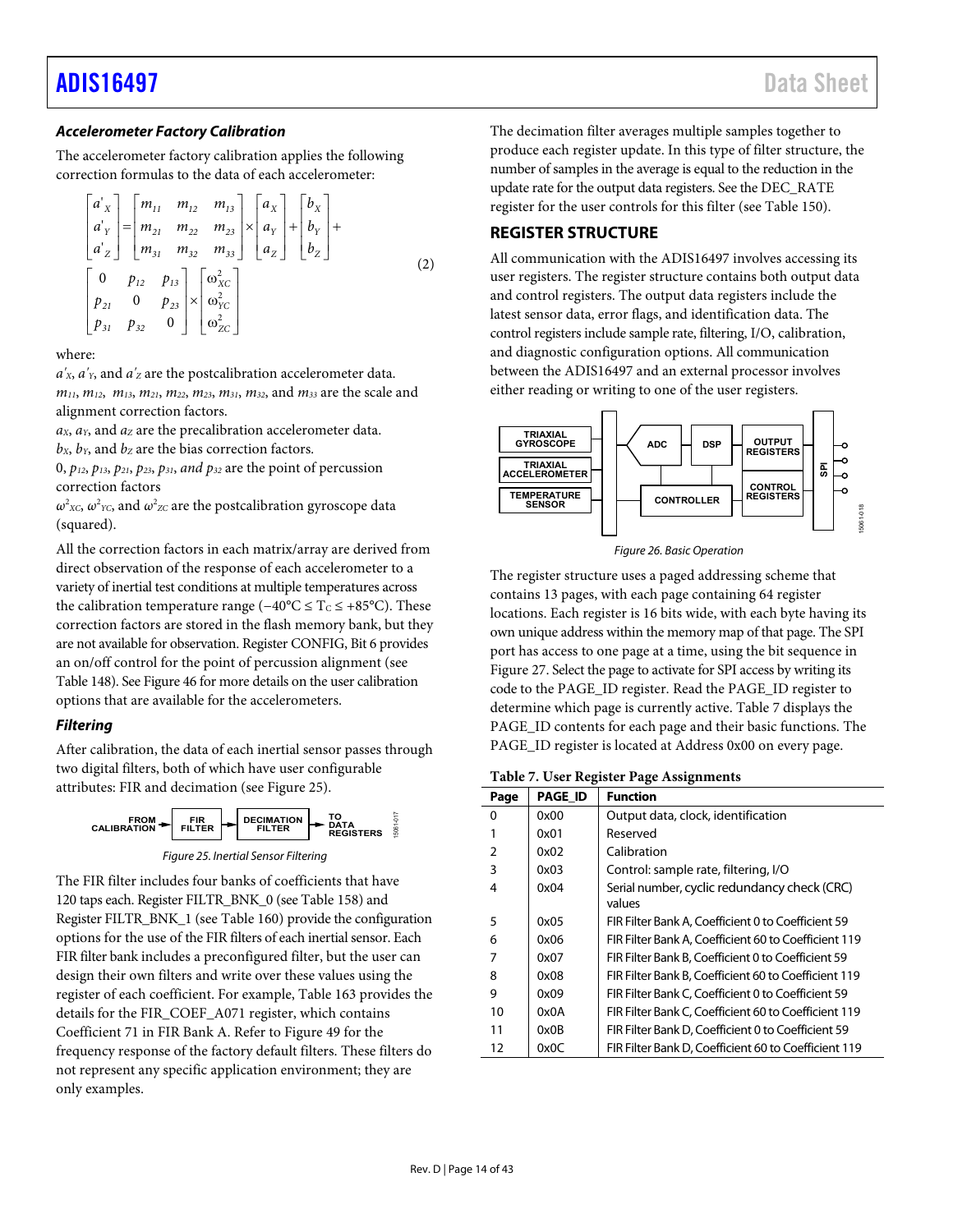## [ADIS16497](https://www.analog.com/ADIS16497?doc=ADIS16497.pdf) Data Sheet

## **Accelerometer Factory Calibration**

The accelerometer factory calibration applies the following correction formulas to the data of each accelerometer:

$$
\begin{bmatrix}\na'_{x} \\
a'_{y} \\
a'_{z}\n\end{bmatrix} = \begin{bmatrix}\nm_{11} & m_{12} & m_{13} \\
m_{21} & m_{22} & m_{23} \\
m_{31} & m_{32} & m_{33}\n\end{bmatrix} \times \begin{bmatrix}\na_{x} \\
a_{y} \\
a_{z}\n\end{bmatrix} + \begin{bmatrix}\nb_{x} \\
b_{y} \\
b_{z}\n\end{bmatrix} + \begin{bmatrix}\nb_{x} \\
b_{y} \\
b_{z}\n\end{bmatrix}
$$
\n(2)\n  
\n
$$
\begin{bmatrix}\n0 & p_{12} & p_{13} \\
p_{21} & 0 & p_{23} \\
p_{31} & p_{32} & 0\n\end{bmatrix} \times \begin{bmatrix}\na'_{xc} \\
\na'_{zc} \\
\na'_{zc}\n\end{bmatrix}
$$

#### where:

 $a'_{x}$ ,  $a'_{y}$ , and  $a'_{z}$  are the postcalibration accelerometer data. *m11*, *m12*, *m13*, *m21*, *m22*, *m23*, *m31*, *m32*, and *m33* are the scale and alignment correction factors.

*aX*, *aY*, and *aZ* are the precalibration accelerometer data.

 $b_x$ ,  $b_y$ , and  $b_z$  are the bias correction factors.

0, *p12*, *p13*, *p21*, *p23*, *p31*, *and p32* are the point of percussion correction factors

 $ω<sup>2</sup>xc, ω<sup>2</sup>rc,$  and  $ω<sup>2</sup>zc$  are the postcalibration gyroscope data (squared).

All the correction factors in each matrix/array are derived from direct observation of the response of each accelerometer to a variety of inertial test conditions at multiple temperatures across the calibration temperature range ( $-40^{\circ}$ C ≤ T<sub>C</sub> ≤ +85°C). These correction factors are stored in the flash memory bank, but they are not available for observation. Register CONFIG, Bit 6 provides an on/off control for the point of percussion alignment (see [Table 148\)](#page-34-4). Se[e Figure 46 f](#page-29-0)or more details on the user calibration options that are available for the accelerometers.

## **Filtering**

After calibration, the data of each inertial sensor passes through two digital filters, both of which have user configurable attributes: FIR and decimation (se[e Figure 25\)](#page-13-1).



<span id="page-13-1"></span>The FIR filter includes four banks of coefficients that have 120 taps each. Register FILTR\_BNK\_0 (se[e Table 158\)](#page-36-1) and Register FILTR\_BNK\_1 (see [Table 160\)](#page-36-2) provide the configuration options for the use of the FIR filters of each inertial sensor. Each FIR filter bank includes a preconfigured filter, but the user can design their own filters and write over these values using the register of each coefficient. For example, [Table 163](#page-36-3) provides the details for the FIR\_COEF\_A071 register, which contains Coefficient 71 in FIR Bank A. Refer to [Figure 49 f](#page-37-0)or the frequency response of the factory default filters. These filters do not represent any specific application environment; they are only examples.

The decimation filter averages multiple samples together to produce each register update. In this type of filter structure, the number of samples in the average is equal to the reduction in the update rate for the output data registers. See the DEC\_RATE register for the user controls for this filter (se[e Table 150\)](#page-35-3).

## <span id="page-13-0"></span>**REGISTER STRUCTURE**

All communication with the ADIS16497 involves accessing its user registers. The register structure contains both output data and control registers. The output data registers include the latest sensor data, error flags, and identification data. The control registers include sample rate, filtering, I/O, calibration, and diagnostic configuration options. All communication between the ADIS16497 and an external processor involves either reading or writing to one of the user registers.



Figure 26. Basic Operation

The register structure uses a paged addressing scheme that contains 13 pages, with each page containing 64 register locations. Each register is 16 bits wide, with each byte having its own unique address within the memory map of that page. The SPI port has access to one page at a time, using the bit sequence in [Figure 27.](#page-14-2) Select the page to activate for SPI access by writing its code to the PAGE\_ID register. Read the PAGE\_ID register to determine which page is currently active. [Table 7](#page-13-2) displays the PAGE\_ID contents for each page and their basic functions. The PAGE\_ID register is located at Address 0x00 on every page.

<span id="page-13-2"></span>**Table 7. User Register Page Assignments** 

| Page          | <b>PAGE ID</b> | <b>Function</b>                                      |
|---------------|----------------|------------------------------------------------------|
| 0             | 0x00           | Output data, clock, identification                   |
|               | 0x01           | Reserved                                             |
| $\mathcal{P}$ | 0x02           | Calibration                                          |
| 3             | 0x03           | Control: sample rate, filtering, I/O                 |
| 4             | 0x04           | Serial number, cyclic redundancy check (CRC)         |
|               |                | values                                               |
| 5             | 0x05           | FIR Filter Bank A, Coefficient 0 to Coefficient 59   |
| 6             | 0x06           | FIR Filter Bank A. Coefficient 60 to Coefficient 119 |
|               | 0x07           | FIR Filter Bank B. Coefficient 0 to Coefficient 59   |
| 8             | 0x08           | FIR Filter Bank B, Coefficient 60 to Coefficient 119 |
| 9             | 0x09           | FIR Filter Bank C, Coefficient 0 to Coefficient 59   |
| 10            | 0x0A           | FIR Filter Bank C, Coefficient 60 to Coefficient 119 |
| 11            | 0x0B           | FIR Filter Bank D, Coefficient 0 to Coefficient 59   |
| 12            | 0x0C           | FIR Filter Bank D, Coefficient 60 to Coefficient 119 |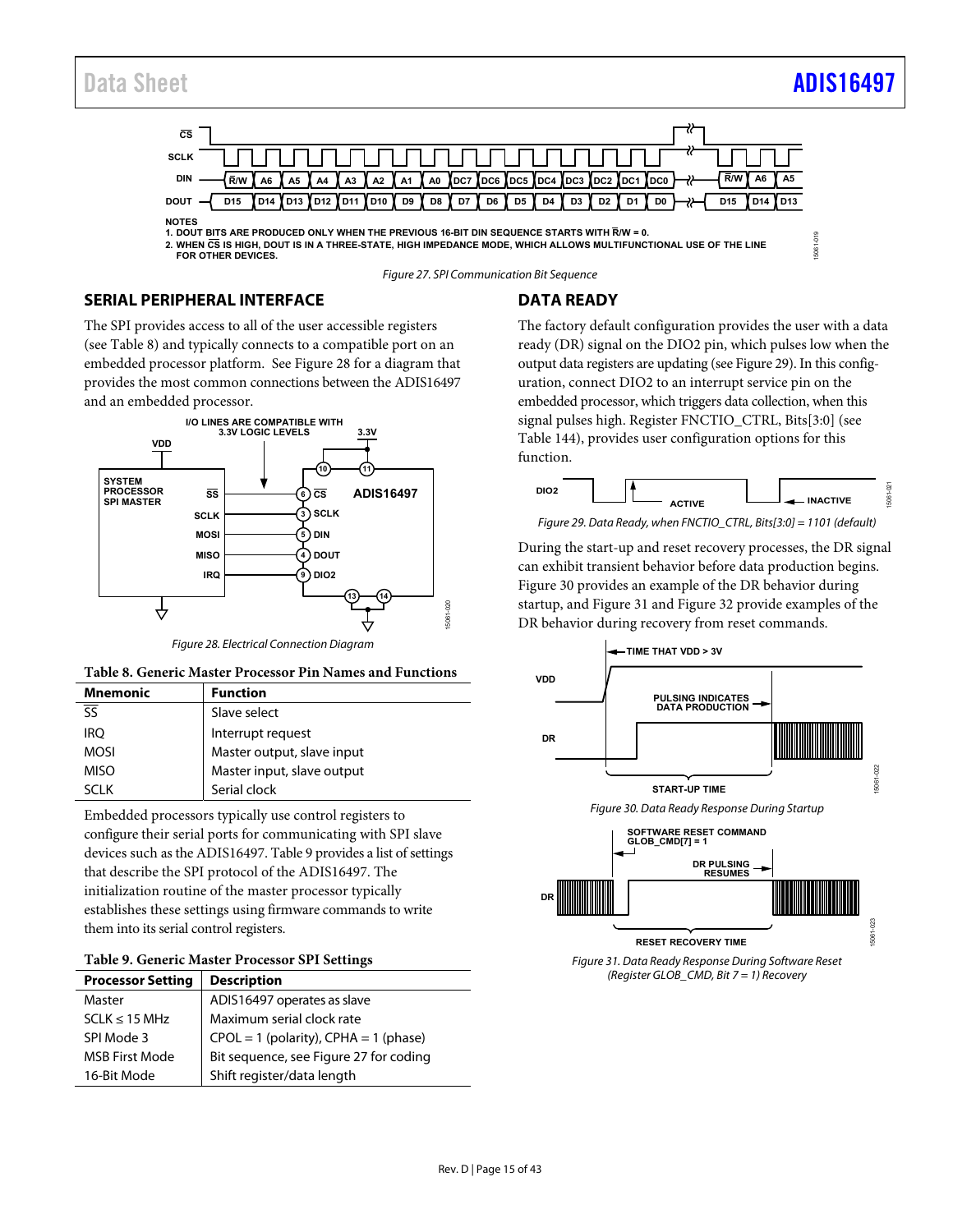## Data Sheet And a sheet Adults and a sheet [ADIS16497](https://www.analog.com/ADIS16497?doc=ADIS16497.pdf) and a sheet ADIS16497

15061-019

 $5061$ 



**2. WHEN CS IS HIGH, DOUT IS IN A THREE-STATE, HIGH IMPEDANCE MODE, WHICH ALLOWS MULTIFUNCTIONAL USE OF THE LINE FOR OTHER DEVICES.**

Figure 27. SPI Communication Bit Sequence

## <span id="page-14-2"></span><span id="page-14-0"></span>**SERIAL PERIPHERAL INTERFACE**

The SPI provides access to all of the user accessible registers (see [Table 8\)](#page-14-3) and typically connects to a compatible port on an embedded processor platform. Se[e Figure 28 f](#page-14-4)or a diagram that provides the most common connections between the ADIS16497 and an embedded processor.



Figure 28. Electrical Connection Diagram

<span id="page-14-4"></span><span id="page-14-3"></span>

| <b>Mnemonic</b> | <b>Function</b>            |  |  |  |  |
|-----------------|----------------------------|--|--|--|--|
|                 | Slave select               |  |  |  |  |
| iro             | Interrupt request          |  |  |  |  |
| <b>MOSI</b>     | Master output, slave input |  |  |  |  |
| <b>MISO</b>     | Master input, slave output |  |  |  |  |
| SCI K           | Serial clock               |  |  |  |  |

Embedded processors typically use control registers to configure their serial ports for communicating with SPI slave devices such as the ADIS16497[. Table 9 p](#page-14-5)rovides a list of settings that describe the SPI protocol of the ADIS16497. The initialization routine of the master processor typically establishes these settings using firmware commands to write them into its serial control registers.

#### <span id="page-14-5"></span>**Table 9. Generic Master Processor SPI Settings**

| <b>Processor Setting</b> | <b>Description</b>                        |  |  |  |  |
|--------------------------|-------------------------------------------|--|--|--|--|
| Master                   | ADIS16497 operates as slave               |  |  |  |  |
| $SCLK \leq 15 MHz$       | Maximum serial clock rate                 |  |  |  |  |
| SPI Mode 3               | $CPOL = 1$ (polarity), $CPHA = 1$ (phase) |  |  |  |  |
| <b>MSB First Mode</b>    | Bit sequence, see Figure 27 for coding    |  |  |  |  |
| 16-Bit Mode              | Shift register/data length                |  |  |  |  |

## <span id="page-14-1"></span>**DATA READY**

The factory default configuration provides the user with a data ready (DR) signal on the DIO2 pin, which pulses low when the output data registers are updating (se[e Figure 29\)](#page-14-6). In this configuration, connect DIO2 to an interrupt service pin on the embedded processor, which triggers data collection, when this signal pulses high. Register FNCTIO\_CTRL, Bits[3:0] (see [Table 144\)](#page-33-1), provides user configuration options for this function.



<span id="page-14-6"></span>Figure 29. Data Ready, when FNCTIO\_CTRL, Bits[3:0] = 1101 (default)

During the start-up and reset recovery processes, the DR signal can exhibit transient behavior before data production begins. [Figure 30](#page-14-7) provides an example of the DR behavior during startup, and [Figure 31 a](#page-14-8)n[d Figure 32 p](#page-15-1)rovide examples of the DR behavior during recovery from reset commands.

<span id="page-14-7"></span>

<span id="page-14-8"></span>Figure 31. Data Ready Response During Software Reset (Register GLOB\_CMD, Bit 7 = 1) Recovery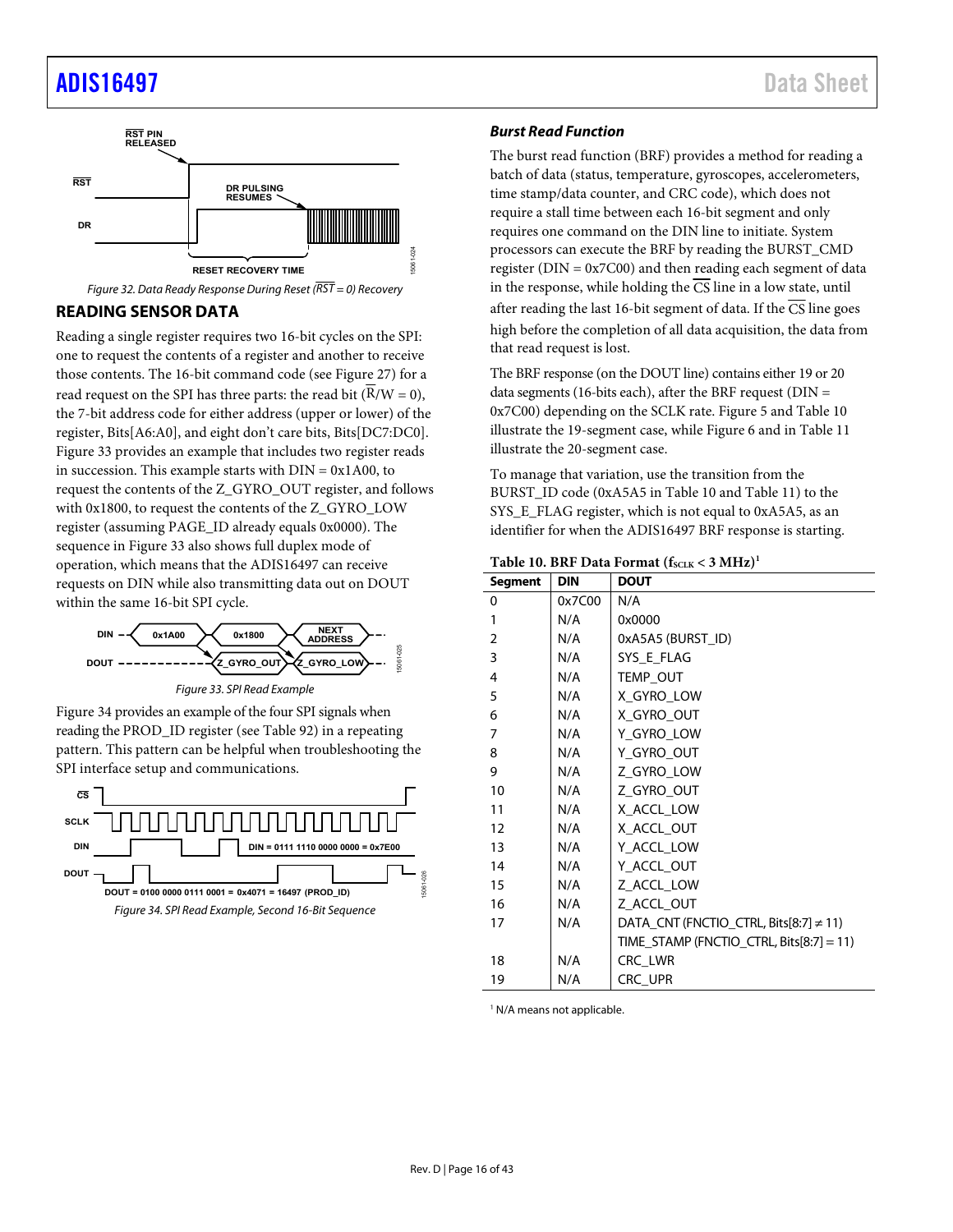## [ADIS16497](https://www.analog.com/ADIS16497?doc=ADIS16497.pdf) Data Sheet



<span id="page-15-1"></span>Figure 32. Data Ready Response During Reset ( $\overline{RST} = 0$ ) Recovery

## <span id="page-15-0"></span>**READING SENSOR DATA**

Reading a single register requires two 16-bit cycles on the SPI: one to request the contents of a register and another to receive those contents. The 16-bit command code (se[e Figure 27\)](#page-14-2) for a read request on the SPI has three parts: the read bit  $(\overline{R}/W = 0)$ , the 7-bit address code for either address (upper or lower) of the register, Bits[A6:A0], and eight don't care bits, Bits[DC7:DC0]. [Figure 33](#page-15-2) provides an example that includes two register reads in succession. This example starts with  $DIN = 0x1A00$ , to request the contents of the Z\_GYRO\_OUT register, and follows with 0x1800, to request the contents of the Z\_GYRO\_LOW register (assuming PAGE\_ID already equals 0x0000). The sequence in [Figure 33 a](#page-15-2)lso shows full duplex mode of operation, which means that the ADIS16497 can receive requests on DIN while also transmitting data out on DOUT within the same 16-bit SPI cycle.



<span id="page-15-2"></span>[Figure 34 p](#page-15-3)rovides an example of the four SPI signals when reading the PROD\_ID register (see [Table 92\)](#page-28-2) in a repeating pattern. This pattern can be helpful when troubleshooting the SPI interface setup and communications.

<span id="page-15-3"></span>

### **Burst Read Function**

The burst read function (BRF) provides a method for reading a batch of data (status, temperature, gyroscopes, accelerometers, time stamp/data counter, and CRC code), which does not require a stall time between each 16-bit segment and only requires one command on the DIN line to initiate. System processors can execute the BRF by reading the BURST\_CMD register ( $DIN = 0x7C00$ ) and then reading each segment of data in the response, while holding the CS line in a low state, until after reading the last 16-bit segment of data. If the  $\overline{\text{CS}}$  line goes high before the completion of all data acquisition, the data from that read request is lost.

The BRF response (on the DOUT line) contains either 19 or 20 data segments (16-bits each), after the BRF request ( $DIN =$ 0x7C00) depending on the SCLK rate. [Figure 5](#page-7-0) and [Table 10](#page-15-4)  illustrate the 19-segment case, while [Figure 6 a](#page-7-1)nd in [Table 11](#page-16-1)  illustrate the 20-segment case.

To manage that variation, use the transition from the BURST\_ID code (0xA5A5 i[n Table 10 a](#page-15-4)nd [Table 11\)](#page-16-1) to the SYS\_E\_FLAG register, which is not equal to 0xA5A5, as an identifier for when the ADIS16497 BRF response is starting.

#### <span id="page-15-4"></span>Table 10. BRF Data Format  $(f_{SCLK} < 3 \text{ MHz})$ <sup>1</sup>

| Segment      | <b>DIN</b> | <b>DOUT</b>                                 |  |  |  |  |
|--------------|------------|---------------------------------------------|--|--|--|--|
| 0            | 0x7C00     | N/A                                         |  |  |  |  |
| $\mathbf{1}$ | N/A        | 0x0000                                      |  |  |  |  |
| 2            | N/A        | 0xA5A5 (BURST_ID)                           |  |  |  |  |
| 3            | N/A        | SYS E FLAG                                  |  |  |  |  |
| 4            | N/A        | TEMP OUT                                    |  |  |  |  |
| 5            | N/A        | X_GYRO_LOW                                  |  |  |  |  |
| 6            | N/A        | X GYRO OUT                                  |  |  |  |  |
| 7            | N/A        | Y_GYRO_LOW                                  |  |  |  |  |
| 8            | N/A        | Y_GYRO_OUT                                  |  |  |  |  |
| 9            | N/A        | Z_GYRO_LOW                                  |  |  |  |  |
| 10           | N/A        | Z_GYRO_OUT                                  |  |  |  |  |
| 11           | N/A        | X_ACCL_LOW                                  |  |  |  |  |
| 12           | N/A        | X_ACCL_OUT                                  |  |  |  |  |
| 13           | N/A        | Y_ACCL_LOW                                  |  |  |  |  |
| 14           | N/A        | Y_ACCL_OUT                                  |  |  |  |  |
| 15           | N/A        | Z ACCL LOW                                  |  |  |  |  |
| 16           | N/A        | Z_ACCL_OUT                                  |  |  |  |  |
| 17           | N/A        | DATA_CNT (FNCTIO_CTRL, Bits[8:7] $\neq$ 11) |  |  |  |  |
|              |            | TIME STAMP (FNCTIO CTRL, Bits[8:7] = 11)    |  |  |  |  |
| 18           | N/A        | CRC LWR                                     |  |  |  |  |
| 19           | N/A        | CRC UPR                                     |  |  |  |  |

1 N/A means not applicable.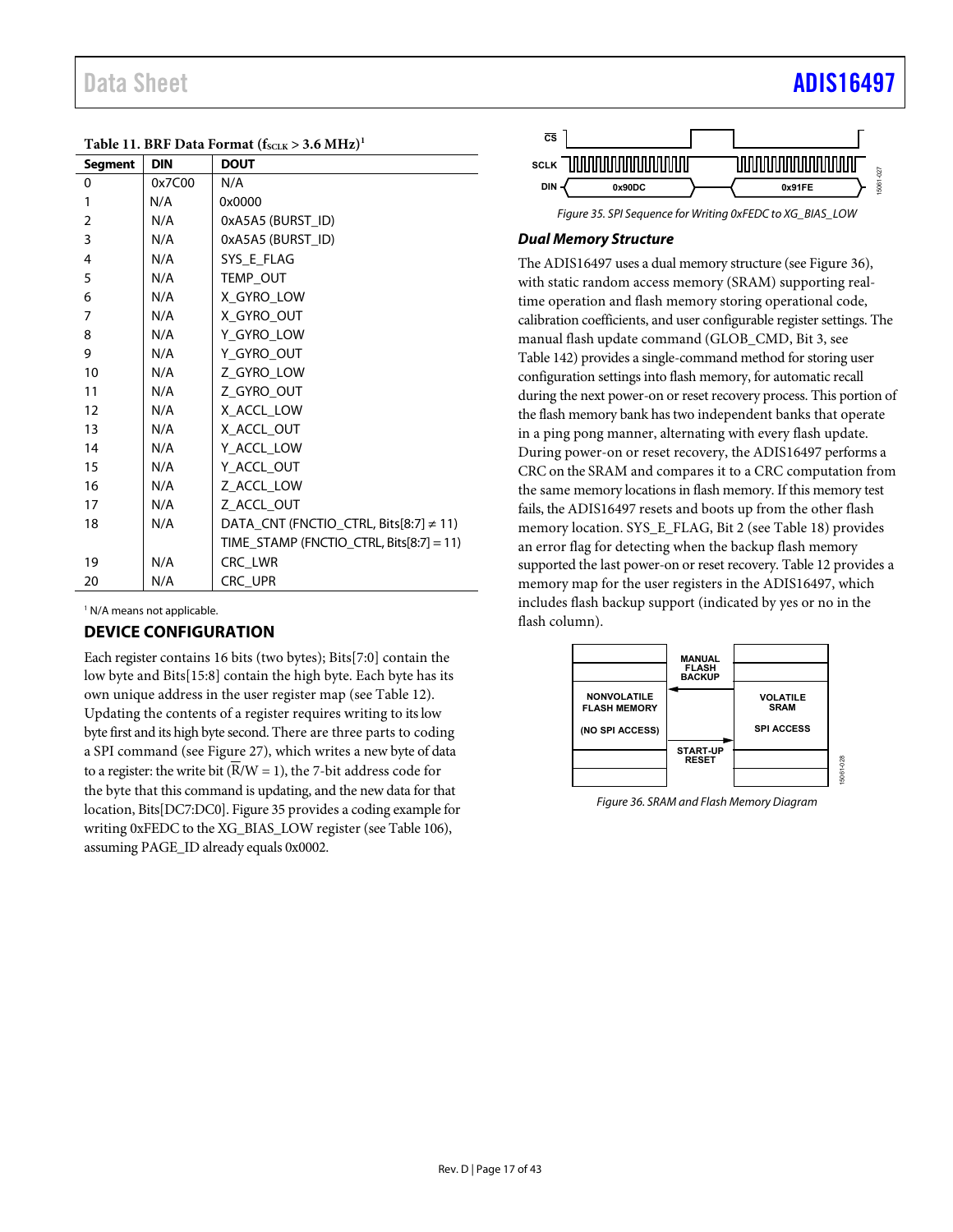<span id="page-16-1"></span>

| Table 11. BRF Data Format $(f_{SCLK} > 3.6 \text{ MHz})^1$ |            |                                             |  |  |  |  |  |
|------------------------------------------------------------|------------|---------------------------------------------|--|--|--|--|--|
| <b>Segment</b>                                             | <b>DIN</b> | <b>DOUT</b>                                 |  |  |  |  |  |
| $\Omega$                                                   | 0x7C00     | N/A                                         |  |  |  |  |  |
| 1                                                          | N/A        | 0x0000                                      |  |  |  |  |  |
| $\overline{2}$                                             | N/A        | 0xA5A5 (BURST_ID)                           |  |  |  |  |  |
| 3                                                          | N/A        | 0xA5A5 (BURST_ID)                           |  |  |  |  |  |
| 4                                                          | N/A        | SYS E FLAG                                  |  |  |  |  |  |
| 5                                                          | N/A        | TEMP_OUT                                    |  |  |  |  |  |
| 6                                                          | N/A        | X_GYRO_LOW                                  |  |  |  |  |  |
| 7                                                          | N/A        | X_GYRO_OUT                                  |  |  |  |  |  |
| 8                                                          | N/A        | Y_GYRO_LOW                                  |  |  |  |  |  |
| 9                                                          | N/A        | Y_GYRO_OUT                                  |  |  |  |  |  |
| 10                                                         | N/A        | Z_GYRO_LOW                                  |  |  |  |  |  |
| 11                                                         | N/A        | Z_GYRO_OUT                                  |  |  |  |  |  |
| 12                                                         | N/A        | X_ACCL_LOW                                  |  |  |  |  |  |
| 13                                                         | N/A        | X_ACCL_OUT                                  |  |  |  |  |  |
| 14                                                         | N/A        | Y_ACCL_LOW                                  |  |  |  |  |  |
| 15                                                         | N/A        | Y_ACCL_OUT                                  |  |  |  |  |  |
| 16                                                         | N/A        | Z_ACCL_LOW                                  |  |  |  |  |  |
| 17                                                         | N/A        | Z_ACCL_OUT                                  |  |  |  |  |  |
| 18                                                         | N/A        | DATA_CNT (FNCTIO_CTRL, Bits[8:7] $\neq$ 11) |  |  |  |  |  |
|                                                            |            | TIME_STAMP (FNCTIO_CTRL, Bits[8:7] = 11)    |  |  |  |  |  |
| 19                                                         | N/A        | CRC_LWR                                     |  |  |  |  |  |
| 20                                                         | N/A        | CRC UPR                                     |  |  |  |  |  |

1 N/A means not applicable.

## <span id="page-16-0"></span>**DEVICE CONFIGURATION**

Each register contains 16 bits (two bytes); Bits[7:0] contain the low byte and Bits[15:8] contain the high byte. Each byte has its own unique address in the user register map (se[e Table 12\)](#page-17-1). Updating the contents of a register requires writing to its low byte first and its high byte second. There are three parts to coding a SPI command (se[e Figure 27\)](#page-14-2), which writes a new byte of data to a register: the write bit  $(\overline{R}/W = 1)$ , the 7-bit address code for the byte that this command is updating, and the new data for that location, Bits[DC7:DC0][. Figure 35](#page-16-2) provides a coding example for writing 0xFEDC to the XG\_BIAS\_LOW register (se[e Table 106\)](#page-29-1), assuming PAGE\_ID already equals 0x0002.





## <span id="page-16-2"></span>**Dual Memory Structure**

The ADIS16497 uses a dual memory structure (se[e Figure 36\)](#page-16-3), with static random access memory (SRAM) supporting realtime operation and flash memory storing operational code, calibration coefficients, and user configurable register settings. The manual flash update command (GLOB\_CMD, Bit 3, see [Table 142\)](#page-32-1) provides a single-command method for storing user configuration settings into flash memory, for automatic recall during the next power-on or reset recovery process. This portion of the flash memory bank has two independent banks that operate in a ping pong manner, alternating with every flash update. During power-on or reset recovery, the ADIS16497 performs a CRC on the SRAM and compares it to a CRC computation from the same memory locations in flash memory. If this memory test fails, the ADIS16497 resets and boots up from the other flash memory location. SYS\_E\_FLAG, Bit 2 (se[e Table 18\)](#page-20-4) provides an error flag for detecting when the backup flash memory supported the last power-on or reset recovery[. Table 12 p](#page-17-1)rovides a memory map for the user registers in the ADIS16497, which includes flash backup support (indicated by yes or no in the flash column).



<span id="page-16-3"></span>Figure 36. SRAM and Flash Memory Diagram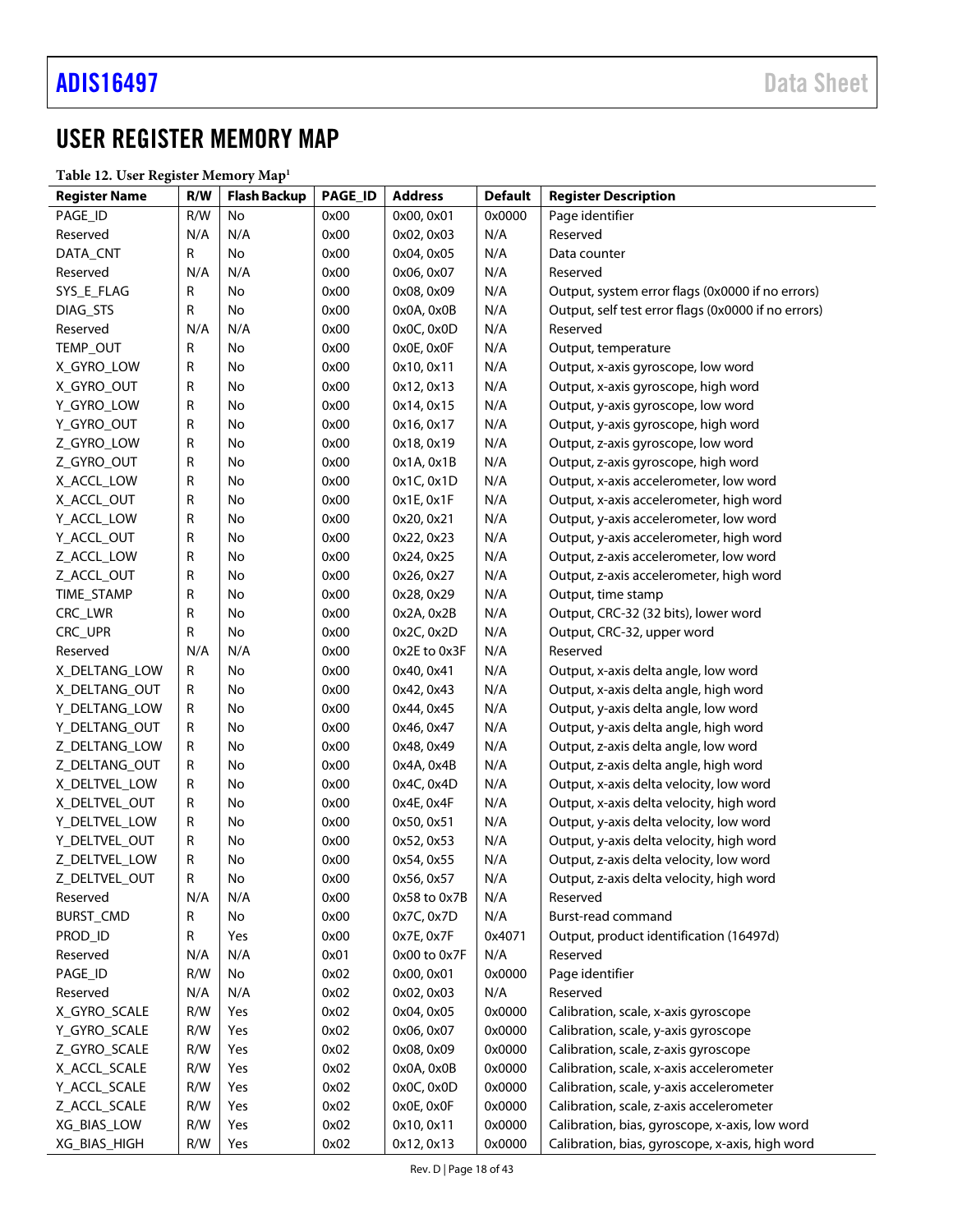## <span id="page-17-0"></span>USER REGISTER MEMORY MAP

<span id="page-17-1"></span>**Table 12. User Register Memory Map1**

| Table 12. Osci Registel memory map |           |                     | PAGE_ID |                 | <b>Default</b> |                                                     |
|------------------------------------|-----------|---------------------|---------|-----------------|----------------|-----------------------------------------------------|
| <b>Register Name</b>               | R/W       | <b>Flash Backup</b> |         | <b>Address</b>  |                | <b>Register Description</b>                         |
| PAGE_ID                            | R/W       | No                  | 0x00    | 0x00, 0x01      | 0x0000         | Page identifier                                     |
| Reserved                           | N/A       | N/A                 | 0x00    | 0x02, 0x03      | N/A            | Reserved                                            |
| DATA_CNT                           | R         | No                  | 0x00    | 0x04, 0x05      | N/A            | Data counter                                        |
| Reserved                           | N/A       | N/A                 | 0x00    | 0x06, 0x07      | N/A            | Reserved                                            |
| SYS_E_FLAG                         | R         | No                  | 0x00    | 0x08, 0x09      | N/A            | Output, system error flags (0x0000 if no errors)    |
| DIAG_STS                           | R         | No                  | 0x00    | 0x0A, 0x0B      | N/A            | Output, self test error flags (0x0000 if no errors) |
| Reserved                           | N/A       | N/A                 | 0x00    | 0x0C, 0x0D      | N/A            | Reserved                                            |
| TEMP_OUT                           | R         | No                  | 0x00    | 0x0E, 0x0F      | N/A            | Output, temperature                                 |
| X_GYRO_LOW                         | R         | No                  | 0x00    | 0x10, 0x11      | N/A            | Output, x-axis gyroscope, low word                  |
| X_GYRO_OUT                         | R         | No                  | 0x00    | 0x12, 0x13      | N/A            | Output, x-axis gyroscope, high word                 |
| Y_GYRO_LOW                         | R         | No                  | 0x00    | 0x14, 0x15      | N/A            | Output, y-axis gyroscope, low word                  |
| Y_GYRO_OUT                         | R         | No                  | 0x00    | 0x16, 0x17      | N/A            | Output, y-axis gyroscope, high word                 |
| Z_GYRO_LOW                         | R         | No                  | 0x00    | 0x18, 0x19      | N/A            | Output, z-axis gyroscope, low word                  |
| Z_GYRO_OUT                         | R         | No                  | 0x00    | 0x1A, 0x1B      | N/A            | Output, z-axis gyroscope, high word                 |
| X_ACCL_LOW                         | R         | No                  | 0x00    | 0x1C, 0x1D      | N/A            | Output, x-axis accelerometer, low word              |
| X_ACCL_OUT                         | R         | No                  | 0x00    | $0x1E$ , $0x1F$ | N/A            | Output, x-axis accelerometer, high word             |
| Y_ACCL_LOW                         | R         | No                  | 0x00    | 0x20, 0x21      | N/A            | Output, y-axis accelerometer, low word              |
| Y_ACCL_OUT                         | R         | No                  | 0x00    | 0x22, 0x23      | N/A            | Output, y-axis accelerometer, high word             |
| Z_ACCL_LOW                         | R         | No                  | 0x00    | 0x24, 0x25      | N/A            | Output, z-axis accelerometer, low word              |
| Z_ACCL_OUT                         | R         | No                  | 0x00    | 0x26, 0x27      | N/A            | Output, z-axis accelerometer, high word             |
| TIME_STAMP                         | R         | No                  | 0x00    | 0x28, 0x29      | N/A            | Output, time stamp                                  |
| CRC_LWR                            | R         | No                  | 0x00    | 0x2A, 0x2B      | N/A            | Output, CRC-32 (32 bits), lower word                |
| CRC_UPR                            | R         | No                  | 0x00    | 0x2C, 0x2D      | N/A            | Output, CRC-32, upper word                          |
| Reserved                           | N/A       | N/A                 | 0x00    | 0x2E to 0x3F    | N/A            | Reserved                                            |
| X_DELTANG_LOW                      | ${\sf R}$ | No                  | 0x00    | 0x40, 0x41      | N/A            | Output, x-axis delta angle, low word                |
| X_DELTANG_OUT                      | R         | No                  | 0x00    | 0x42, 0x43      | N/A            | Output, x-axis delta angle, high word               |
| Y_DELTANG_LOW                      | R         | No                  | 0x00    | 0x44, 0x45      | N/A            | Output, y-axis delta angle, low word                |
| Y_DELTANG_OUT                      | R         | No                  | 0x00    | 0x46, 0x47      | N/A            | Output, y-axis delta angle, high word               |
| Z_DELTANG_LOW                      | R         | No                  | 0x00    | 0x48, 0x49      | N/A            | Output, z-axis delta angle, low word                |
| Z_DELTANG_OUT                      | R         | No                  | 0x00    | 0x4A, 0x4B      | N/A            | Output, z-axis delta angle, high word               |
| X_DELTVEL_LOW                      | R         | No                  | 0x00    | 0x4C, 0x4D      | N/A            | Output, x-axis delta velocity, low word             |
| X_DELTVEL_OUT                      | R         | No                  | 0x00    | 0x4E, 0x4F      | N/A            | Output, x-axis delta velocity, high word            |
| Y_DELTVEL_LOW                      | R         | No                  | 0x00    | 0x50, 0x51      | N/A            | Output, y-axis delta velocity, low word             |
| Y_DELTVEL_OUT                      | R         | No                  | 0x00    | 0x52, 0x53      | N/A            | Output, y-axis delta velocity, high word            |
| Z_DELTVEL_LOW                      | R         | No                  | 0x00    | 0x54, 0x55      | N/A            | Output, z-axis delta velocity, low word             |
| Z_DELTVEL_OUT                      | R         | No                  | 0x00    | 0x56, 0x57      | N/A            | Output, z-axis delta velocity, high word            |
| Reserved                           | N/A       | N/A                 | 0x00    | 0x58 to 0x7B    | N/A            | Reserved                                            |
| <b>BURST_CMD</b>                   | R         | No                  | 0x00    | 0x7C, 0x7D      | N/A            | Burst-read command                                  |
| PROD_ID                            | R         | Yes                 | 0x00    | 0x7E, 0x7F      | 0x4071         | Output, product identification (16497d)             |
| Reserved                           | N/A       | N/A                 | 0x01    | 0x00 to 0x7F    | N/A            | Reserved                                            |
| PAGE_ID                            | R/W       | No                  | 0x02    | 0x00, 0x01      | 0x0000         | Page identifier                                     |
| Reserved                           | N/A       | N/A                 | 0x02    | 0x02, 0x03      | N/A            | Reserved                                            |
| X_GYRO_SCALE                       | R/W       | Yes                 | 0x02    | 0x04, 0x05      | 0x0000         | Calibration, scale, x-axis gyroscope                |
| Y_GYRO_SCALE                       | R/W       | Yes                 | 0x02    | 0x06, 0x07      | 0x0000         | Calibration, scale, y-axis gyroscope                |
| Z_GYRO_SCALE                       | R/W       | Yes                 | 0x02    | 0x08, 0x09      | 0x0000         | Calibration, scale, z-axis gyroscope                |
| X_ACCL_SCALE                       | R/W       | Yes                 | 0x02    | 0x0A, 0x0B      | 0x0000         | Calibration, scale, x-axis accelerometer            |
| Y_ACCL_SCALE                       | R/W       | Yes                 | 0x02    | 0x0C, 0x0D      | 0x0000         | Calibration, scale, y-axis accelerometer            |
| Z_ACCL_SCALE                       | R/W       | Yes                 | 0x02    | 0x0E, 0x0F      | 0x0000         | Calibration, scale, z-axis accelerometer            |
| XG_BIAS_LOW                        | R/W       |                     |         |                 | 0x0000         |                                                     |
|                                    |           | Yes                 | 0x02    | 0x10, 0x11      |                | Calibration, bias, gyroscope, x-axis, low word      |
| XG_BIAS_HIGH                       | R/W       | Yes                 | 0x02    | 0x12, 0x13      | 0x0000         | Calibration, bias, gyroscope, x-axis, high word     |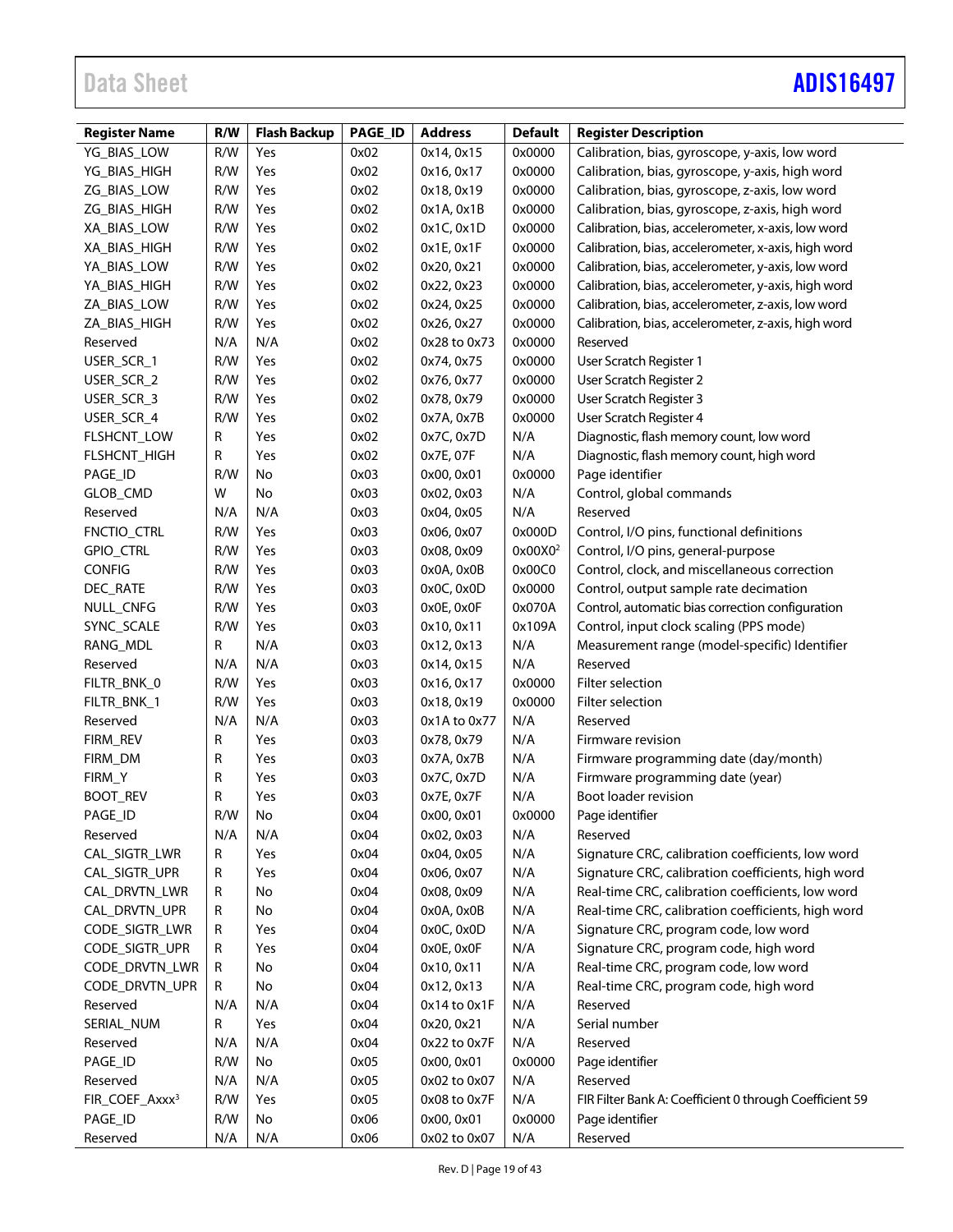# Data Sheet **[ADIS16497](https://www.analog.com/ADIS16497?doc=ADIS16497.pdf)**

| <b>Register Name</b>       | R/W | <b>Flash Backup</b> | PAGE_ID | <b>Address</b> | <b>Default</b>      | <b>Register Description</b>                             |
|----------------------------|-----|---------------------|---------|----------------|---------------------|---------------------------------------------------------|
| YG_BIAS_LOW                | R/W | Yes                 | 0x02    | 0x14, 0x15     | 0x0000              | Calibration, bias, gyroscope, y-axis, low word          |
| YG_BIAS_HIGH               | R/W | Yes                 | 0x02    | 0x16, 0x17     | 0x0000              | Calibration, bias, gyroscope, y-axis, high word         |
| ZG_BIAS_LOW                | R/W | Yes                 | 0x02    | 0x18, 0x19     | 0x0000              | Calibration, bias, gyroscope, z-axis, low word          |
| ZG_BIAS_HIGH               | R/W | Yes                 | 0x02    | 0x1A, 0x1B     | 0x0000              | Calibration, bias, gyroscope, z-axis, high word         |
| XA BIAS LOW                | R/W | Yes                 | 0x02    | 0x1C, 0x1D     | 0x0000              | Calibration, bias, accelerometer, x-axis, low word      |
| XA_BIAS_HIGH               | R/W | Yes                 | 0x02    | 0x1E, 0x1F     | 0x0000              | Calibration, bias, accelerometer, x-axis, high word     |
| YA_BIAS_LOW                | R/W | Yes                 | 0x02    | 0x20, 0x21     | 0x0000              | Calibration, bias, accelerometer, y-axis, low word      |
| YA_BIAS_HIGH               | R/W | Yes                 | 0x02    | 0x22, 0x23     | 0x0000              | Calibration, bias, accelerometer, y-axis, high word     |
| ZA_BIAS_LOW                | R/W | Yes                 | 0x02    | 0x24, 0x25     | 0x0000              | Calibration, bias, accelerometer, z-axis, low word      |
| ZA_BIAS_HIGH               | R/W | Yes                 | 0x02    | 0x26, 0x27     | 0x0000              | Calibration, bias, accelerometer, z-axis, high word     |
| Reserved                   | N/A | N/A                 | 0x02    | 0x28 to 0x73   | 0x0000              | Reserved                                                |
| USER_SCR_1                 | R/W | Yes                 | 0x02    | 0x74, 0x75     | 0x0000              | User Scratch Register 1                                 |
| USER_SCR_2                 | R/W | Yes                 | 0x02    | 0x76, 0x77     | 0x0000              | User Scratch Register 2                                 |
| USER_SCR_3                 | R/W | Yes                 | 0x02    | 0x78, 0x79     | 0x0000              | User Scratch Register 3                                 |
| USER_SCR_4                 | R/W | Yes                 | 0x02    | 0x7A, 0x7B     | 0x0000              | User Scratch Register 4                                 |
| FLSHCNT_LOW                | R   | Yes                 | 0x02    | 0x7C, 0x7D     | N/A                 | Diagnostic, flash memory count, low word                |
| FLSHCNT_HIGH               | R   | Yes                 | 0x02    | 0x7E, 07F      | N/A                 | Diagnostic, flash memory count, high word               |
| PAGE_ID                    | R/W | No                  | 0x03    | 0x00, 0x01     | 0x0000              | Page identifier                                         |
| GLOB_CMD                   | W   | No                  | 0x03    | 0x02, 0x03     | N/A                 | Control, global commands                                |
| Reserved                   | N/A | N/A                 | 0x03    | 0x04, 0x05     | N/A                 | Reserved                                                |
| FNCTIO_CTRL                | R/W | Yes                 | 0x03    | 0x06, 0x07     | 0x000D              | Control, I/O pins, functional definitions               |
| <b>GPIO_CTRL</b>           | R/W | Yes                 | 0x03    | 0x08, 0x09     | 0x00X0 <sup>2</sup> | Control, I/O pins, general-purpose                      |
| <b>CONFIG</b>              | R/W | Yes                 | 0x03    | 0x0A, 0x0B     | 0x00C0              | Control, clock, and miscellaneous correction            |
| DEC_RATE                   | R/W | Yes                 | 0x03    | 0x0C, 0x0D     | 0x0000              | Control, output sample rate decimation                  |
| NULL_CNFG                  | R/W | Yes                 | 0x03    | 0x0E, 0x0F     | 0x070A              | Control, automatic bias correction configuration        |
| SYNC_SCALE                 | R/W | Yes                 | 0x03    | 0x10, 0x11     | 0x109A              | Control, input clock scaling (PPS mode)                 |
| RANG_MDL                   | R   | N/A                 | 0x03    | 0x12, 0x13     | N/A                 | Measurement range (model-specific) Identifier           |
| Reserved                   | N/A | N/A                 | 0x03    | 0x14, 0x15     | N/A                 | Reserved                                                |
| FILTR_BNK_0                | R/W | Yes                 | 0x03    | 0x16, 0x17     | 0x0000              | Filter selection                                        |
| FILTR_BNK_1                | R/W | Yes                 | 0x03    | 0x18, 0x19     | 0x0000              | Filter selection                                        |
| Reserved                   | N/A | N/A                 | 0x03    | 0x1A to 0x77   | N/A                 | Reserved                                                |
| FIRM_REV                   | R   | Yes                 | 0x03    | 0x78, 0x79     | N/A                 | Firmware revision                                       |
| FIRM_DM                    | R   | Yes                 | 0x03    | 0x7A, 0x7B     | N/A                 | Firmware programming date (day/month)                   |
| FIRM_Y                     | R   | Yes                 | 0x03    | 0x7C, 0x7D     | N/A                 | Firmware programming date (year)                        |
| <b>BOOT_REV</b>            | R   | Yes                 | 0x03    | 0x7E, 0x7F     | N/A                 | Boot loader revision                                    |
| PAGE_ID                    | R/W | No                  | 0x04    | 0x00, 0x01     | 0x0000              | Page identifier                                         |
| Reserved                   | N/A | N/A                 | 0x04    | 0x02, 0x03     | N/A                 | Reserved                                                |
| CAL_SIGTR_LWR              | R   | Yes                 | 0x04    | 0x04, 0x05     | N/A                 | Signature CRC, calibration coefficients, low word       |
| CAL_SIGTR_UPR              | R   | Yes                 | 0x04    | 0x06, 0x07     | N/A                 | Signature CRC, calibration coefficients, high word      |
| CAL_DRVTN_LWR              | R   | No                  | 0x04    | 0x08, 0x09     | N/A                 | Real-time CRC, calibration coefficients, low word       |
| CAL_DRVTN_UPR              | R   | No                  | 0x04    | 0x0A, 0x0B     | N/A                 | Real-time CRC, calibration coefficients, high word      |
| CODE_SIGTR_LWR             | R   | Yes                 | 0x04    | 0x0C, 0x0D     | N/A                 | Signature CRC, program code, low word                   |
| CODE_SIGTR_UPR             | R   | Yes                 | 0x04    | 0x0E, 0x0F     | N/A                 | Signature CRC, program code, high word                  |
| CODE_DRVTN_LWR             | R   | No                  | 0x04    | 0x10, 0x11     | N/A                 | Real-time CRC, program code, low word                   |
| CODE_DRVTN_UPR             | R   | No                  | 0x04    | 0x12, 0x13     | N/A                 | Real-time CRC, program code, high word                  |
| Reserved                   | N/A | N/A                 | 0x04    | 0x14 to 0x1F   | N/A                 | Reserved                                                |
| SERIAL_NUM                 | R   | Yes                 | 0x04    | 0x20, 0x21     | N/A                 | Serial number                                           |
| Reserved                   | N/A | N/A                 | 0x04    | 0x22 to 0x7F   | N/A                 | Reserved                                                |
| PAGE_ID                    | R/W | No                  | 0x05    | 0x00, 0x01     | 0x0000              | Page identifier                                         |
| Reserved                   | N/A | N/A                 | 0x05    | 0x02 to 0x07   | N/A                 | Reserved                                                |
| FIR_COEF_Axxx <sup>3</sup> | R/W | Yes                 | 0x05    | 0x08 to 0x7F   | N/A                 | FIR Filter Bank A: Coefficient 0 through Coefficient 59 |
| PAGE_ID                    | R/W | No                  | 0x06    | 0x00, 0x01     | 0x0000              | Page identifier                                         |
| Reserved                   | N/A | N/A                 | 0x06    | 0x02 to 0x07   | N/A                 | Reserved                                                |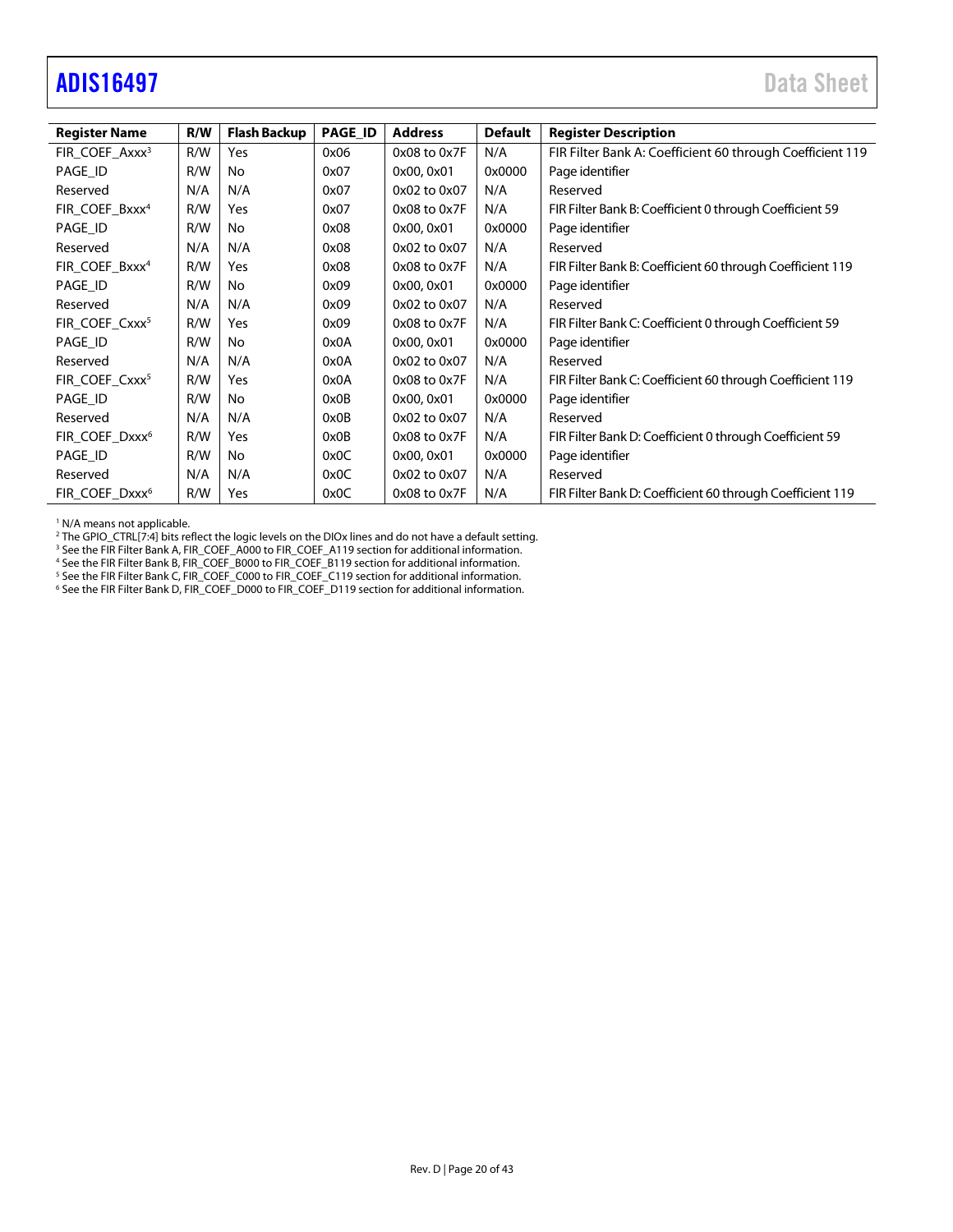## <span id="page-19-0"></span>[ADIS16497](https://www.analog.com/ADIS16497?doc=ADIS16497.pdf) Data Sheet

| <b>Register Name</b>       | R/W | <b>Flash Backup</b> | PAGE_ID | <b>Address</b>   | <b>Default</b> | <b>Register Description</b>                               |
|----------------------------|-----|---------------------|---------|------------------|----------------|-----------------------------------------------------------|
| FIR_COEF_Axxx <sup>3</sup> | R/W | Yes                 | 0x06    | $0x08$ to $0x7F$ | N/A            | FIR Filter Bank A: Coefficient 60 through Coefficient 119 |
| PAGE_ID                    | R/W | No.                 | 0x07    | 0x00, 0x01       | 0x0000         | Page identifier                                           |
| Reserved                   | N/A | N/A                 | 0x07    | 0x02 to 0x07     | N/A            | Reserved                                                  |
| FIR COEF Bxxx <sup>4</sup> | R/W | Yes                 | 0x07    | 0x08 to 0x7F     | N/A            | FIR Filter Bank B: Coefficient 0 through Coefficient 59   |
| PAGE_ID                    | R/W | No                  | 0x08    | 0x00, 0x01       | 0x0000         | Page identifier                                           |
| Reserved                   | N/A | N/A                 | 0x08    | 0x02 to 0x07     | N/A            | Reserved                                                  |
| FIR_COEF_Bxxx <sup>4</sup> | R/W | Yes                 | 0x08    | 0x08 to 0x7F     | N/A            | FIR Filter Bank B: Coefficient 60 through Coefficient 119 |
| PAGE ID                    | R/W | No                  | 0x09    | 0x00, 0x01       | 0x0000         | Page identifier                                           |
| Reserved                   | N/A | N/A                 | 0x09    | 0x02 to 0x07     | N/A            | Reserved                                                  |
| FIR_COEF_Cxxx <sup>5</sup> | R/W | Yes                 | 0x09    | 0x08 to 0x7F     | N/A            | FIR Filter Bank C: Coefficient 0 through Coefficient 59   |
| PAGE_ID                    | R/W | No                  | 0x0A    | 0x00, 0x01       | 0x0000         | Page identifier                                           |
| Reserved                   | N/A | N/A                 | 0x0A    | 0x02 to 0x07     | N/A            | Reserved                                                  |
| FIR COEF Cxxx <sup>5</sup> | R/W | Yes                 | 0x0A    | 0x08 to 0x7F     | N/A            | FIR Filter Bank C: Coefficient 60 through Coefficient 119 |
| PAGE ID                    | R/W | No                  | 0x0B    | 0x00, 0x01       | 0x0000         | Page identifier                                           |
| Reserved                   | N/A | N/A                 | 0x0B    | 0x02 to 0x07     | N/A            | Reserved                                                  |
| FIR_COEF_Dxxx <sup>6</sup> | R/W | Yes                 | 0x0B    | 0x08 to 0x7F     | N/A            | FIR Filter Bank D: Coefficient 0 through Coefficient 59   |
| PAGE_ID                    | R/W | No.                 | 0x0C    | 0x00, 0x01       | 0x0000         | Page identifier                                           |
| Reserved                   | N/A | N/A                 | 0x0C    | 0x02 to 0x07     | N/A            | Reserved                                                  |
| FIR COEF Dxxx <sup>6</sup> | R/W | Yes                 | 0x0C    | 0x08 to 0x7F     | N/A            | FIR Filter Bank D: Coefficient 60 through Coefficient 119 |

<sup>1</sup> N/A means not applicable.

<sup>2</sup> The GPIO\_CTRL[7:4] bits reflect the logic levels on the DIOx lines and do not have a default setting.<br><sup>3</sup> See th[e FIR Filter Bank A, FIR\\_COEF\\_A000 to FIR\\_COEF\\_A119 s](#page-36-4)ection for additional information.<br><sup>4</sup> See the FIR Fi

<sup>4</sup> See th[e FIR Filter Bank B, FIR\\_COEF\\_B000 to FIR\\_COEF\\_B119 s](#page-37-1)ection for additional information.<br><sup>5</sup> See the FIR Filter Bank C. FIR\_COEF\_C000 to FIR\_COEF\_C119 section for additional information.

<sup>s</sup> See th[e FIR Filter Bank C, FIR\\_COEF\\_C000 to FIR\\_COEF\\_C119 s](#page-37-2)ection for additional information.<br><sup>6</sup> See th[e FIR Filter Bank D, FIR\\_COEF\\_D000 to FIR\\_COEF\\_D119 s](#page-37-3)ection for additional information.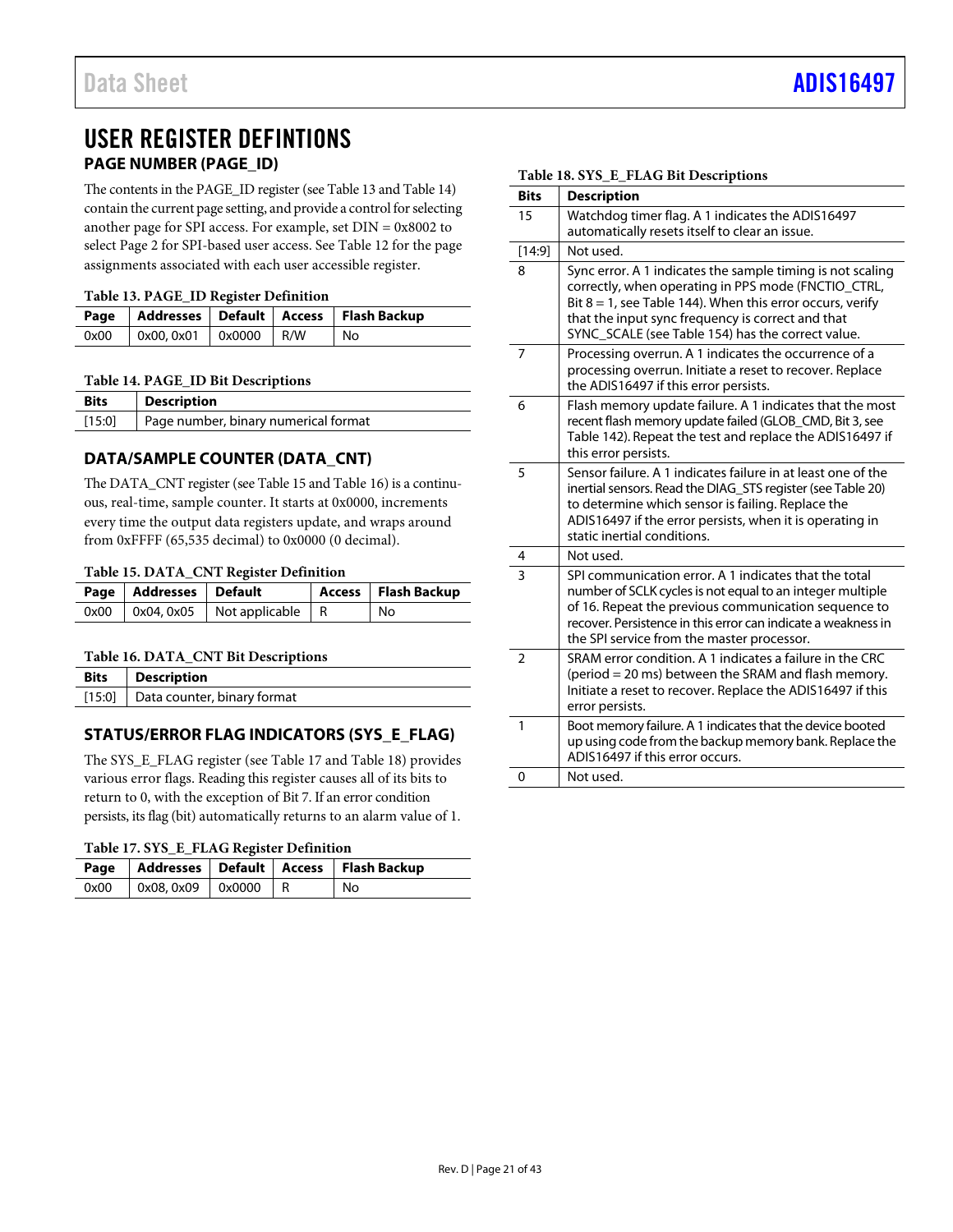## <span id="page-20-0"></span>USER REGISTER DEFINTIONS **PAGE NUMBER (PAGE\_ID)**

<span id="page-20-1"></span>The contents in the PAGE\_ID register (se[e Table 13 a](#page-20-5)n[d Table 14\)](#page-20-6) contain the current page setting, and provide a control for selecting another page for SPI access. For example, set DIN = 0x8002 to select Page 2 for SPI-based user access. See [Table 12 f](#page-17-1)or the page assignments associated with each user accessible register.

#### <span id="page-20-5"></span>**Table 13. PAGE\_ID Register Definition**

| Twore for filled the request D eminition |                                               |  |  |                                                    |  |  |  |  |  |
|------------------------------------------|-----------------------------------------------|--|--|----------------------------------------------------|--|--|--|--|--|
|                                          |                                               |  |  | Page   Addresses   Default   Access   Flash Backup |  |  |  |  |  |
| 0x00                                     | $\vert$ 0x00, 0x01 $\vert$ 0x0000 $\vert$ R/W |  |  | No                                                 |  |  |  |  |  |

## <span id="page-20-6"></span>**Table 14. PAGE\_ID Bit Descriptions**

| <b>Bits</b> | <b>Description</b>                   |
|-------------|--------------------------------------|
| [15:0]      | Page number, binary numerical format |

## <span id="page-20-2"></span>**DATA/SAMPLE COUNTER (DATA\_CNT)**

The DATA\_CNT register (se[e Table 15 a](#page-20-7)n[d Table 16\)](#page-20-8) is a continuous, real-time, sample counter. It starts at 0x0000, increments every time the output data registers update, and wraps around from 0xFFFF (65,535 decimal) to 0x0000 (0 decimal).

#### <span id="page-20-7"></span>**Table 15. DATA\_CNT Register Definition**

| Page   Addresses   Default |                                          | Access   Flash Backup |
|----------------------------|------------------------------------------|-----------------------|
|                            | $0x00$   0x04, 0x05   Not applicable   R | No                    |

#### <span id="page-20-8"></span>**Table 16. DATA\_CNT Bit Descriptions**

| <b>Bits</b>   Description          |
|------------------------------------|
| [15:0] Data counter, binary format |

## <span id="page-20-3"></span>**STATUS/ERROR FLAG INDICATORS (SYS\_E\_FLAG)**

The SYS\_E\_FLAG register (se[e Table 17](#page-20-9) an[d Table 18\)](#page-20-4) provides various error flags. Reading this register causes all of its bits to return to 0, with the exception of Bit 7. If an error condition persists, its flag (bit) automatically returns to an alarm value of 1.

<span id="page-20-9"></span>**Table 17. SYS\_E\_FLAG Register Definition** 

|                                      |  | Page   Addresses   Default   Access   Flash Backup |
|--------------------------------------|--|----------------------------------------------------|
| $0x00$   $0x08, 0x09$   $0x0000$   R |  | No                                                 |

|                | Table 18. SYS E FLAG Bit Descriptions                                                                                                                                                                                                                                                       |
|----------------|---------------------------------------------------------------------------------------------------------------------------------------------------------------------------------------------------------------------------------------------------------------------------------------------|
| <b>Bits</b>    | <b>Description</b>                                                                                                                                                                                                                                                                          |
| 15             | Watchdog timer flag. A 1 indicates the ADIS16497<br>automatically resets itself to clear an issue.                                                                                                                                                                                          |
| [14:9]         | Not used.                                                                                                                                                                                                                                                                                   |
| 8              | Sync error. A 1 indicates the sample timing is not scaling<br>correctly, when operating in PPS mode (FNCTIO_CTRL,<br>Bit $8 = 1$ , see Table 144). When this error occurs, verify<br>that the input sync frequency is correct and that<br>SYNC_SCALE (see Table 154) has the correct value. |
| 7              | Processing overrun. A 1 indicates the occurrence of a<br>processing overrun. Initiate a reset to recover. Replace<br>the ADIS16497 if this error persists.                                                                                                                                  |
| 6              | Flash memory update failure. A 1 indicates that the most<br>recent flash memory update failed (GLOB_CMD, Bit 3, see<br>Table 142). Repeat the test and replace the ADIS16497 if<br>this error persists.                                                                                     |
| 5              | Sensor failure. A 1 indicates failure in at least one of the<br>inertial sensors. Read the DIAG_STS register (see Table 20)<br>to determine which sensor is failing. Replace the<br>ADIS16497 if the error persists, when it is operating in<br>static inertial conditions.                 |
| 4              | Not used.                                                                                                                                                                                                                                                                                   |
| 3              | SPI communication error. A 1 indicates that the total<br>number of SCLK cycles is not equal to an integer multiple<br>of 16. Repeat the previous communication sequence to<br>recover. Persistence in this error can indicate a weakness in<br>the SPI service from the master processor.   |
| $\overline{2}$ | SRAM error condition. A 1 indicates a failure in the CRC<br>(period = 20 ms) between the SRAM and flash memory.<br>Initiate a reset to recover. Replace the ADIS16497 if this<br>error persists.                                                                                            |
| 1              | Boot memory failure. A 1 indicates that the device booted<br>up using code from the backup memory bank. Replace the<br>ADIS16497 if this error occurs.                                                                                                                                      |
| 0              | Not used.                                                                                                                                                                                                                                                                                   |

#### <span id="page-20-4"></span>**Table 18. SYS\_E\_FLAG Bit Descriptions**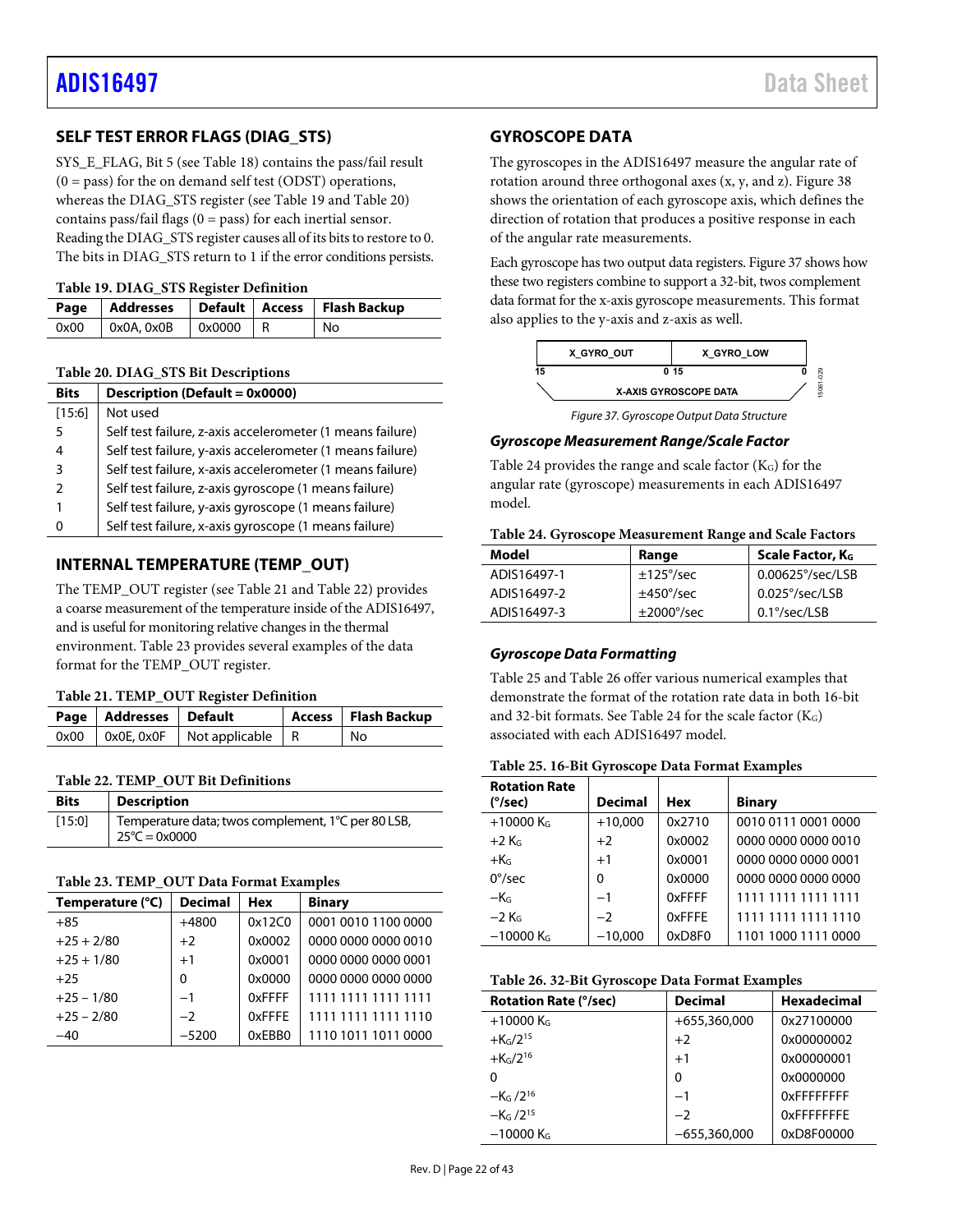## <span id="page-21-0"></span>**SELF TEST ERROR FLAGS (DIAG\_STS)**

SYS\_E\_FLAG, Bit 5 (se[e Table 18\)](#page-20-4) contains the pass/fail result  $(0 = p$ ass) for the on demand self test (ODST) operations, whereas the DIAG\_STS register (se[e Table 19 a](#page-21-4)n[d Table 20\)](#page-21-3) contains pass/fail flags  $(0 = pass)$  for each inertial sensor. Reading the DIAG\_STS register causes all of its bits to restore to 0. The bits in DIAG\_STS return to 1 if the error conditions persists.

## <span id="page-21-4"></span>**Table 19. DIAG\_STS Register Definition**

|      |                                                           |    | Page   Addresses   Default   Access   Flash Backup |
|------|-----------------------------------------------------------|----|----------------------------------------------------|
| 0x00 | $\sqrt{0 \times 0}$ A, $0 \times 0$ B $\sqrt{0 \times 0}$ | IR | No                                                 |

#### <span id="page-21-3"></span>**Table 20. DIAG\_STS Bit Descriptions**

| <b>Bits</b> | Description (Default = $0x0000$ )                         |
|-------------|-----------------------------------------------------------|
| [15:6]      | Not used                                                  |
| 5           | Self test failure, z-axis accelerometer (1 means failure) |
| 4           | Self test failure, y-axis accelerometer (1 means failure) |
| 3           | Self test failure, x-axis accelerometer (1 means failure) |
|             | Self test failure, z-axis gyroscope (1 means failure)     |
|             | Self test failure, y-axis gyroscope (1 means failure)     |
|             | Self test failure, x-axis gyroscope (1 means failure)     |

## <span id="page-21-1"></span>**INTERNAL TEMPERATURE (TEMP\_OUT)**

The TEMP\_OUT register (se[e Table 21 a](#page-21-5)nd [Table 22\)](#page-21-6) provides a coarse measurement of the temperature inside of the ADIS16497, and is useful for monitoring relative changes in the thermal environment. [Table 23 p](#page-21-7)rovides several examples of the data format for the TEMP\_OUT register.

#### <span id="page-21-5"></span>**Table 21. TEMP\_OUT Register Definition**

| Page   Addresses   Default |                                               | Access   Flash Backup |
|----------------------------|-----------------------------------------------|-----------------------|
|                            | $0x00$   $0x0E$ , $0x0F$   Not applicable   R | No                    |

#### <span id="page-21-6"></span>**Table 22. TEMP\_OUT Bit Definitions**

| <b>Bits</b> | <b>Description</b>                                                            |
|-------------|-------------------------------------------------------------------------------|
| [15:0]      | Temperature data; twos complement, 1°C per 80 LSB,<br>$25^{\circ}$ C = 0x0000 |

#### <span id="page-21-7"></span>**Table 23. TEMP\_OUT Data Format Examples**

| Temperature (°C) | <b>Decimal</b> | <b>Hex</b>    | <b>Binary</b>       |
|------------------|----------------|---------------|---------------------|
| $+85$            | $+4800$        | 0x12C0        | 0001 0010 1100 0000 |
| $+25 + 2/80$     | $+2$           | 0x0002        | 0000 0000 0000 0010 |
| $+25 + 1/80$     | $+1$           | 0x0001        | 0000 0000 0000 0001 |
| $+25$            | 0              | 0x0000        | 0000 0000 0000 0000 |
| $+25 - 1/80$     | $-1$           | <b>OxFFFF</b> | 1111 1111 1111 1111 |
| $+25 - 2/80$     | $-2$           | 0xFFFF        | 1111 1111 1111 1110 |
| $-40$            | $-5200$        | 0xEBB0        | 1110 1011 1011 0000 |

## <span id="page-21-2"></span>**GYROSCOPE DATA**

The gyroscopes in the ADIS16497 measure the angular rate of rotation around three orthogonal axes (x, y, and z)[. Figure 38](#page-22-0)  shows the orientation of each gyroscope axis, which defines the direction of rotation that produces a positive response in each of the angular rate measurements.

Each gyroscope has two output data registers[. Figure 37 s](#page-21-8)hows how these two registers combine to support a 32-bit, twos complement data format for the x-axis gyroscope measurements. This format also applies to the y-axis and z-axis as well.



Figure 37. Gyroscope Output Data Structure

#### <span id="page-21-8"></span>**Gyroscope Measurement Range/Scale Factor**

[Table 24 p](#page-21-9)rovides the range and scale factor (KG) for the angular rate (gyroscope) measurements in each ADIS16497 model.

<span id="page-21-9"></span>

|  |  | Table 24. Gyroscope Measurement Range and Scale Factors |  |  |
|--|--|---------------------------------------------------------|--|--|
|--|--|---------------------------------------------------------|--|--|

| Model       | Range                    | Scale Factor, KG          |
|-------------|--------------------------|---------------------------|
| ADIS16497-1 | $\pm$ 125 $\degree$ /sec | $0.00625^{\circ}/sec/LSB$ |
| ADIS16497-2 | $\pm$ 450 $\degree$ /sec | $0.025^{\circ}/sec/LSB$   |
| ADIS16497-3 | $\pm 2000^{\circ}/sec$   | $0.1^{\circ}/sec/LSB$     |

#### **Gyroscope Data Formatting**

[Table 25 a](#page-21-10)n[d Table 26 o](#page-21-11)ffer various numerical examples that demonstrate the format of the rotation rate data in both 16-bit and 32-bit formats. See [Table 24 f](#page-21-9)or the scale factor  $(K_G)$ associated with each ADIS16497 model.

<span id="page-21-10"></span>

| <b>Rotation Rate</b>    |                |            |                     |
|-------------------------|----------------|------------|---------------------|
| (°/sec)                 | <b>Decimal</b> | <b>Hex</b> | <b>Binary</b>       |
| $+10000$ K <sub>G</sub> | $+10,000$      | 0x2710     | 0010 0111 0001 0000 |
| $+2$ K <sub>G</sub>     | $+2$           | 0x0002     | 0000 0000 0000 0010 |
| $+KG$                   | $+1$           | 0x0001     | 0000 0000 0000 0001 |
| $0^{\circ}/sec$         | $\Omega$       | 0x0000     | 0000 0000 0000 0000 |
| $-KG$                   | $-1$           | 0xFFFF     | 1111 1111 1111 1111 |
| $-2$ K <sub>G</sub>     | $-2$           | 0xFFFE     | 1111 1111 1111 1110 |
| $-10000$ K <sub>G</sub> | $-10,000$      | 0xD8F0     | 1101 1000 1111 0000 |

#### <span id="page-21-11"></span>**Table 26. 32-Bit Gyroscope Data Format Examples**

| <b>Rotation Rate (°/sec)</b> | <b>Decimal</b> | <b>Hexadecimal</b> |
|------------------------------|----------------|--------------------|
| $+10000$ K <sub>G</sub>      | +655,360,000   | 0x27100000         |
| $+K_G/2^{15}$                | $+2$           | 0x00000002         |
| $+K_G/2^{16}$                | $+1$           | 0x00000001         |
| 0                            | 0              | 0x0000000          |
| $-KG$ /2 <sup>16</sup>       | $-1$           | <b>OXFFFFFFFF</b>  |
| $-K_G / 2^{15}$              | $-2$           | OxFFFFFFFF         |
| $-10000$ K <sub>G</sub>      | $-655,360,000$ | 0xD8F00000         |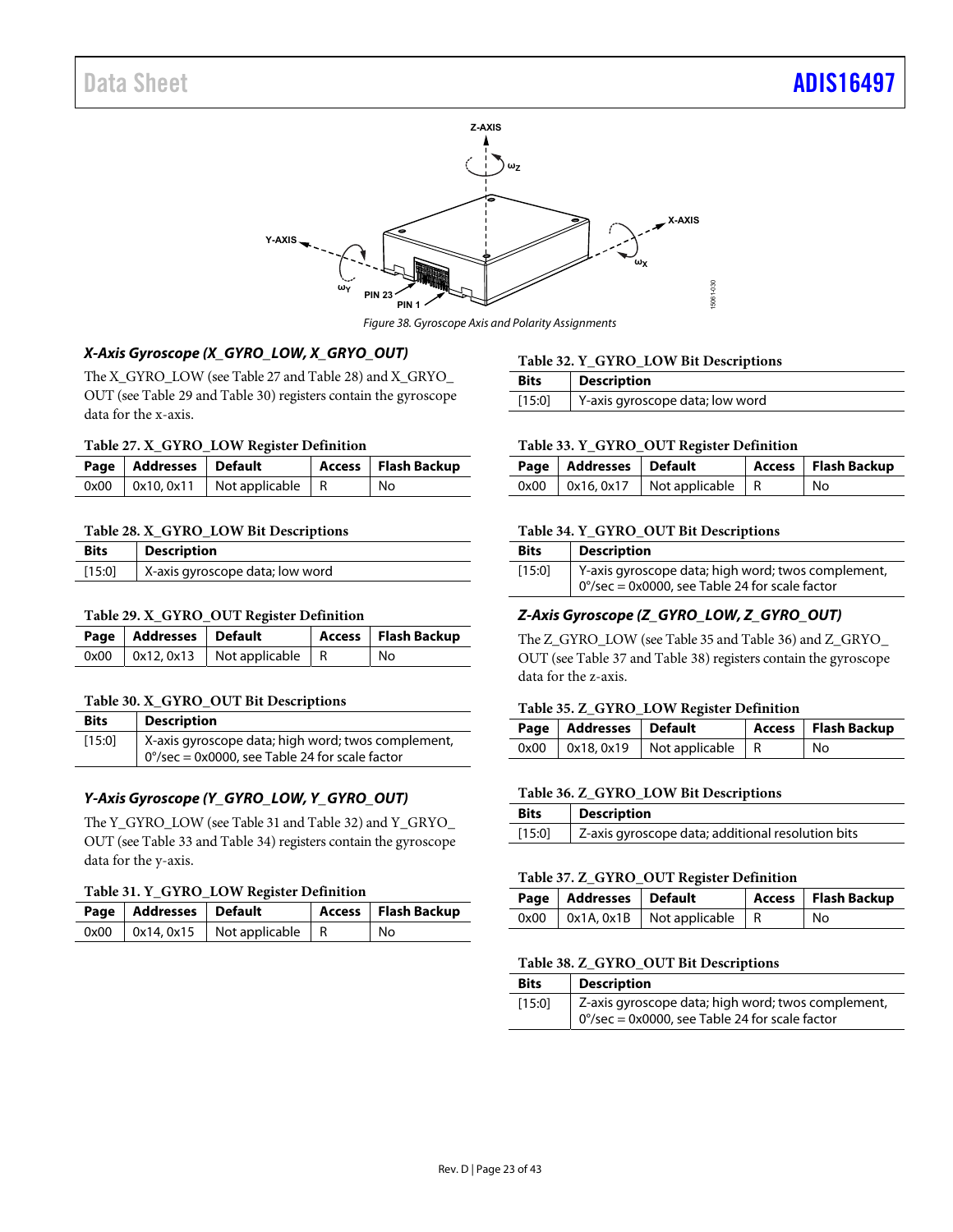

Figure 38. Gyroscope Axis and Polarity Assignments

## <span id="page-22-0"></span>**X-Axis Gyroscope (X\_GYRO\_LOW, X\_GRYO\_OUT)**

The X\_GYRO\_LOW (se[e Table 27](#page-22-1) an[d Table 28\)](#page-22-2) and X\_GRYO\_ OUT (se[e Table 29 a](#page-22-3)n[d Table 30\)](#page-22-4) registers contain the gyroscope data for the x-axis.

#### <span id="page-22-1"></span>**Table 27. X\_GYRO\_LOW Register Definition**

| Page   Addresses   Default |                                            | Access   Flash Backup |
|----------------------------|--------------------------------------------|-----------------------|
|                            | $0x00$   $0x10, 0x11$   Not applicable   R | No                    |

#### <span id="page-22-2"></span>**Table 28. X\_GYRO\_LOW Bit Descriptions**

| <b>Bits</b> | <b>Description</b>              |
|-------------|---------------------------------|
| $[15:0]$    | X-axis gyroscope data; low word |

#### <span id="page-22-3"></span>**Table 29. X\_GYRO\_OUT Register Definition**

| Page   Addresses   Default |                                            | Access   Flash Backup |
|----------------------------|--------------------------------------------|-----------------------|
|                            | $0x00$   $0x12, 0x13$   Not applicable   R | l No                  |

#### <span id="page-22-4"></span>**Table 30. X\_GYRO\_OUT Bit Descriptions**

| <b>Bits</b> | <b>Description</b>                                                                                             |
|-------------|----------------------------------------------------------------------------------------------------------------|
| [15:0]      | X-axis gyroscope data; high word; twos complement,<br>$0^{\circ}/sec = 0x0000$ , see Table 24 for scale factor |

## **Y-Axis Gyroscope (Y\_GYRO\_LOW, Y\_GYRO\_OUT)**

The Y\_GYRO\_LOW (se[e Table 31 a](#page-22-5)n[d Table 32\)](#page-22-6) and Y\_GRYO\_ OUT (se[e Table 33 a](#page-22-7)n[d Table 34\)](#page-22-8) registers contain the gyroscope data for the y-axis.

#### <span id="page-22-5"></span>**Table 31. Y\_GYRO\_LOW Register Definition**

| Page   Addresses   Default |                                            | Access   Flash Backup |
|----------------------------|--------------------------------------------|-----------------------|
|                            | $0x00$   $0x14, 0x15$   Not applicable   R | No                    |

#### <span id="page-22-6"></span>**Table 32. Y\_GYRO\_LOW Bit Descriptions**

| <b>Bits</b> | <b>Description</b>              |
|-------------|---------------------------------|
| [15:0]      | Y-axis gyroscope data; low word |

#### <span id="page-22-7"></span>**Table 33. Y\_GYRO\_OUT Register Definition**

| Page   Addresses   Default |                                            | Access   Flash Backup |
|----------------------------|--------------------------------------------|-----------------------|
|                            | $0x00$   $0x16, 0x17$   Not applicable   R | No.                   |

#### <span id="page-22-8"></span>**Table 34. Y\_GYRO\_OUT Bit Descriptions**

| <b>Bits</b> | <b>Description</b>                                       |
|-------------|----------------------------------------------------------|
| [15:0]      | Y-axis gyroscope data; high word; twos complement,       |
|             | $0^{\circ}/sec = 0x0000$ , see Table 24 for scale factor |

### **Z-Axis Gyroscope (Z\_GYRO\_LOW, Z\_GYRO\_OUT)**

The Z\_GYRO\_LOW (see [Table 35 a](#page-22-9)n[d Table 36\)](#page-22-10) and Z\_GRYO\_ OUT (se[e Table 37 a](#page-22-11)n[d Table 38\)](#page-22-12) registers contain the gyroscope data for the z-axis.

#### <span id="page-22-9"></span>**Table 35. Z\_GYRO\_LOW Register Definition**

| Page   Addresses   Default |                                            | Access   Flash Backup |
|----------------------------|--------------------------------------------|-----------------------|
|                            | $0x00$   $0x18, 0x19$   Not applicable   R | No                    |

#### <span id="page-22-10"></span>**Table 36. Z\_GYRO\_LOW Bit Descriptions**

| <b>Bits</b> | <b>Description</b>                                |
|-------------|---------------------------------------------------|
| [15:0]      | Z-axis gyroscope data; additional resolution bits |

#### <span id="page-22-11"></span>**Table 37. Z\_GYRO\_OUT Register Definition**

| Page   Addresses   Default |                                            | Access   Flash Backup |
|----------------------------|--------------------------------------------|-----------------------|
|                            | $0x00$   $0x1A, 0x1B$   Not applicable   R | No                    |

#### <span id="page-22-12"></span>**Table 38. Z\_GYRO\_OUT Bit Descriptions**

| <b>Bits</b> | <b>Description</b>                                                                                             |
|-------------|----------------------------------------------------------------------------------------------------------------|
| [15:0]      | Z-axis gyroscope data; high word; twos complement,<br>$0^{\circ}/sec = 0x0000$ , see Table 24 for scale factor |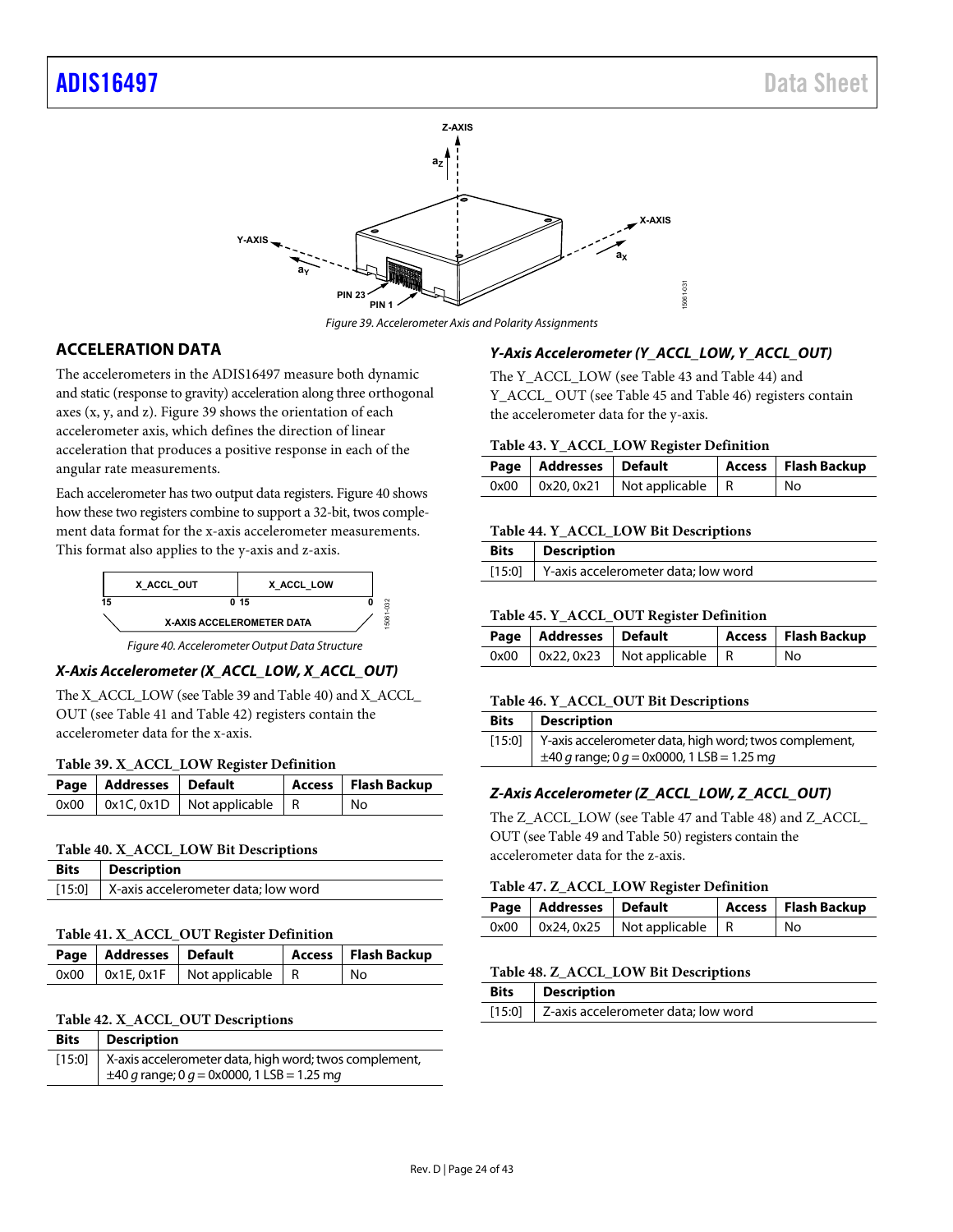

Figure 39. Accelerometer Axis and Polarity Assignments

## <span id="page-23-1"></span><span id="page-23-0"></span>**ACCELERATION DATA**

The accelerometers in the ADIS16497 measure both dynamic and static (response to gravity) acceleration along three orthogonal axes (x, y, and z)[. Figure 39](#page-23-1) shows the orientation of each accelerometer axis, which defines the direction of linear acceleration that produces a positive response in each of the angular rate measurements.

Each accelerometer has two output data registers[. Figure 40 s](#page-23-2)hows how these two registers combine to support a 32-bit, twos complement data format for the x-axis accelerometer measurements. This format also applies to the y-axis and z-axis.



Figure 40. Accelerometer Output Data Structure

## <span id="page-23-2"></span>**X-Axis Accelerometer (X\_ACCL\_LOW, X\_ACCL\_OUT)**

The X\_ACCL\_LOW (se[e Table 39 a](#page-23-3)n[d Table 40\)](#page-23-4) and X\_ACCL\_ OUT (see [Table 41 a](#page-23-5)n[d Table 42\)](#page-23-6) registers contain the accelerometer data for the x-axis.

#### <span id="page-23-3"></span>**Table 39. X\_ACCL\_LOW Register Definition**

| Page   Addresses   Default |                                            | Access   Flash Backup |
|----------------------------|--------------------------------------------|-----------------------|
|                            | $0x00$   $0x1C, 0x1D$   Not applicable   R | ' No                  |

#### <span id="page-23-4"></span>**Table 40. X\_ACCL\_LOW Bit Descriptions**

| <b>Bits</b>   Description                  |
|--------------------------------------------|
| [15:0] X-axis accelerometer data; low word |

#### <span id="page-23-5"></span>**Table 41. X\_ACCL\_OUT Register Definition**

| Page   Addresses   Default |                                               | Access   Flash Backup |
|----------------------------|-----------------------------------------------|-----------------------|
|                            | $0x00$   $0x1E$ , $0x1F$   Not applicable   R | l No                  |

#### <span id="page-23-6"></span>**Table 42. X\_ACCL\_OUT Descriptions**

| <b>Bits</b> | <b>Description</b>                                            |
|-------------|---------------------------------------------------------------|
|             | [15:0] X-axis accelerometer data, high word; twos complement, |
|             | $\pm$ 40 g range; 0 g = 0x0000, 1 LSB = 1.25 mg               |

#### **Y-Axis Accelerometer (Y\_ACCL\_LOW, Y\_ACCL\_OUT)**

The Y\_ACCL\_LOW (se[e Table 43](#page-23-7) and [Table 44\)](#page-23-8) and Y\_ACCL\_ OUT (see [Table 45 a](#page-23-9)n[d Table 46\)](#page-23-10) registers contain the accelerometer data for the y-axis.

#### <span id="page-23-7"></span>**Table 43. Y\_ACCL\_LOW Register Definition**

| Page   Addresses   Default |                  | Access   Flash Backup |
|----------------------------|------------------|-----------------------|
| $0x00$   $0x20, 0x21$      | Not applicable R | No                    |

#### <span id="page-23-8"></span>**Table 44. Y\_ACCL\_LOW Bit Descriptions**

| Bits | <b>Description</b>                         |
|------|--------------------------------------------|
|      | [15:0] Y-axis accelerometer data; low word |

#### <span id="page-23-9"></span>**Table 45. Y\_ACCL\_OUT Register Definition**

| Page   Addresses   Default |                                            | Access   Flash Backup |
|----------------------------|--------------------------------------------|-----------------------|
|                            | $0x00$   $0x22, 0x23$   Not applicable   R | l No                  |

#### <span id="page-23-10"></span>**Table 46. Y\_ACCL\_OUT Bit Descriptions**

| <b>Bits</b> | <b>Description</b>                                            |
|-------------|---------------------------------------------------------------|
|             | [15:0] Y-axis accelerometer data, high word; twos complement, |
|             | $\pm$ 40 g range; 0 g = 0x0000, 1 LSB = 1.25 mg               |

## **Z-Axis Accelerometer (Z\_ACCL\_LOW, Z\_ACCL\_OUT)**

The Z\_ACCL\_LOW (se[e Table 47 a](#page-23-11)n[d Table 48\)](#page-23-12) and Z\_ACCL\_ OUT (se[e Table 49 a](#page-24-2)n[d Table 50\)](#page-24-3) registers contain the accelerometer data for the z-axis.

#### <span id="page-23-11"></span>**Table 47. Z\_ACCL\_LOW Register Definition**

| Page   Addresses   Default |                                            | Access   Flash Backup |
|----------------------------|--------------------------------------------|-----------------------|
|                            | $0x00$   $0x24, 0x25$   Not applicable   R | No                    |

#### <span id="page-23-12"></span>**Table 48. Z\_ACCL\_LOW Bit Descriptions**

| Bits | <b>Description</b>                         |
|------|--------------------------------------------|
|      | [15:0] Z-axis accelerometer data; low word |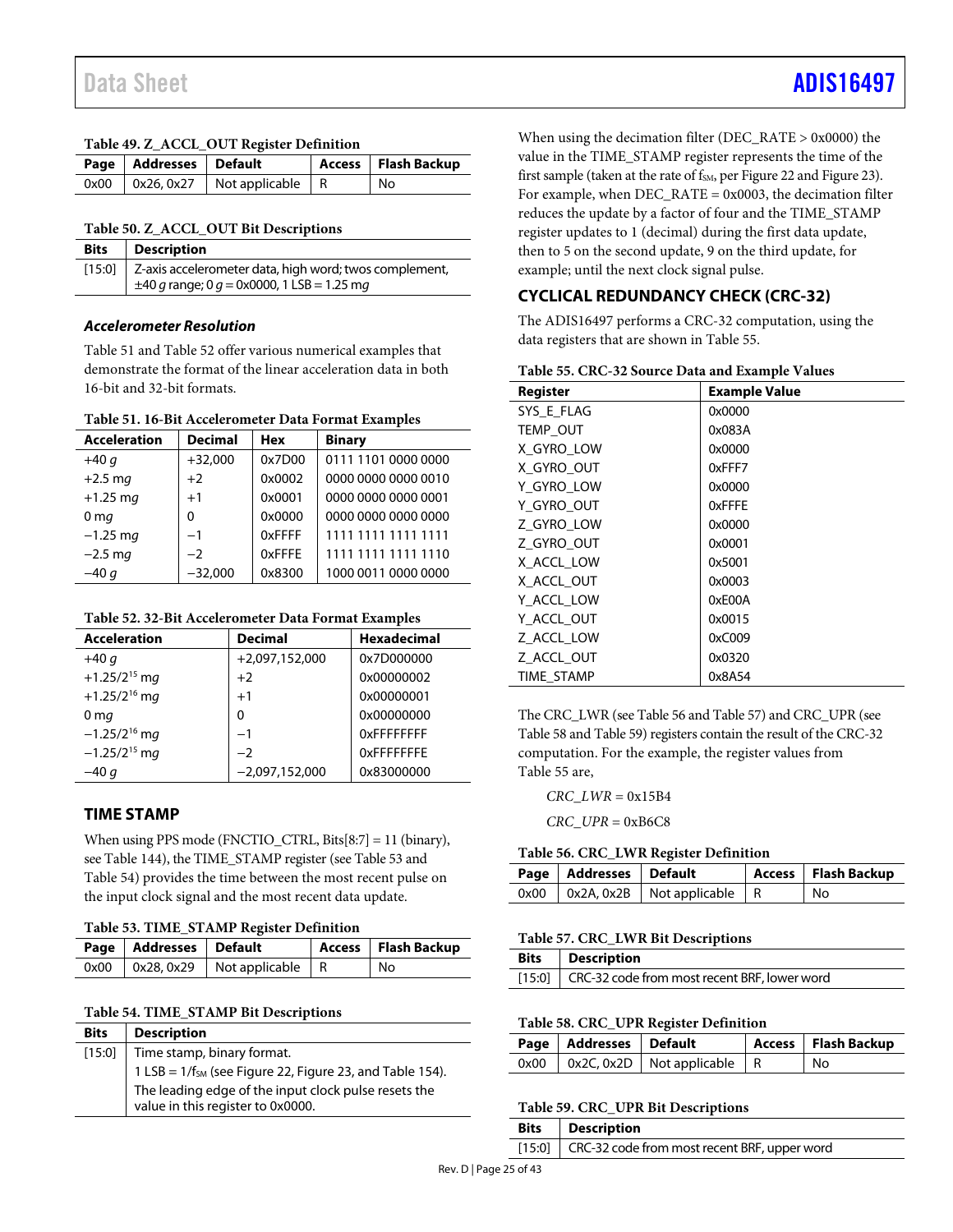#### <span id="page-24-2"></span>**Table 49. Z\_ACCL\_OUT Register Definition**

| Page   Addresses   Default |                                            | Access   Flash Backup |
|----------------------------|--------------------------------------------|-----------------------|
|                            | $0x00$   $0x26, 0x27$   Not applicable   R | No                    |

#### <span id="page-24-3"></span>**Table 50. Z\_ACCL\_OUT Bit Descriptions**

| <b>Bits</b>   Description                                             |  |
|-----------------------------------------------------------------------|--|
| [15:0] $\vert$ Z-axis accelerometer data, high word; twos complement, |  |
| $\pm 40$ g range; 0 g = 0x0000, 1 LSB = 1.25 mg                       |  |

## **Accelerometer Resolution**

[Table 51 a](#page-24-4)n[d Table 52 o](#page-24-5)ffer various numerical examples that demonstrate the format of the linear acceleration data in both 16-bit and 32-bit formats.

## <span id="page-24-4"></span>**Table 51. 16-Bit Accelerometer Data Format Examples**

| <b>Acceleration</b> | <b>Decimal</b> | <b>Hex</b> | <b>Binary</b>       |
|---------------------|----------------|------------|---------------------|
| $+40q$              | $+32,000$      | 0x7D00     | 0111 1101 0000 0000 |
| $+2.5$ mg           | $+2$           | 0x0002     | 0000 0000 0000 0010 |
| $+1.25$ mg          | $+1$           | 0x0001     | 0000 0000 0000 0001 |
| 0 <sub>mg</sub>     | $\Omega$       | 0x0000     | 0000 0000 0000 0000 |
| $-1.25$ mg          | $-1$           | 0xFFFF     | 1111 1111 1111 1111 |
| $-2.5$ mg           | $-2$           | 0xFFFE     | 1111 1111 1111 1110 |
| $-40q$              | $-32,000$      | 0x8300     | 1000 0011 0000 0000 |
|                     |                |            |                     |

#### <span id="page-24-5"></span>**Table 52. 32-Bit Accelerometer Data Format Examples**

| <b>Acceleration</b>      | <b>Decimal</b>   | <b>Hexadecimal</b> |
|--------------------------|------------------|--------------------|
| $+40q$                   | $+2,097,152,000$ | 0x7D000000         |
| +1.25/2 <sup>15</sup> mg | $+2$             | 0x00000002         |
| +1.25/2 <sup>16</sup> mg | $+1$             | 0x00000001         |
| 0 <sub>mg</sub>          | 0                | 0x00000000         |
| $-1.25/2^{16}$ mg        | $-1$             | OxFFFFFFFF         |
| $-1.25/2^{15}$ mg        | $-2$             | <b>OXFFFFFFFE</b>  |
| $-40q$                   | $-2,097,152,000$ | 0x83000000         |

## <span id="page-24-0"></span>**TIME STAMP**

When using PPS mode (FNCTIO\_CTRL, Bits[8:7] = 11 (binary), se[e Table 144\)](#page-33-1), the TIME\_STAMP register (se[e Table 53 a](#page-24-6)nd [Table 54\)](#page-24-7) provides the time between the most recent pulse on the input clock signal and the most recent data update.

#### <span id="page-24-6"></span>**Table 53. TIME\_STAMP Register Definition**

| Page   Addresses   Default |                                            | Access   Flash Backup |
|----------------------------|--------------------------------------------|-----------------------|
|                            | $0x00$   $0x28, 0x29$   Not applicable   R | No                    |

## <span id="page-24-7"></span>**Table 54. TIME\_STAMP Bit Descriptions**

| <b>Bits</b> | <b>Description</b>                                                                        |  |  |
|-------------|-------------------------------------------------------------------------------------------|--|--|
| $[15:0]$    | Time stamp, binary format.                                                                |  |  |
|             | 1 LSB = 1/f <sub>SM</sub> (see Figure 22, Figure 23, and Table 154).                      |  |  |
|             | The leading edge of the input clock pulse resets the<br>value in this register to 0x0000. |  |  |

When using the decimation filter (DEC\_RATE > 0x0000) the value in the TIME\_STAMP register represents the time of the first sample (taken at the rate of  $f<sub>SM</sub>$ , pe[r Figure 22 a](#page-12-3)n[d Figure 23\)](#page-12-4). For example, when DEC\_RATE = 0x0003, the decimation filter reduces the update by a factor of four and the TIME\_STAMP register updates to 1 (decimal) during the first data update, then to 5 on the second update, 9 on the third update, for example; until the next clock signal pulse.

## <span id="page-24-1"></span>**CYCLICAL REDUNDANCY CHECK (CRC-32)**

<span id="page-24-8"></span>**Table 55. CRC-32 Source Data and Example Values** 

The ADIS16497 performs a CRC-32 computation, using the data registers that are shown in [Table 55.](#page-24-8) 

| <b>Register</b> | л.<br><b>Example Value</b> |
|-----------------|----------------------------|
| SYS E FLAG      | 0x0000                     |
| TEMP_OUT        | 0x083A                     |
| X_GYRO_LOW      | 0x0000                     |
| X GYRO OUT      | 0xFFF7                     |
| Y GYRO LOW      | 0x0000                     |
| Y GYRO OUT      | 0xFFFE                     |
| Z GYRO LOW      | 0x0000                     |
| Z GYRO OUT      | 0x0001                     |
| X ACCL LOW      | 0x5001                     |
| X ACCL OUT      | 0x0003                     |
| Y ACCL LOW      | 0xE00A                     |
| Y_ACCL_OUT      | 0x0015                     |
| Z ACCL LOW      | 0xC009                     |
| Z_ACCL_OUT      | 0x0320                     |
| TIME STAMP      | 0x8A54                     |

The CRC\_LWR (se[e Table 56 a](#page-24-9)n[d Table 57\)](#page-24-10) and CRC\_UPR (see [Table 58](#page-24-11) an[d Table 59\)](#page-24-12) registers contain the result of the CRC-32 computation. For the example, the register values from [Table 55 a](#page-24-8)re,

#### *CRC\_LWR* = 0x15B4

*CRC\_UPR* = 0xB6C8

#### <span id="page-24-9"></span>**Table 56. CRC\_LWR Register Definition**

| Page   Addresses   Default |                                            | Access   Flash Backup |
|----------------------------|--------------------------------------------|-----------------------|
|                            | $0x00$   $0x2A, 0x2B$   Not applicable   R | No                    |

#### <span id="page-24-10"></span>**Table 57. CRC\_LWR Bit Descriptions**

| Bits   Description                                  |
|-----------------------------------------------------|
| [15:0] CRC-32 code from most recent BRF, lower word |

### <span id="page-24-11"></span>**Table 58. CRC\_UPR Register Definition**

| Page   Addresses   Default |                                            | Access   Flash Backup |
|----------------------------|--------------------------------------------|-----------------------|
|                            | $0x00$   $0x2C, 0x2D$   Not applicable   R | ' No                  |

#### <span id="page-24-12"></span>**Table 59. CRC\_UPR Bit Descriptions**

| <b>Bits</b>   Description                           |
|-----------------------------------------------------|
| [15:0] CRC-32 code from most recent BRF, upper word |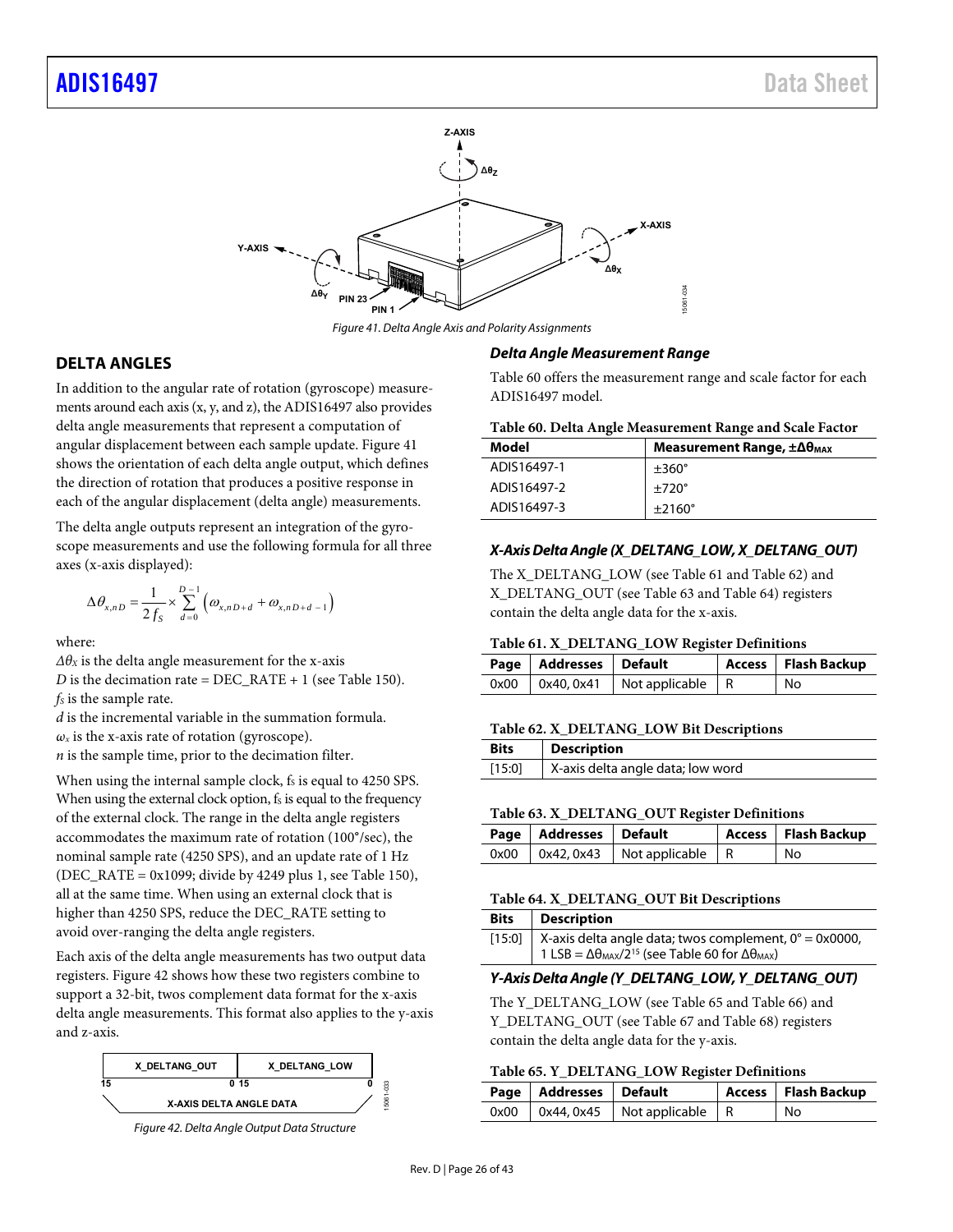

Figure 41. Delta Angle Axis and Polarity Assignments

## <span id="page-25-1"></span><span id="page-25-0"></span>**DELTA ANGLES**

In addition to the angular rate of rotation (gyroscope) measurements around each axis (x, y, and z), the ADIS16497 also provides delta angle measurements that represent a computation of angular displacement between each sample update[. Figure 41](#page-25-1)  shows the orientation of each delta angle output, which defines the direction of rotation that produces a positive response in each of the angular displacement (delta angle) measurements.

The delta angle outputs represent an integration of the gyroscope measurements and use the following formula for all three axes (x-axis displayed):

$$
\Delta\theta_{x,nD} = \frac{1}{2f_s} \times \sum_{d=0}^{D-1} \left( \omega_{x,nD+d} + \omega_{x,nD+d-1} \right)
$$

where:

 $\Delta\theta$ *x* is the delta angle measurement for the x-axis

*D* is the decimation rate = DEC\_RATE + 1 (se[e Table 150\)](#page-35-3). *fs* is the sample rate.

*d* is the incremental variable in the summation formula.  $\omega_x$  is the x-axis rate of rotation (gyroscope). *n* is the sample time, prior to the decimation filter.

When using the internal sample clock,  $f_s$  is equal to 4250 SPS. When using the external clock option,  $f_s$  is equal to the frequency of the external clock. The range in the delta angle registers accommodates the maximum rate of rotation (100°/sec), the nominal sample rate (4250 SPS), and an update rate of 1 Hz (DEC\_RATE =  $0x1099$ ; divide by 4249 plus 1, see [Table 150\)](#page-35-3), all at the same time. When using an external clock that is higher than 4250 SPS, reduce the DEC\_RATE setting to avoid over-ranging the delta angle registers.

Each axis of the delta angle measurements has two output data registers[. Figure 42](#page-25-2) shows how these two registers combine to support a 32-bit, twos complement data format for the x-axis delta angle measurements. This format also applies to the y-axis and z-axis.



<span id="page-25-2"></span>Figure 42. Delta Angle Output Data Structure

#### **Delta Angle Measurement Range**

[Table 60 o](#page-25-3)ffers the measurement range and scale factor for each ADIS16497 model.

#### <span id="page-25-3"></span>**Table 60. Delta Angle Measurement Range and Scale Factor**

| Model       | Measurement Range, $\pm \Delta \theta_{\text{MAX}}$ |
|-------------|-----------------------------------------------------|
| ADIS16497-1 | $\pm 360^\circ$                                     |
| ADIS16497-2 | $\pm 720^\circ$                                     |
| ADIS16497-3 | $\pm 2160^\circ$                                    |

#### **X-Axis Delta Angle (X\_DELTANG\_LOW, X\_DELTANG\_OUT)**

The X\_DELTANG\_LOW (see [Table 61 a](#page-25-4)n[d Table 62\)](#page-25-5) and X\_DELTANG\_OUT (se[e Table 63](#page-25-6) and [Table 64\)](#page-25-7) registers contain the delta angle data for the x-axis.

#### <span id="page-25-4"></span>**Table 61. X\_DELTANG\_LOW Register Definitions**

| Page   Addresses   Default |                                            | Access   Flash Backup |
|----------------------------|--------------------------------------------|-----------------------|
|                            | $0x00$   $0x40, 0x41$   Not applicable   R | l No                  |

#### <span id="page-25-5"></span>**Table 62. X\_DELTANG\_LOW Bit Descriptions**

| <b>Bits</b> | <b>Description</b>                |
|-------------|-----------------------------------|
| [15:0]      | X-axis delta angle data; low word |

#### <span id="page-25-6"></span>**Table 63. X\_DELTANG\_OUT Register Definitions**

| Page   Addresses   Default |                                            | Access   Flash Backup |
|----------------------------|--------------------------------------------|-----------------------|
|                            | $0x00$   $0x42, 0x43$   Not applicable   R | l No                  |

#### <span id="page-25-7"></span>**Table 64. X\_DELTANG\_OUT Bit Descriptions**

| Bits | Description                                                                    |
|------|--------------------------------------------------------------------------------|
|      | [15:0]   X-axis delta angle data; twos complement, $0^\circ = 0 \times 0000$ , |
|      | 1 LSB = $\Delta\theta_{MAX}/2^{15}$ (see Table 60 for $\Delta\theta_{MAX}$ )   |

#### **Y-Axis Delta Angle (Y\_DELTANG\_LOW, Y\_DELTANG\_OUT)**

The Y\_DELTANG\_LOW (see [Table 65 a](#page-25-8)n[d Table 66\)](#page-26-1) and Y\_DELTANG\_OUT (se[e Table 67](#page-26-2) an[d Table 68\)](#page-26-3) registers contain the delta angle data for the y-axis.

#### <span id="page-25-8"></span>**Table 65. Y\_DELTANG\_LOW Register Definitions**

| Page   Addresses   Default |                                            | Access   Flash Backup |
|----------------------------|--------------------------------------------|-----------------------|
|                            | $0x00$   $0x44, 0x45$   Not applicable   R | No                    |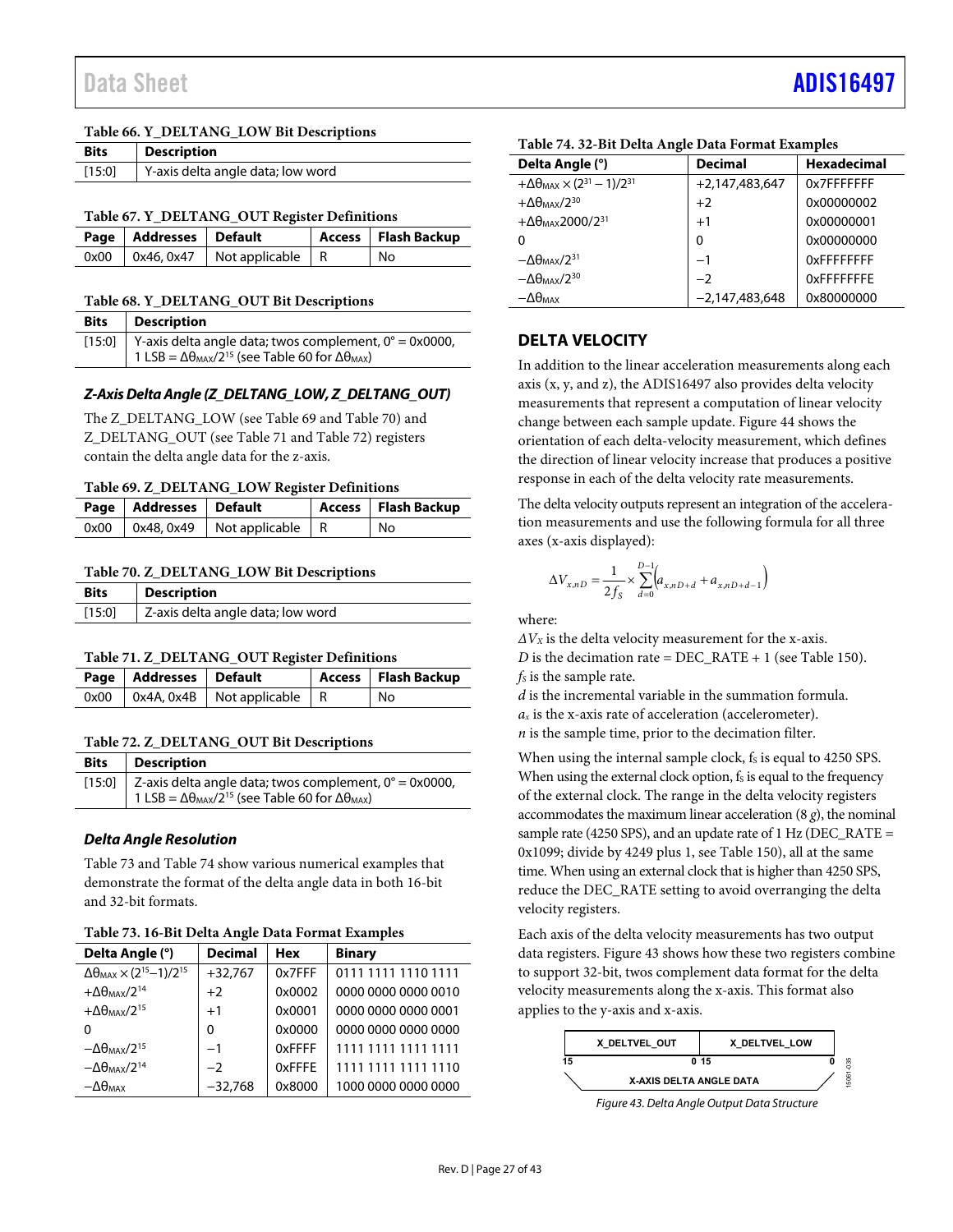#### <span id="page-26-1"></span>**Table 66. Y\_DELTANG\_LOW Bit Descriptions**

| <b>Bits</b> | <b>Description</b>                |
|-------------|-----------------------------------|
| $[15:0]$    | Y-axis delta angle data; low word |

<span id="page-26-2"></span>**Table 67. Y\_DELTANG\_OUT Register Definitions** 

| Page   Addresses   Default |                                            | Access   Flash Backup |
|----------------------------|--------------------------------------------|-----------------------|
|                            | $0x00$   $0x46, 0x47$   Not applicable   R | l No                  |

#### <span id="page-26-3"></span>**Table 68. Y\_DELTANG\_OUT Bit Descriptions**

| <b>Bits</b> | <b>Description</b>                                                           |
|-------------|------------------------------------------------------------------------------|
|             | [15:0] Y-axis delta angle data; twos complement, $0^\circ = 0 \times 0000$ , |
|             | 1 LSB = $\Delta\theta_{MAX}/2^{15}$ (see Table 60 for $\Delta\theta_{MAX}$ ) |

## **Z-Axis Delta Angle (Z\_DELTANG\_LOW, Z\_DELTANG\_OUT)**

The Z\_DELTANG\_LOW (se[e Table 69 a](#page-26-4)nd [Table 70\)](#page-26-5) and Z\_DELTANG\_OUT (see [Table 71 a](#page-26-6)n[d Table 72\)](#page-26-7) registers contain the delta angle data for the z-axis.

#### <span id="page-26-4"></span>**Table 69. Z\_DELTANG\_LOW Register Definitions**

| Page   Addresses   Default |                                        | Access   Flash Backup |
|----------------------------|----------------------------------------|-----------------------|
|                            | 0x00   0x48, 0x49   Not applicable   R | l No                  |

#### <span id="page-26-5"></span>**Table 70. Z\_DELTANG\_LOW Bit Descriptions**

| Bits   | <b>Description</b>                |
|--------|-----------------------------------|
| [15:0] | Z-axis delta angle data; low word |

#### <span id="page-26-6"></span>**Table 71. Z\_DELTANG\_OUT Register Definitions**

| Page   Addresses   Default |                                            | Access   Flash Backup |
|----------------------------|--------------------------------------------|-----------------------|
|                            | $0x00$   $0x4A, 0x4B$   Not applicable   R | l No                  |

## <span id="page-26-7"></span>**Table 72. Z\_DELTANG\_OUT Bit Descriptions**

| <b>Bits</b>   Description                                                    |
|------------------------------------------------------------------------------|
| [15:0] Z-axis delta angle data; twos complement, $0^\circ = 0 \times 0000$ , |
| 1 LSB = $\Delta\theta_{MAX}/2^{15}$ (see Table 60 for $\Delta\theta_{MAX}$ ) |

## **Delta Angle Resolution**

[Table 73 a](#page-26-8)n[d Table 74 s](#page-26-9)how various numerical examples that demonstrate the format of the delta angle data in both 16-bit and 32-bit formats.

<span id="page-26-8"></span>

| Delta Angle (°)                                             | <b>Decimal</b> | <b>Hex</b> | <b>Binary</b>       |
|-------------------------------------------------------------|----------------|------------|---------------------|
| $\Delta\theta_{MAX}$ × (2 <sup>15</sup> -1)/2 <sup>15</sup> | $+32,767$      | 0x7FFF     | 0111 1111 1110 1111 |
| $+\Delta\theta_{MAX}/2^{14}$                                | $+2$           | 0x0002     | 0000 0000 0000 0010 |
| $+\Delta\theta_{MAX}/2^{15}$                                | $+1$           | 0x0001     | 0000 0000 0000 0001 |
| O                                                           | $\Omega$       | 0x0000     | 0000 0000 0000 0000 |
| $-\Delta\theta_{MAX}/2^{15}$                                | $-1$           | 0xFFFF     | 1111 1111 1111 1111 |
| $-\Delta\theta_{MAX}/2^{14}$                                | $-2$           | 0xFFFE     | 1111 1111 1111 1110 |
| $-\Delta\theta_{\text{MAX}}$                                | $-32,768$      | 0x8000     | 1000 0000 0000 0000 |

| Tubic / I. 32 Bit Denu Angle Dutu I of mut Exumples           |                  |                    |  |  |
|---------------------------------------------------------------|------------------|--------------------|--|--|
| Delta Angle (°)                                               | <b>Decimal</b>   | <b>Hexadecimal</b> |  |  |
| $+\Delta\theta_{MAX}$ × (2 <sup>31</sup> – 1)/2 <sup>31</sup> | $+2.147.483.647$ | 0x7FFFFFFFF        |  |  |
| $+\Delta\theta_{MAX}/2^{30}$                                  | $+2$             | 0x00000002         |  |  |
| $+\Delta\theta_{MAX}$ 2000/2 <sup>31</sup>                    | $+1$             | 0x00000001         |  |  |
| $\Omega$                                                      | 0                | 0x00000000         |  |  |
| $-\Delta\theta_{\text{MAX}}/2^{31}$                           | $-1$             | 0xFFFFFFFFF        |  |  |
| $-\Delta\theta_{MAX}/2^{30}$                                  | $-2$             | 0xFFFFFFFFE        |  |  |
| $-\Delta\theta_{\text{MAX}}$                                  | $-2,147,483,648$ | 0x80000000         |  |  |

## <span id="page-26-9"></span>**Table 74. 32-Bit Delta Angle Data Format Examples**

## <span id="page-26-0"></span>**DELTA VELOCITY**

In addition to the linear acceleration measurements along each axis (x, y, and z), the ADIS16497 also provides delta velocity measurements that represent a computation of linear velocity change between each sample update[. Figure 44 s](#page-27-0)hows the orientation of each delta-velocity measurement, which defines the direction of linear velocity increase that produces a positive response in each of the delta velocity rate measurements.

The delta velocity outputs represent an integration of the acceleration measurements and use the following formula for all three axes (x-axis displayed):

$$
\Delta V_{x,nD} = \frac{1}{2 f_s} \times \sum_{d=0}^{D-1} \Bigl( a_{x,nD+d} + a_{x,nD+d-1} \Bigr)
$$

where:

*ΔVX* is the delta velocity measurement for the x-axis. *D* is the decimation rate = DEC\_RATE + 1 (se[e Table 150\)](#page-35-3). *fs* is the sample rate.

*d* is the incremental variable in the summation formula. *ax* is the x-axis rate of acceleration (accelerometer). *n* is the sample time, prior to the decimation filter.

When using the internal sample clock, fs is equal to 4250 SPS. When using the external clock option,  $f_s$  is equal to the frequency of the external clock. The range in the delta velocity registers accommodates the maximum linear acceleration (8 *g*), the nominal sample rate (4250 SPS), and an update rate of 1 Hz (DEC\_RATE = 0x1099; divide by 4249 plus 1, se[e Table 150\)](#page-35-3), all at the same time. When using an external clock that is higher than 4250 SPS, reduce the DEC\_RATE setting to avoid overranging the delta velocity registers.

Each axis of the delta velocity measurements has two output data registers[. Figure 43 s](#page-26-10)hows how these two registers combine to support 32-bit, twos complement data format for the delta velocity measurements along the x-axis. This format also applies to the y-axis and x-axis.

<span id="page-26-10"></span>

Figure 43. Delta Angle Output Data Structure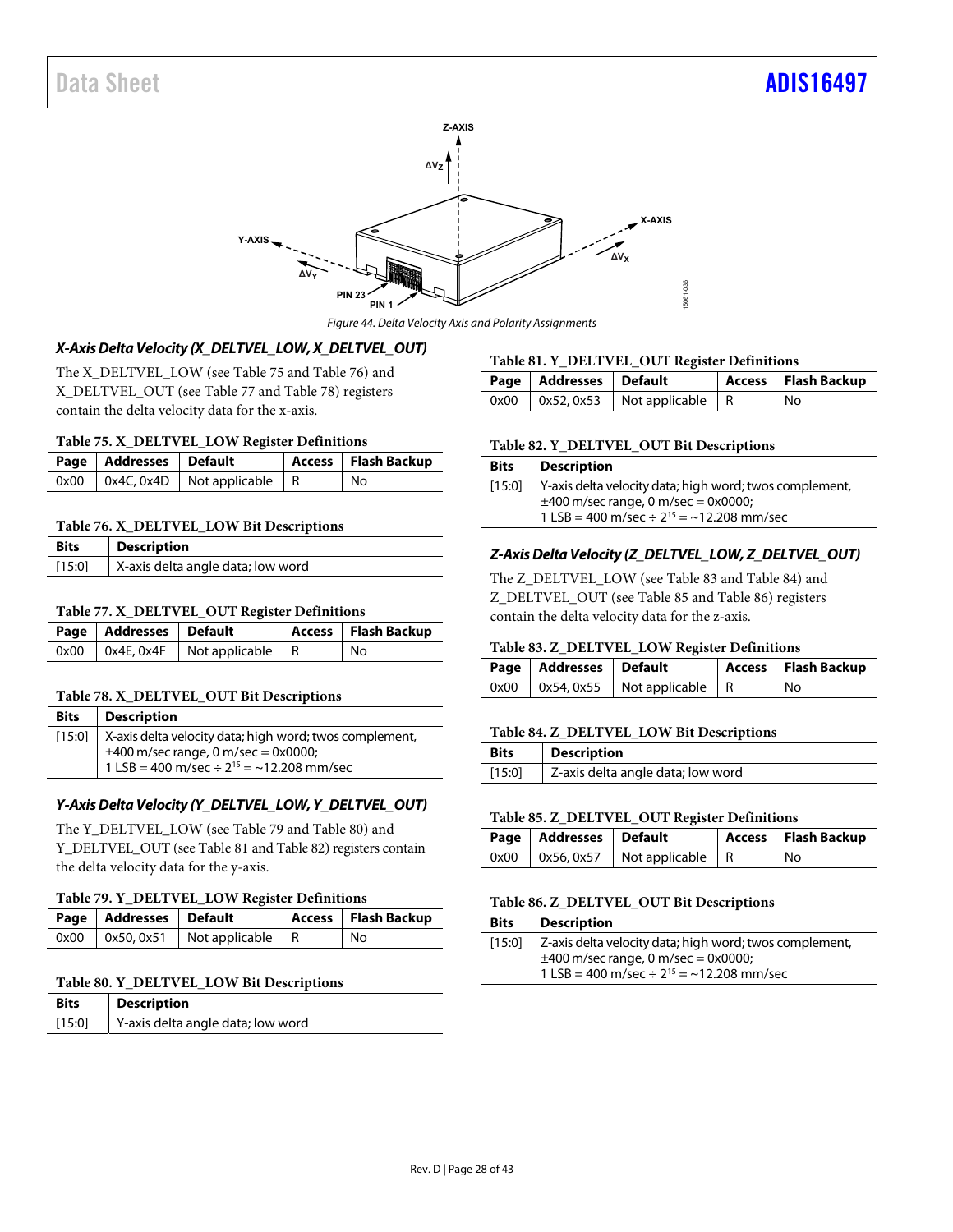

Figure 44. Delta Velocity Axis and Polarity Assignments

## <span id="page-27-0"></span>**X-Axis Delta Velocity (X\_DELTVEL\_LOW, X\_DELTVEL\_OUT)**

The X\_DELTVEL\_LOW (see [Table 75 a](#page-27-1)n[d Table 76\)](#page-27-2) and X\_DELTVEL\_OUT (se[e Table 77](#page-27-3) an[d Table 78\)](#page-27-4) registers contain the delta velocity data for the x-axis.

#### <span id="page-27-1"></span>**Table 75. X\_DELTVEL\_LOW Register Definitions**

| Page   Addresses   Default |                                            | Access   Flash Backup |
|----------------------------|--------------------------------------------|-----------------------|
|                            | $0x00$   $0x4C, 0x4D$   Not applicable   R | No                    |

#### <span id="page-27-2"></span>**Table 76. X\_DELTVEL\_LOW Bit Descriptions**

| <b>Bits</b> | <b>Description</b>                |
|-------------|-----------------------------------|
| [15:0]      | X-axis delta angle data; low word |

### <span id="page-27-3"></span>**Table 77. X\_DELTVEL\_OUT Register Definitions**

| Page   Addresses   Default |                                               | Access   Flash Backup |
|----------------------------|-----------------------------------------------|-----------------------|
|                            | $0x00$   $0x4E$ , $0x4F$   Not applicable   R | ' No                  |

#### <span id="page-27-4"></span>**Table 78. X\_DELTVEL\_OUT Bit Descriptions**

| <b>Bits</b>   Description                                        |
|------------------------------------------------------------------|
| [15:0]   X-axis delta velocity data; high word; twos complement, |
| $\pm$ 400 m/sec range, 0 m/sec = 0x0000;                         |
| 1 LSB = 400 m/sec $\div$ 2 <sup>15</sup> = ~12.208 mm/sec        |

## **Y-Axis Delta Velocity (Y\_DELTVEL\_LOW, Y\_DELTVEL\_OUT)**

The Y\_DELTVEL\_LOW (see [Table 79 a](#page-27-5)nd [Table 80\)](#page-27-6) and Y\_DELTVEL\_OUT (se[e Table 81 a](#page-27-7)n[d Table 82\)](#page-27-8) registers contain the delta velocity data for the y-axis.

#### <span id="page-27-5"></span>**Table 79. Y\_DELTVEL\_LOW Register Definitions**

| Page   Addresses   Default |                                          | Access   Flash Backup |
|----------------------------|------------------------------------------|-----------------------|
|                            | $0x00$   0x50, 0x51   Not applicable   R | l No                  |

#### <span id="page-27-6"></span>**Table 80. Y\_DELTVEL\_LOW Bit Descriptions**

| <b>Bits</b> | <b>Description</b>                |
|-------------|-----------------------------------|
| $[15:0]$    | Y-axis delta angle data; low word |

#### <span id="page-27-7"></span>**Table 81. Y\_DELTVEL\_OUT Register Definitions**

| Page   Addresses   Default |                                            | Access   Flash Backup |
|----------------------------|--------------------------------------------|-----------------------|
|                            | $0x00$   $0x52, 0x53$   Not applicable   R | No                    |

#### <span id="page-27-8"></span>**Table 82. Y\_DELTVEL\_OUT Bit Descriptions**

| <b>Bits</b> | <b>Description</b>                                        |
|-------------|-----------------------------------------------------------|
| [15:0]      | Y-axis delta velocity data; high word; twos complement,   |
|             | $\pm$ 400 m/sec range, 0 m/sec = 0x0000;                  |
|             | 1 LSB = 400 m/sec $\div$ 2 <sup>15</sup> = ~12.208 mm/sec |

#### **Z-Axis Delta Velocity (Z\_DELTVEL\_LOW, Z\_DELTVEL\_OUT)**

The Z\_DELTVEL\_LOW (se[e Table 83](#page-27-9) and [Table 84\)](#page-27-10) and Z\_DELTVEL\_OUT (see [Table 85 a](#page-27-11)nd [Table 86\)](#page-27-12) registers contain the delta velocity data for the z-axis.

#### <span id="page-27-9"></span>**Table 83. Z\_DELTVEL\_LOW Register Definitions**

| Page   Addresses   Default |                                            | Access   Flash Backup |
|----------------------------|--------------------------------------------|-----------------------|
|                            | $0x00$   $0x54, 0x55$   Not applicable   R | No                    |

#### <span id="page-27-10"></span>**Table 84. Z\_DELTVEL\_LOW Bit Descriptions**

| <b>Bits</b> | <b>Description</b>                |
|-------------|-----------------------------------|
| [15:0]      | Z-axis delta angle data; low word |

#### <span id="page-27-11"></span>**Table 85. Z\_DELTVEL\_OUT Register Definitions**

| Page   Addresses   Default |                                            | Access   Flash Backup |
|----------------------------|--------------------------------------------|-----------------------|
|                            | $0x00$   $0x56, 0x57$   Not applicable   R | ' No                  |

#### <span id="page-27-12"></span>**Table 86. Z\_DELTVEL\_OUT Bit Descriptions**

| <b>Bits</b> | <b>Description</b>                                                                                                                                          |
|-------------|-------------------------------------------------------------------------------------------------------------------------------------------------------------|
| [15:0]      | Z-axis delta velocity data; high word; twos complement,<br>$\pm$ 400 m/sec range, 0 m/sec = 0x0000;<br>1 LSB = 400 m/sec ÷ $2^{15} = \approx 12.208$ mm/sec |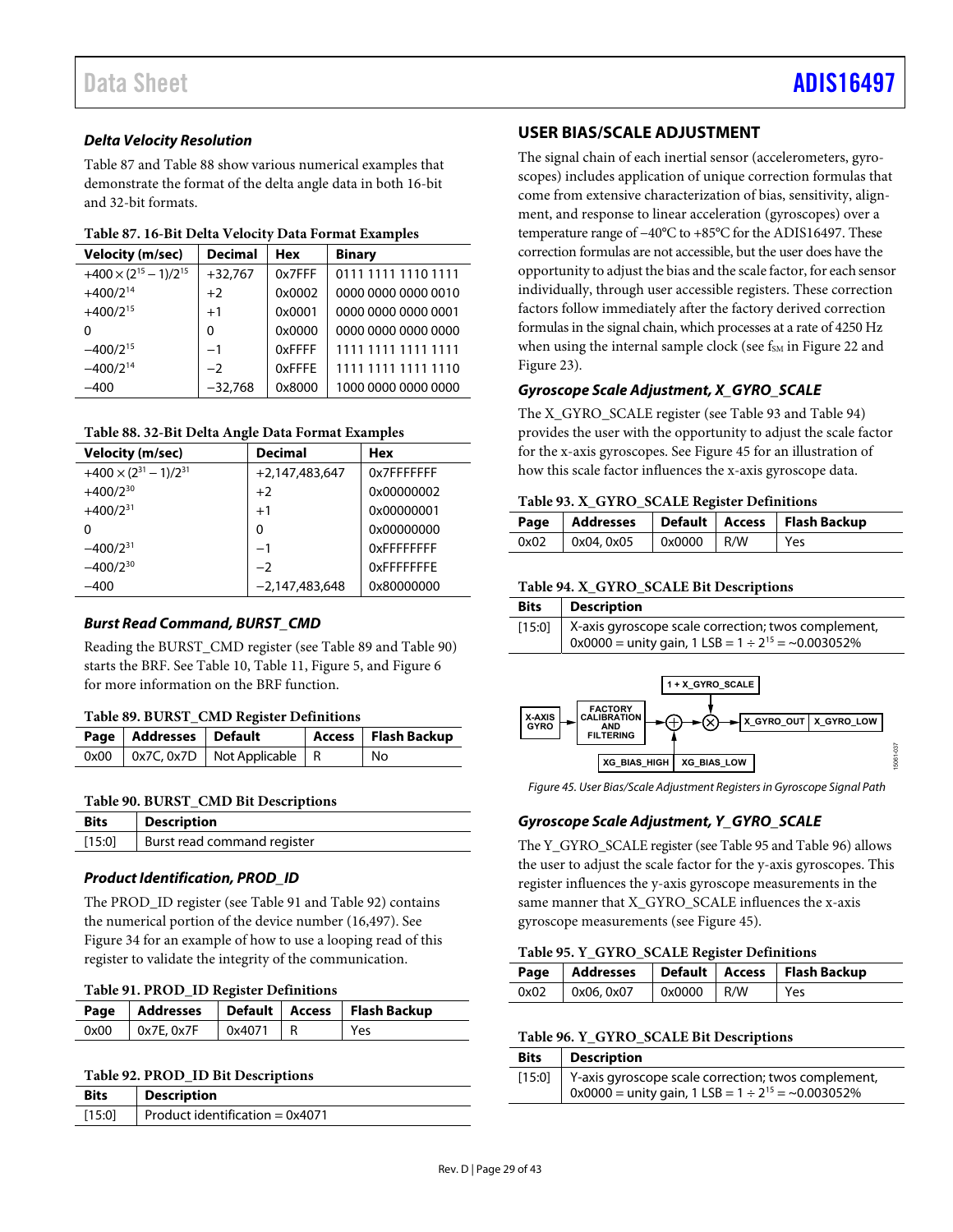## **Delta Velocity Resolution**

[Table 87 a](#page-28-3)n[d Table 88 s](#page-28-4)how various numerical examples that demonstrate the format of the delta angle data in both 16-bit and 32-bit formats.

<span id="page-28-3"></span>

| <b>Velocity (m/sec)</b>           | <b>Decimal</b> | <b>Hex</b> | <b>Binary</b>       |
|-----------------------------------|----------------|------------|---------------------|
| $+400 \times (2^{15} - 1)/2^{15}$ | $+32,767$      | 0x7FFF     | 0111 1111 1110 1111 |
| $+400/2^{14}$                     | $+2$           | 0x0002     | 0000 0000 0000 0010 |
| $+400/2^{15}$                     | $+1$           | 0x0001     | 0000 0000 0000 0001 |
| ŋ                                 | $\Omega$       | 0x0000     | 0000 0000 0000 0000 |
| $-400/2^{15}$                     | $-1$           | 0xFFFF     | 1111 1111 1111 1111 |
| $-400/2^{14}$                     | $-2$           | 0xFFFF     | 1111 1111 1111 1110 |
| $-400$                            | $-32,768$      | 0x8000     | 1000 0000 0000 0000 |

#### <span id="page-28-4"></span>**Table 88. 32-Bit Delta Angle Data Format Examples**

| <b>Velocity (m/sec)</b>           | <b>Decimal</b>   | <b>Hex</b>        |
|-----------------------------------|------------------|-------------------|
| $+400 \times (2^{31} - 1)/2^{31}$ | $+2,147,483,647$ | 0x7FFFFFFF        |
| $+400/2^{30}$                     | $+2$             | 0x00000002        |
| $+400/2^{31}$                     | $+1$             | 0x00000001        |
| 0                                 | 0                | 0x00000000        |
| $-400/2^{31}$                     | $-1$             | <b>OXFFFFFFFF</b> |
| $-400/2^{30}$                     | $-2$             | <b>OXFFFFFFFF</b> |
| $-400$                            | $-2.147.483.648$ | 0x80000000        |

## **Burst Read Command, BURST\_CMD**

Reading the BURST\_CMD register (see [Table 89 a](#page-28-5)nd [Table 90\)](#page-28-6) starts the BRF. Se[e Table 10,](#page-15-4) [Table 11,](#page-16-1) [Figure 5,](#page-7-0) an[d Figure 6](#page-7-1)  for more information on the BRF function.

## <span id="page-28-5"></span>**Table 89. BURST\_CMD Register Definitions**

| Page   Addresses   Default |                                        | Access   Flash Backup |
|----------------------------|----------------------------------------|-----------------------|
|                            | 0x00   0x7C, 0x7D   Not Applicable   R | No                    |

## <span id="page-28-6"></span>**Table 90. BURST\_CMD Bit Descriptions**

| Bits   | Description                 |
|--------|-----------------------------|
| [15:0] | Burst read command register |

## **Product Identification, PROD\_ID**

The PROD\_ID register (see [Table 91 a](#page-28-7)n[d Table 92\)](#page-28-2) contains the numerical portion of the device number (16,497). See [Figure 34](#page-15-3) for an example of how to use a looping read of this register to validate the integrity of the communication.

<span id="page-28-7"></span>

|      |                           |        |  | Page   Addresses   Default   Access   Flash Backup |
|------|---------------------------|--------|--|----------------------------------------------------|
| 0x00 | $\overline{)}$ 0x7E, 0x7F | 0x4071 |  | Yes                                                |

#### <span id="page-28-2"></span>**Table 92. PROD\_ID Bit Descriptions**

| <b>Bits</b> | <b>Description</b>                |
|-------------|-----------------------------------|
| $[15:0]$    | Product identification = $0x4071$ |

## <span id="page-28-0"></span>**USER BIAS/SCALE ADJUSTMENT**

The signal chain of each inertial sensor (accelerometers, gyroscopes) includes application of unique correction formulas that come from extensive characterization of bias, sensitivity, alignment, and response to linear acceleration (gyroscopes) over a temperature range of −40°C to +85°C for the ADIS16497. These correction formulas are not accessible, but the user does have the opportunity to adjust the bias and the scale factor, for each sensor individually, through user accessible registers. These correction factors follow immediately after the factory derived correction formulas in the signal chain, which processes at a rate of 4250 Hz when using the internal sample clock (see f<sub>SM</sub> i[n Figure 22 a](#page-12-3)nd [Figure 23\)](#page-12-4).

## **Gyroscope Scale Adjustment, X\_GYRO\_SCALE**

The X\_GYRO\_SCALE register (se[e Table 93](#page-28-8) an[d Table 94\)](#page-28-9) provides the user with the opportunity to adjust the scale factor for the x-axis gyroscopes. Se[e Figure 45](#page-28-1) for an illustration of how this scale factor influences the x-axis gyroscope data.

#### <span id="page-28-8"></span>**Table 93. X\_GYRO\_SCALE Register Definitions**

|      |            |              | Page   Addresses   Default   Access   Flash Backup |
|------|------------|--------------|----------------------------------------------------|
| 0x02 | 0x04, 0x05 | $0x0000$ R/W | l Yes                                              |

#### <span id="page-28-9"></span>**Table 94. X\_GYRO\_SCALE Bit Descriptions**

| <b>Bits</b> | <b>Description</b>                                                                                                  |
|-------------|---------------------------------------------------------------------------------------------------------------------|
| $[15:0]$    | X-axis gyroscope scale correction; twos complement,<br>$0x0000 =$ unity gain, 1 LSB = $1 \div 2^{15} = -0.003052\%$ |



<span id="page-28-1"></span>Figure 45. User Bias/Scale Adjustment Registers in Gyroscope Signal Path

## **Gyroscope Scale Adjustment, Y\_GYRO\_SCALE**

The Y\_GYRO\_SCALE register (se[e Table 95 a](#page-28-10)n[d Table 96\)](#page-28-11) allows the user to adjust the scale factor for the y-axis gyroscopes. This register influences the y-axis gyroscope measurements in the same manner that X\_GYRO\_SCALE influences the x-axis gyroscope measurements (se[e Figure 45\)](#page-28-1).

#### <span id="page-28-10"></span>**Table 95. Y\_GYRO\_SCALE Register Definitions**

|                                  |  | Page   Addresses   Default   Access   Flash Backup |
|----------------------------------|--|----------------------------------------------------|
| 0x02   0x06, 0x07   0x0000   R/W |  | l Yes                                              |

#### <span id="page-28-11"></span>**Table 96. Y\_GYRO\_SCALE Bit Descriptions**

| <b>Bits</b> | <b>Description</b>                                           |
|-------------|--------------------------------------------------------------|
|             | [15:0] Y-axis gyroscope scale correction; twos complement,   |
|             | $0x0000 =$ unity gain, 1 LSB = $1 \div 2^{15} = -0.003052\%$ |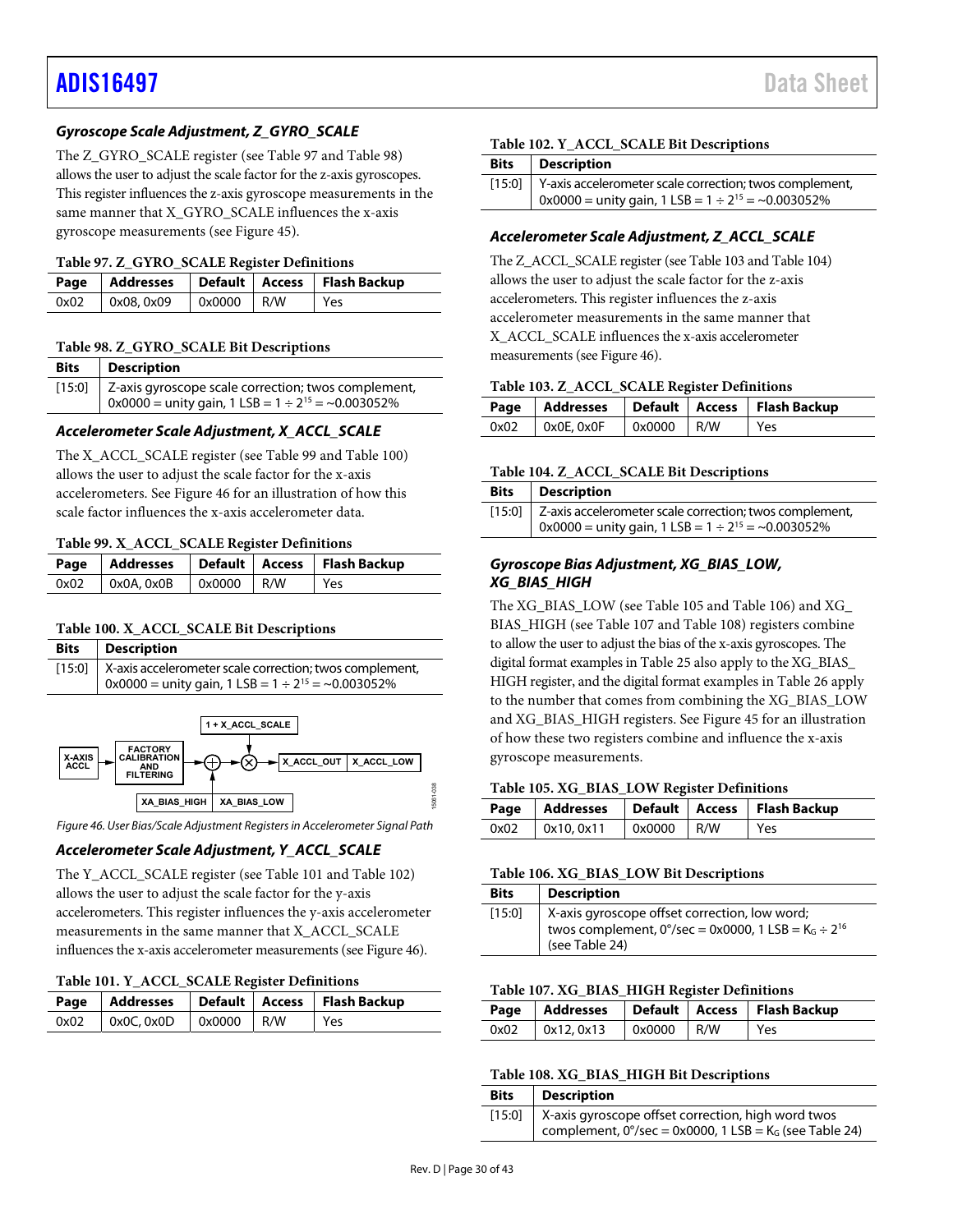## **Gyroscope Scale Adjustment, Z\_GYRO\_SCALE**

The Z\_GYRO\_SCALE register (see [Table 97 a](#page-29-2)nd [Table 98\)](#page-29-3) allows the user to adjust the scale factor for the z-axis gyroscopes. This register influences the z-axis gyroscope measurements in the same manner that X\_GYRO\_SCALE influences the x-axis gyroscope measurements (se[e Figure 45\)](#page-28-1).

#### <span id="page-29-2"></span>**Table 97. Z\_GYRO\_SCALE Register Definitions**

| .    |           |                            |  |                                                    |  |
|------|-----------|----------------------------|--|----------------------------------------------------|--|
|      |           |                            |  | Page   Addresses   Default   Access   Flash Backup |  |
| 0x02 | 0x08,0x09 | $\sqrt{0 \times 0000}$ R/W |  | Yes                                                |  |

#### <span id="page-29-3"></span>**Table 98. Z\_GYRO\_SCALE Bit Descriptions**

| <b>Bits</b> | Description                                                      |
|-------------|------------------------------------------------------------------|
|             | [15:0]   Z-axis gyroscope scale correction; twos complement,     |
|             | $0x0000 =$ unity gain, 1 LSB = $1 \div 2^{15} = \sim 0.003052\%$ |

#### **Accelerometer Scale Adjustment, X\_ACCL\_SCALE**

The X\_ACCL\_SCALE register (see [Table 99 a](#page-29-4)nd [Table 100\)](#page-29-5) allows the user to adjust the scale factor for the x-axis accelerometers. See [Figure 46 f](#page-29-0)or an illustration of how this scale factor influences the x-axis accelerometer data.

#### <span id="page-29-4"></span>**Table 99. X\_ACCL\_SCALE Register Definitions**

|      |            |            | Page   Addresses   Default   Access   Flash Backup |
|------|------------|------------|----------------------------------------------------|
| 0x02 | 0x0A, 0x0B | 0x0000 R/W | Yes                                                |

#### <span id="page-29-5"></span>**Table 100. X\_ACCL\_SCALE Bit Descriptions**

| <b>Bits</b> | Description                                                                                                                          |
|-------------|--------------------------------------------------------------------------------------------------------------------------------------|
|             | [15:0]   X-axis accelerometer scale correction; twos complement,<br>$0x0000 =$ unity gain, 1 LSB = $1 \div 2^{15} = \sim 0.003052\%$ |



<span id="page-29-0"></span>Figure 46. User Bias/Scale Adjustment Registers in Accelerometer Signal Path

#### **Accelerometer Scale Adjustment, Y\_ACCL\_SCALE**

The Y\_ACCL\_SCALE register (se[e Table 101 a](#page-29-6)n[d Table 102\)](#page-29-7) allows the user to adjust the scale factor for the y-axis accelerometers. This register influences the y-axis accelerometer measurements in the same manner that X\_ACCL\_SCALE influences the x-axis accelerometer measurements (se[e Figure 46\)](#page-29-0).

#### <span id="page-29-6"></span>**Table 101. Y\_ACCL\_SCALE Register Definitions**

|                                        |  | Page   Addresses   Default   Access   Flash Backup |
|----------------------------------------|--|----------------------------------------------------|
| $0x02$   $0x0C, 0x0D$   $0x0000$   R/W |  | Yes                                                |

#### <span id="page-29-7"></span>**Table 102. Y\_ACCL\_SCALE Bit Descriptions**

| Bits Description                                                       |
|------------------------------------------------------------------------|
| [15:0]   Y-axis accelerometer scale correction; twos complement,       |
| $\alpha$ 0x0000 = unity gain, 1 LSB = 1 ÷ 2 <sup>15</sup> = ~0.003052% |

#### **Accelerometer Scale Adjustment, Z\_ACCL\_SCALE**

The Z\_ACCL\_SCALE register (se[e Table 103 a](#page-29-8)n[d Table 104\)](#page-29-9) allows the user to adjust the scale factor for the z-axis accelerometers. This register influences the z-axis accelerometer measurements in the same manner that X ACCL SCALE influences the x-axis accelerometer measurements (se[e Figure 46\)](#page-29-0).

#### <span id="page-29-8"></span>**Table 103. Z\_ACCL\_SCALE Register Definitions**

|                          |            | Page   Addresses   Default   Access   Flash Backup |
|--------------------------|------------|----------------------------------------------------|
| $0x02$   $0x0E$ , $0x0F$ | 0x0000 R/W | l Yes                                              |

#### <span id="page-29-9"></span>**Table 104. Z\_ACCL\_SCALE Bit Descriptions**

| <b>Bits</b>   Description                                             |
|-----------------------------------------------------------------------|
| [15:0] Z-axis accelerometer scale correction; twos complement,        |
| $\vert$ 0x0000 = unity gain, 1 LSB = 1 ÷ 2 <sup>15</sup> = ~0.003052% |

#### **Gyroscope Bias Adjustment, XG\_BIAS\_LOW, XG\_BIAS\_HIGH**

The XG\_BIAS\_LOW (see [Table 105 a](#page-29-10)nd [Table 106\)](#page-29-1) and XG\_ BIAS\_HIGH (se[e Table 107 a](#page-29-11)n[d Table 108\)](#page-29-12) registers combine to allow the user to adjust the bias of the x-axis gyroscopes. The digital format examples i[n Table 25 a](#page-21-10)lso apply to the XG\_BIAS\_ HIGH register, and the digital format examples i[n Table 26](#page-21-11) apply to the number that comes from combining the XG\_BIAS\_LOW and XG\_BIAS\_HIGH registers. Se[e Figure 45 f](#page-28-1)or an illustration of how these two registers combine and influence the x-axis gyroscope measurements.

#### <span id="page-29-10"></span>**Table 105. XG\_BIAS\_LOW Register Definitions**

|                     |            | Page   Addresses   Default   Access   Flash Backup |
|---------------------|------------|----------------------------------------------------|
| $0x02$ $0x10, 0x11$ | 0x0000 R/W | l Yes                                              |

#### <span id="page-29-1"></span>**Table 106. XG\_BIAS\_LOW Bit Descriptions**

| <b>Bits</b> | <b>Description</b>                                                                                                                                      |
|-------------|---------------------------------------------------------------------------------------------------------------------------------------------------------|
| [15:0]      | X-axis gyroscope offset correction, low word;<br>twos complement, $0^{\circ}/sec = 0x0000$ , 1 LSB = K <sub>G</sub> ÷ 2 <sup>16</sup><br>(see Table 24) |

#### <span id="page-29-11"></span>**Table 107. XG\_BIAS\_HIGH Register Definitions**

|                       |            | Page   Addresses   Default   Access   Flash Backup |
|-----------------------|------------|----------------------------------------------------|
| $0x02$   $0x12, 0x13$ | 0x0000 R/W | l Yes                                              |

#### <span id="page-29-12"></span>**Table 108. XG\_BIAS\_HIGH Bit Descriptions**

| <b>Bits</b> | Description                                                                  |
|-------------|------------------------------------------------------------------------------|
|             | [15:0]   X-axis gyroscope offset correction, high word twos                  |
|             | complement, $0^{\circ}/sec = 0x0000$ , 1 LSB = K <sub>G</sub> (see Table 24) |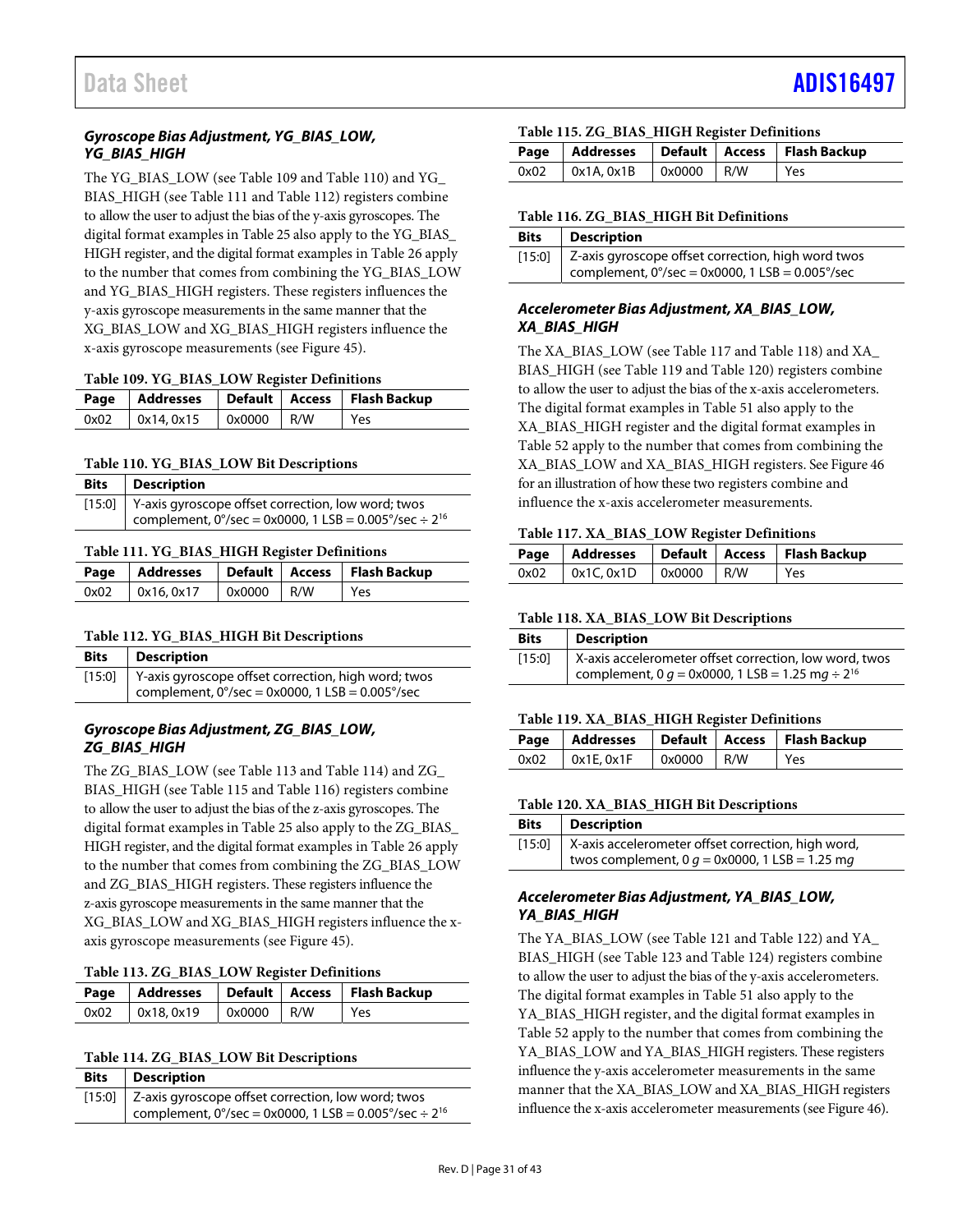## **Gyroscope Bias Adjustment, YG\_BIAS\_LOW, YG\_BIAS\_HIGH**

The YG\_BIAS\_LOW (see [Table 109](#page-30-0) and [Table 110\)](#page-30-1) and YG\_ BIAS\_HIGH (se[e Table 111 a](#page-30-2)n[d Table 112\)](#page-30-3) registers combine to allow the user to adjust the bias of the y-axis gyroscopes. The digital format examples i[n Table 25 a](#page-21-10)lso apply to the YG\_BIAS\_ HIGH register, and the digital format examples i[n Table 26](#page-21-11) apply to the number that comes from combining the YG\_BIAS\_LOW and YG\_BIAS\_HIGH registers. These registers influences the y-axis gyroscope measurements in the same manner that the XG\_BIAS\_LOW and XG\_BIAS\_HIGH registers influence the x-axis gyroscope measurements (see [Figure 45\)](#page-28-1).

#### <span id="page-30-0"></span>**Table 109. YG\_BIAS\_LOW Register Definitions**

|                       |                            | Page   Addresses   Default   Access   Flash Backup |
|-----------------------|----------------------------|----------------------------------------------------|
| $0x02$   $0x14, 0x15$ | $\sqrt{0 \times 0000}$ R/W | l Yes                                              |

#### <span id="page-30-1"></span>**Table 110. YG\_BIAS\_LOW Bit Descriptions**

| <b>Bits</b> | Description                                                                                                                                  |
|-------------|----------------------------------------------------------------------------------------------------------------------------------------------|
|             | [15:0] Y-axis gyroscope offset correction, low word; twos<br>complement, $0^{\circ}/sec = 0x0000$ , 1 LSB = 0.005 $^{\circ}/sec \div 2^{16}$ |

#### <span id="page-30-2"></span>**Table 111. YG\_BIAS\_HIGH Register Definitions**

|      |           |            | Page   Addresses   Default   Access   Flash Backup |
|------|-----------|------------|----------------------------------------------------|
| 0x02 | 0x16.0x17 | 0x0000 R/W | Yes                                                |

#### <span id="page-30-3"></span>**Table 112. YG\_BIAS\_HIGH Bit Descriptions**

| <b>Bits</b> | <b>Description</b>                                                                                                      |
|-------------|-------------------------------------------------------------------------------------------------------------------------|
|             | [15:0] Y-axis gyroscope offset correction, high word; twos<br>complement, $0^{\circ}/sec = 0x0000$ , 1 LSB = 0.005°/sec |

#### **Gyroscope Bias Adjustment, ZG\_BIAS\_LOW, ZG\_BIAS\_HIGH**

The ZG\_BIAS\_LOW (se[e Table 113 a](#page-30-4)n[d Table 114\)](#page-30-5) and ZG\_ BIAS\_HIGH (se[e Table 115 a](#page-30-6)n[d Table 116\)](#page-30-7) registers combine to allow the user to adjust the bias of the z-axis gyroscopes. The digital format examples i[n Table 25](#page-21-10) also apply to the ZG\_BIAS\_ HIGH register, and the digital format examples i[n Table 26](#page-21-11) apply to the number that comes from combining the ZG\_BIAS\_LOW and ZG\_BIAS\_HIGH registers. These registers influence the z-axis gyroscope measurements in the same manner that the XG\_BIAS\_LOW and XG\_BIAS\_HIGH registers influence the xaxis gyroscope measurements (see [Figure 45\)](#page-28-1).

#### <span id="page-30-4"></span>**Table 113. ZG\_BIAS\_LOW Register Definitions**

|      |            |                     | Page   Addresses   Default   Access   Flash Backup |
|------|------------|---------------------|----------------------------------------------------|
| 0x02 | 0x18, 0x19 | $\alpha$ 0x0000 R/W | l Yes                                              |

#### <span id="page-30-5"></span>**Table 114. ZG\_BIAS\_LOW Bit Descriptions**

| <b>Bits</b>   Description                                                   |
|-----------------------------------------------------------------------------|
| [15:0]   Z-axis gyroscope offset correction, low word; twos                 |
| complement, $0^{\circ}/sec = 0x0000$ , 1 LSB = 0.005°/sec ÷ 2 <sup>16</sup> |

#### <span id="page-30-6"></span>**Table 115. ZG\_BIAS\_HIGH Register Definitions**

|                       |            | Page   Addresses   Default   Access   Flash Backup |
|-----------------------|------------|----------------------------------------------------|
| $0x02$   $0x1A, 0x1B$ | 0x0000 R/W | Yes                                                |

#### <span id="page-30-7"></span>**Table 116. ZG\_BIAS\_HIGH Bit Definitions**

| <b>Bits</b> | Description                                               |
|-------------|-----------------------------------------------------------|
|             | [15:0] Z-axis gyroscope offset correction, high word twos |
|             | complement, $0^{\circ}/sec = 0x0000$ , 1 LSB = 0.005°/sec |

### **Accelerometer Bias Adjustment, XA\_BIAS\_LOW, XA\_BIAS\_HIGH**

The XA\_BIAS\_LOW (see [Table 117](#page-30-8) an[d Table 118\)](#page-30-9) and XA\_ BIAS HIGH (se[e Table 119 a](#page-30-10)n[d Table 120\)](#page-30-11) registers combine to allow the user to adjust the bias of the x-axis accelerometers. The digital format examples in [Table 51 a](#page-24-4)lso apply to the XA\_BIAS\_HIGH register and the digital format examples in [Table 52 a](#page-24-5)pply to the number that comes from combining the XA\_BIAS\_LOW and XA\_BIAS\_HIGH registers. Se[e Figure 46](#page-29-0)  for an illustration of how these two registers combine and influence the x-axis accelerometer measurements.

#### <span id="page-30-8"></span>**Table 117. XA\_BIAS\_LOW Register Definitions**

|      |            |              | Page   Addresses   Default   Access   Flash Backup |
|------|------------|--------------|----------------------------------------------------|
| 0x02 | 0x1C, 0x1D | $0x0000$ R/W | Yes                                                |

#### <span id="page-30-9"></span>**Table 118. XA\_BIAS\_LOW Bit Descriptions**

| <b>Bits</b> | Description                                                    |
|-------------|----------------------------------------------------------------|
| [15:0]      | X-axis accelerometer offset correction, low word, twos         |
|             | complement, 0 $q = 0x0000$ , 1 LSB = 1.25 mg ÷ 2 <sup>16</sup> |

## <span id="page-30-10"></span>**Table 119. XA\_BIAS\_HIGH Register Definitions**

|                          |              | Page   Addresses   Default   Access   Flash Backup |
|--------------------------|--------------|----------------------------------------------------|
| $0x02$   $0x1E$ , $0x1F$ | $0x0000$ R/W | <b>Yes</b>                                         |

#### <span id="page-30-11"></span>**Table 120. XA\_BIAS\_HIGH Bit Descriptions**

| <b>Bits</b> | <b>Description</b>                                 |
|-------------|----------------------------------------------------|
| [15:0]      | X-axis accelerometer offset correction, high word, |
|             | twos complement, 0 $q = 0$ x0000, 1 LSB = 1.25 mg  |

### **Accelerometer Bias Adjustment, YA\_BIAS\_LOW, YA\_BIAS\_HIGH**

The YA\_BIAS\_LOW (se[e Table 121 a](#page-31-2)n[d Table 122\)](#page-31-3) and YA\_ BIAS\_HIGH (se[e Table 123 a](#page-31-4)n[d Table 124\)](#page-31-5) registers combine to allow the user to adjust the bias of the y-axis accelerometers. The digital format examples in [Table 51 a](#page-24-4)lso apply to the YA\_BIAS\_HIGH register, and the digital format examples in [Table 52 a](#page-24-5)pply to the number that comes from combining the YA\_BIAS\_LOW and YA\_BIAS\_HIGH registers. These registers influence the y-axis accelerometer measurements in the same manner that the XA\_BIAS\_LOW and XA\_BIAS\_HIGH registers influence the x-axis accelerometer measurements (se[e Figure 46\)](#page-29-0).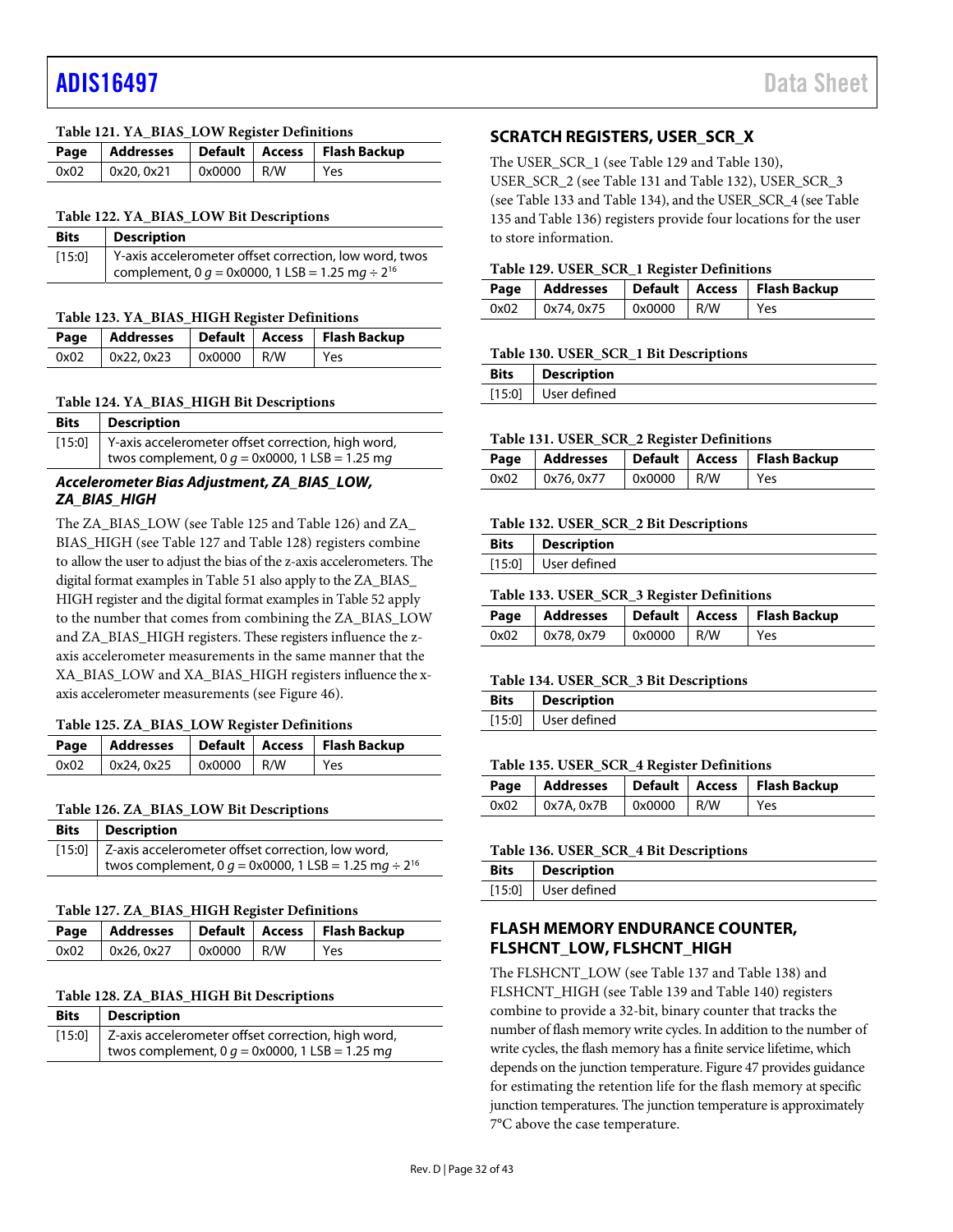### <span id="page-31-2"></span>**Table 121. YA\_BIAS\_LOW Register Definitions**

|                       |            | Page   Addresses   Default   Access   Flash Backup |
|-----------------------|------------|----------------------------------------------------|
| $0x02$   $0x20, 0x21$ | 0x0000 R/W | l Yes                                              |

#### <span id="page-31-3"></span>**Table 122. YA\_BIAS\_LOW Bit Descriptions**

| <b>Bits</b> | <b>Description</b>                                             |
|-------------|----------------------------------------------------------------|
| [15:0]      | Y-axis accelerometer offset correction, low word, twos         |
|             | complement, 0 $q = 0x0000$ , 1 LSB = 1.25 mg ÷ 2 <sup>16</sup> |

#### <span id="page-31-4"></span>**Table 123. YA\_BIAS\_HIGH Register Definitions**

|      |            |              | Page   Addresses   Default   Access   Flash Backup |
|------|------------|--------------|----------------------------------------------------|
| 0x02 | 0x22, 0x23 | $0x0000$ R/W | Yes                                                |

#### <span id="page-31-5"></span>**Table 124. YA\_BIAS\_HIGH Bit Descriptions**

| Bits | <b>Description</b>                                        |
|------|-----------------------------------------------------------|
|      | [15:0] Y-axis accelerometer offset correction, high word, |
|      | twos complement, 0 $g = 0x0000$ , 1 LSB = 1.25 mg         |

### **Accelerometer Bias Adjustment, ZA\_BIAS\_LOW, ZA\_BIAS\_HIGH**

The ZA\_BIAS\_LOW (se[e Table 125 a](#page-31-6)nd [Table 126\)](#page-31-7) and ZA\_ BIAS\_HIGH (se[e Table 127 a](#page-31-8)n[d Table 128\)](#page-31-9) registers combine to allow the user to adjust the bias of the z-axis accelerometers. The digital format examples i[n Table 51 a](#page-24-4)lso apply to the ZA\_BIAS\_ HIGH register and the digital format examples i[n Table 52](#page-24-5) apply to the number that comes from combining the ZA\_BIAS\_LOW and ZA\_BIAS\_HIGH registers. These registers influence the zaxis accelerometer measurements in the same manner that the XA\_BIAS\_LOW and XA\_BIAS\_HIGH registers influence the xaxis accelerometer measurements (se[e Figure 46\)](#page-29-0).

#### <span id="page-31-6"></span>**Table 125. ZA\_BIAS\_LOW Register Definitions**

|                                        |  | Page   Addresses   Default   Access   Flash Backup |
|----------------------------------------|--|----------------------------------------------------|
| $0x02$   $0x24, 0x25$   $0x0000$   R/W |  | Yes                                                |

#### <span id="page-31-7"></span>**Table 126. ZA\_BIAS\_LOW Bit Descriptions**

| <b>Bits</b> | <b>Description</b>                                                     |
|-------------|------------------------------------------------------------------------|
|             | [15:0] Z-axis accelerometer offset correction, low word,               |
|             | twos complement, 0 $q = 0 \times 0000$ , 1 LSB = 1.25 mg $\div 2^{16}$ |

#### <span id="page-31-8"></span>**Table 127. ZA\_BIAS\_HIGH Register Definitions**

|      |            |              | Page   Addresses   Default   Access   Flash Backup |
|------|------------|--------------|----------------------------------------------------|
| 0x02 | 0x26, 0x27 | $0x0000$ R/W | Yes                                                |

#### <span id="page-31-9"></span>**Table 128. ZA\_BIAS\_HIGH Bit Descriptions**

| <b>Bits</b> | <b>Description</b>                                        |
|-------------|-----------------------------------------------------------|
|             | [15:0] Z-axis accelerometer offset correction, high word, |
|             | twos complement, 0 $g = 0x0000$ , 1 LSB = 1.25 mg         |

## <span id="page-31-0"></span>**SCRATCH REGISTERS, USER\_SCR\_X**

The USER\_SCR\_1 (see [Table 129](#page-31-10) an[d Table 130\)](#page-31-11), USER\_SCR\_2 (se[e Table 131](#page-31-12) an[d Table 132\)](#page-31-13), USER\_SCR\_3 (see [Table 133](#page-31-14) and [Table 134\)](#page-31-15), and the USER\_SCR\_4 (se[e Table](#page-31-16)  [135 a](#page-31-16)n[d Table 136\)](#page-31-17) registers provide four locations for the user to store information.

#### <span id="page-31-10"></span>**Table 129. USER\_SCR\_1 Register Definitions**

|      |            |              | Page   Addresses   Default   Access   Flash Backup |
|------|------------|--------------|----------------------------------------------------|
| 0x02 | 0x74, 0x75 | $0x0000$ R/W | Yes                                                |

#### <span id="page-31-11"></span>**Table 130. USER\_SCR\_1 Bit Descriptions**

| Bits | <b>Description</b>    |
|------|-----------------------|
|      | $[15:0]$ User defined |

#### <span id="page-31-12"></span>**Table 131. USER\_SCR\_2 Register Definitions**

|      |                         |  | Page   Addresses   Default   Access   Flash Backup |
|------|-------------------------|--|----------------------------------------------------|
| 0x02 | $0x76, 0x77$ 0x0000 R/W |  | l Yes                                              |

#### <span id="page-31-13"></span>**Table 132. USER\_SCR\_2 Bit Descriptions**

| <b>Bits</b> | <b>Description</b>  |
|-------------|---------------------|
|             | [15:0] User defined |

#### <span id="page-31-14"></span>**Table 133. USER\_SCR\_3 Register Definitions**

|      |           |                     | Page   Addresses   Default   Access   Flash Backup |
|------|-----------|---------------------|----------------------------------------------------|
| 0x02 | 0x78.0x79 | $0 \times 0000$ R/W | Yes                                                |

#### <span id="page-31-15"></span>**Table 134. USER\_SCR\_3 Bit Descriptions**

| Bits | <b>Description</b>  |
|------|---------------------|
|      | [15:0] User defined |

#### <span id="page-31-16"></span>**Table 135. USER\_SCR\_4 Register Definitions**

|                                        |  | Page   Addresses   Default   Access   Flash Backup |
|----------------------------------------|--|----------------------------------------------------|
| $0x02$   $0x7A, 0x7B$   $0x0000$   R/W |  | Yes                                                |

#### <span id="page-31-17"></span>**Table 136. USER\_SCR\_4 Bit Descriptions**

| <b>Bits</b> | Description         |
|-------------|---------------------|
|             | [15:0] User defined |

## <span id="page-31-1"></span>**FLASH MEMORY ENDURANCE COUNTER, FLSHCNT\_LOW, FLSHCNT\_HIGH**

The FLSHCNT\_LOW (se[e Table 137 a](#page-32-2)n[d Table 138\)](#page-32-3) and FLSHCNT\_HIGH (se[e Table 139 a](#page-32-4)n[d Table 140\)](#page-32-5) registers combine to provide a 32-bit, binary counter that tracks the number of flash memory write cycles. In addition to the number of write cycles, the flash memory has a finite service lifetime, which depends on the junction temperature[. Figure 47 p](#page-32-6)rovides guidance for estimating the retention life for the flash memory at specific junction temperatures. The junction temperature is approximately 7°C above the case temperature.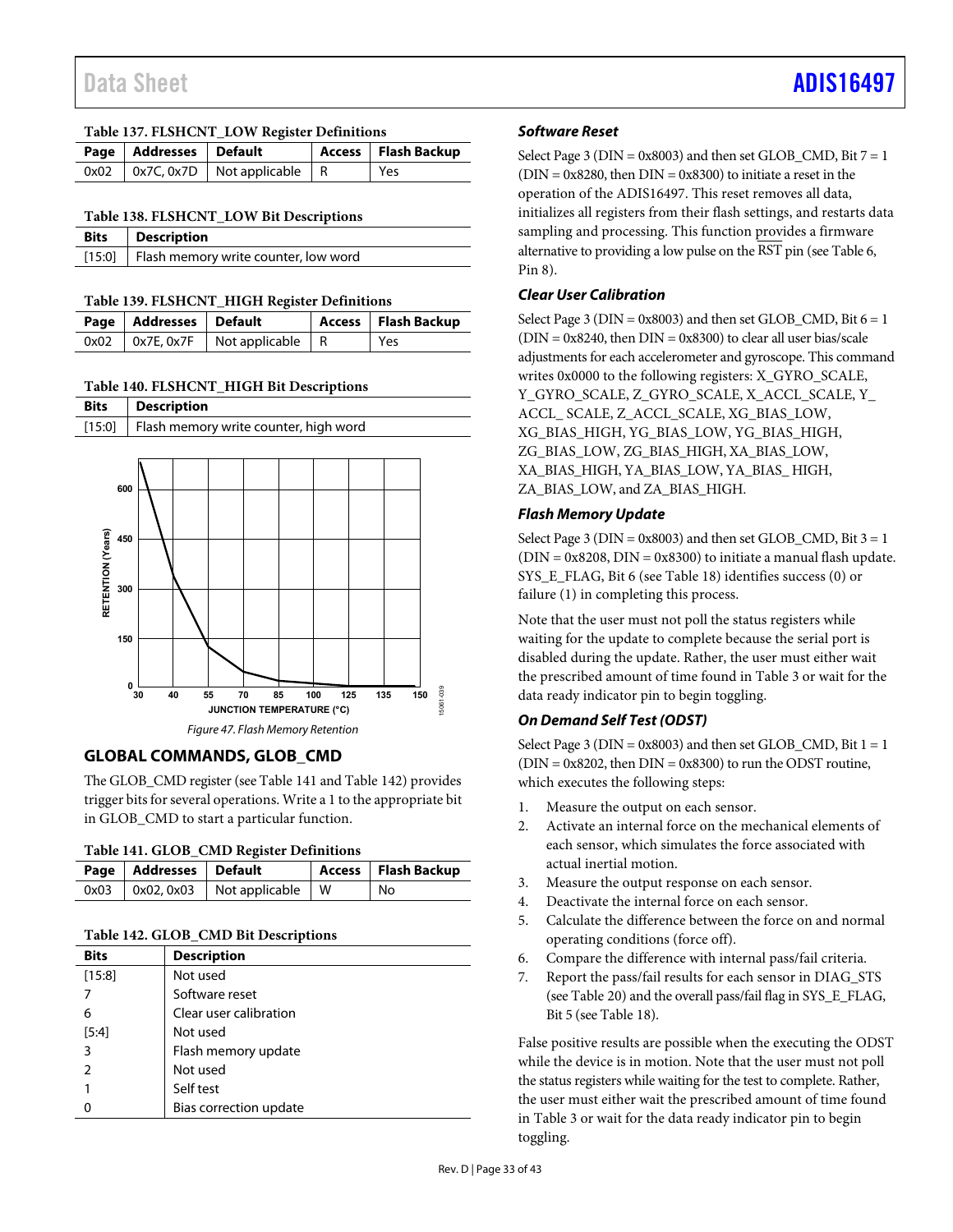<span id="page-32-2"></span>**Table 137. FLSHCNT\_LOW Register Definitions** 

| Page   Addresses   Default |                                          | Access   Flash Backup |
|----------------------------|------------------------------------------|-----------------------|
|                            | $0x02$   0x7C, 0x7D   Not applicable   R | Yes                   |

<span id="page-32-3"></span>

| <b>Bits</b> Description                       |
|-----------------------------------------------|
| [15:0]   Flash memory write counter, low word |

#### <span id="page-32-4"></span>**Table 139. FLSHCNT\_HIGH Register Definitions**

| Page   Addresses   Default |                                               | Access   Flash Backup |
|----------------------------|-----------------------------------------------|-----------------------|
|                            | $0x02$   $0x7E$ , $0x7F$   Not applicable   R | Yes                   |

#### <span id="page-32-5"></span>**Table 140. FLSHCNT\_HIGH Bit Descriptions**

[15:0] Flash memory write counter, high word

**Bits Description** 

|                                   | 600                                                                                                     |  |  |  |  |  |  |  |  |
|-----------------------------------|---------------------------------------------------------------------------------------------------------|--|--|--|--|--|--|--|--|
|                                   | 450                                                                                                     |  |  |  |  |  |  |  |  |
| RETENTION (Years)                 |                                                                                                         |  |  |  |  |  |  |  |  |
|                                   | 300                                                                                                     |  |  |  |  |  |  |  |  |
|                                   | 150<br>0                                                                                                |  |  |  |  |  |  |  |  |
|                                   | 15061-039<br>150<br>30<br>70<br>85<br>100<br>40<br>55<br>135<br>125<br><b>JUNCTION TEMPERATURE (°C)</b> |  |  |  |  |  |  |  |  |
| Figure 47. Flash Memory Retention |                                                                                                         |  |  |  |  |  |  |  |  |

## <span id="page-32-6"></span><span id="page-32-0"></span>**GLOBAL COMMANDS, GLOB\_CMD**

The GLOB\_CMD register (se[e Table 141 a](#page-32-7)n[d Table 142\)](#page-32-1) provides trigger bits for several operations. Write a 1 to the appropriate bit in GLOB\_CMD to start a particular function.

<span id="page-32-7"></span>

| Page   Addresses   Default |  |                                            | Access   Flash Backup |  |
|----------------------------|--|--------------------------------------------|-----------------------|--|
|                            |  | $0x03$   $0x02, 0x03$   Not applicable   W | No                    |  |

#### <span id="page-32-1"></span>**Table 142. GLOB\_CMD Bit Descriptions**

| <b>Bits</b> | <b>Description</b>     |
|-------------|------------------------|
| [15:8]      | Not used               |
|             | Software reset         |
| 6           | Clear user calibration |
| $[5:4]$     | Not used               |
| 3           | Flash memory update    |
|             | Not used               |
|             | Self test              |
|             | Bias correction update |

## **Software Reset**

Select Page 3 ( $DIN = 0x8003$ ) and then set GLOB\_CMD, Bit  $7 = 1$  $(DIN = 0x8280,$  then  $DIN = 0x8300)$  to initiate a reset in the operation of the ADIS16497. This reset removes all data, initializes all registers from their flash settings, and restarts data sampling and processing. This function provides a firmware alternative to providing a low pulse on the RST pin (se[e Table 6,](#page-9-1) Pin 8).

## **Clear User Calibration**

Select Page 3 ( $DIN = 0x8003$ ) and then set GLOB\_CMD, Bit  $6 = 1$  $(DIN = 0x8240,$  then  $DIN = 0x8300)$  to clear all user bias/scale adjustments for each accelerometer and gyroscope. This command writes 0x0000 to the following registers: X\_GYRO\_SCALE, Y\_GYRO\_SCALE, Z\_GYRO\_SCALE, X\_ACCL\_SCALE, Y\_ ACCL\_ SCALE, Z\_ACCL\_SCALE, XG\_BIAS\_LOW, XG\_BIAS\_HIGH, YG\_BIAS\_LOW, YG\_BIAS\_HIGH, ZG\_BIAS\_LOW, ZG\_BIAS\_HIGH, XA\_BIAS\_LOW, XA\_BIAS\_HIGH, YA\_BIAS\_LOW, YA\_BIAS\_ HIGH, ZA\_BIAS\_LOW, and ZA\_BIAS\_HIGH.

## **Flash Memory Update**

Select Page 3 ( $DIN = 0x8003$ ) and then set GLOB\_CMD, Bit  $3 = 1$  $(DIN = 0x8208, DIN = 0x8300)$  to initiate a manual flash update. SYS\_E\_FLAG, Bit 6 (se[e Table 18\)](#page-20-4) identifies success (0) or failure (1) in completing this process.

Note that the user must not poll the status registers while waiting for the update to complete because the serial port is disabled during the update. Rather, the user must either wait the prescribed amount of time found i[n Table 3 o](#page-6-0)r wait for the data ready indicator pin to begin toggling.

## **On Demand Self Test (ODST)**

Select Page 3 ( $DIN = 0x8003$ ) and then set  $GLOB\_CMD$ , Bit  $1 = 1$  $(DIN = 0x8202,$  then  $DIN = 0x8300)$  to run the ODST routine, which executes the following steps:

- 1. Measure the output on each sensor.
- 2. Activate an internal force on the mechanical elements of each sensor, which simulates the force associated with actual inertial motion.
- 3. Measure the output response on each sensor.
- 4. Deactivate the internal force on each sensor.
- 5. Calculate the difference between the force on and normal operating conditions (force off).
- 6. Compare the difference with internal pass/fail criteria.
- 7. Report the pass/fail results for each sensor in DIAG\_STS (se[e Table 20\)](#page-21-3) and the overall pass/fail flag in SYS\_E\_FLAG, Bit 5 (se[e Table 18\)](#page-20-4).

False positive results are possible when the executing the ODST while the device is in motion. Note that the user must not poll the status registers while waiting for the test to complete. Rather, the user must either wait the prescribed amount of time found in [Table 3](#page-6-0) or wait for the data ready indicator pin to begin toggling.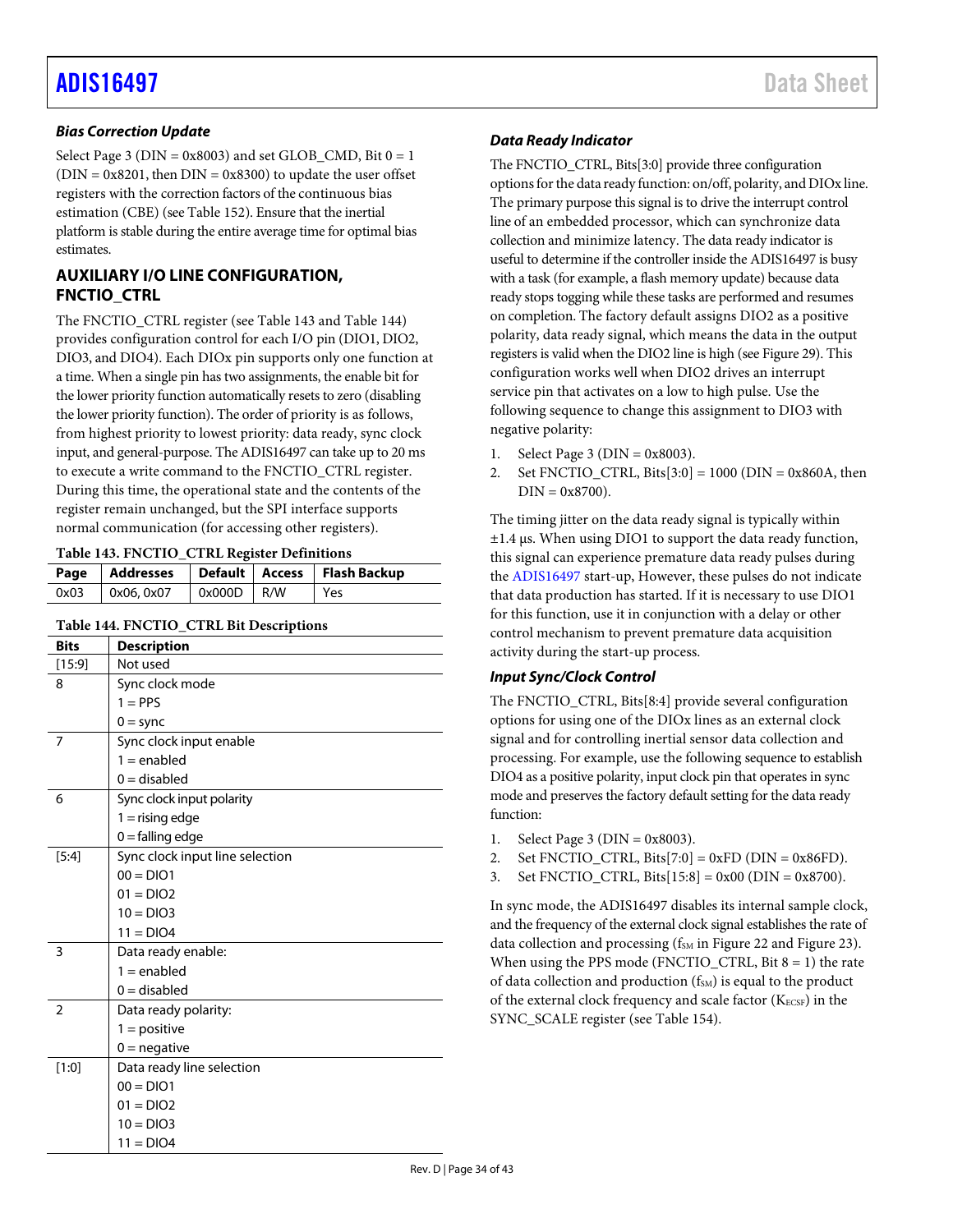## **Bias Correction Update**

Select Page 3 ( $DIN = 0x8003$ ) and set GLOB\_CMD, Bit  $0 = 1$  $(DIN = 0x8201,$  then  $DIN = 0x8300$  to update the user offset registers with the correction factors of the continuous bias estimation (CBE) (se[e Table 152\)](#page-35-4). Ensure that the inertial platform is stable during the entire average time for optimal bias estimates.

## <span id="page-33-0"></span>**AUXILIARY I/O LINE CONFIGURATION, FNCTIO\_CTRL**

The FNCTIO\_CTRL register (se[e Table 143 a](#page-33-2)n[d Table 144\)](#page-33-1) provides configuration control for each I/O pin (DIO1, DIO2, DIO3, and DIO4). Each DIOx pin supports only one function at a time. When a single pin has two assignments, the enable bit for the lower priority function automatically resets to zero (disabling the lower priority function). The order of priority is as follows, from highest priority to lowest priority: data ready, sync clock input, and general-purpose. The ADIS16497 can take up to 20 ms to execute a write command to the FNCTIO\_CTRL register. During this time, the operational state and the contents of the register remain unchanged, but the SPI interface supports normal communication (for accessing other registers).

#### <span id="page-33-2"></span>**Table 143. FNCTIO\_CTRL Register Definitions**

|      |           |              | Page   Addresses   Default   Access   Flash Backup |
|------|-----------|--------------|----------------------------------------------------|
| 0x03 | 0x06.0x07 | $0x000D$ R/W | Yes                                                |

## <span id="page-33-1"></span>**Table 144. FNCTIO\_CTRL Bit Descriptions**

| <b>Bits</b>    | <b>Description</b>              |
|----------------|---------------------------------|
| [15:9]         | Not used                        |
| 8              | Sync clock mode                 |
|                | $1 = PPS$                       |
|                | $0 =$ sync                      |
| 7              | Sync clock input enable         |
|                | $1 =$ enabled                   |
|                | $0 =$ disabled                  |
| 6              | Sync clock input polarity       |
|                | $1 =$ rising edge               |
|                | $0 =$ falling edge              |
| $[5:4]$        | Sync clock input line selection |
|                | $00 = DIO1$                     |
|                | $01 = DIO2$                     |
|                | $10 = DIO3$                     |
|                | $11 = DIO4$                     |
| 3              | Data ready enable:              |
|                | $1 =$ enabled                   |
|                | $0 =$ disabled                  |
| $\overline{2}$ | Data ready polarity:            |
|                | $1 = positive$                  |
|                | $0 =$ negative                  |
| [1:0]          | Data ready line selection       |
|                | $00 = DIO1$                     |
|                | $01 = DIO2$                     |
|                | $10 = DIO3$                     |
|                | $11 = DIO4$                     |

## **Data Ready Indicator**

The FNCTIO CTRL, Bits[3:0] provide three configuration options for the data ready function: on/off, polarity, and DIOx line. The primary purpose this signal is to drive the interrupt control line of an embedded processor, which can synchronize data collection and minimize latency. The data ready indicator is useful to determine if the controller inside the ADIS16497 is busy with a task (for example, a flash memory update) because data ready stops togging while these tasks are performed and resumes on completion. The factory default assigns DIO2 as a positive polarity, data ready signal, which means the data in the output registers is valid when the DIO2 line is high (se[e Figure 29\)](#page-14-6). This configuration works well when DIO2 drives an interrupt service pin that activates on a low to high pulse. Use the following sequence to change this assignment to DIO3 with negative polarity:

- 1. Select Page 3 ( $DIN = 0x8003$ ).
- 2. Set FNCTIO CTRL, Bits $[3:0] = 1000$  (DIN = 0x860A, then  $DIN = 0x8700$ ).

The timing jitter on the data ready signal is typically within ±1.4 μs. When using DIO1 to support the data ready function, this signal can experience premature data ready pulses during the [ADIS16497 s](https://www.analog.com/ADIS16497?doc=ADIS16497.pdf)tart-up, However, these pulses do not indicate that data production has started. If it is necessary to use DIO1 for this function, use it in conjunction with a delay or other control mechanism to prevent premature data acquisition activity during the start-up process.

## **Input Sync/Clock Control**

The FNCTIO\_CTRL, Bits[8:4] provide several configuration options for using one of the DIOx lines as an external clock signal and for controlling inertial sensor data collection and processing. For example, use the following sequence to establish DIO4 as a positive polarity, input clock pin that operates in sync mode and preserves the factory default setting for the data ready function:

- 1. Select Page 3 ( $DIN = 0x8003$ ).
- 2. Set FNCTIO\_CTRL, Bits[7:0] =  $0xFD$  (DIN =  $0x86FD$ ).
- 3. Set FNCTIO\_CTRL, Bits $[15:8] = 0x00$  (DIN = 0x8700).

In sync mode, the ADIS16497 disables its internal sample clock, and the frequency of the external clock signal establishes the rate of data collection and processing ( $f<sub>SM</sub>$  i[n Figure 22 a](#page-12-3)n[d Figure 23\)](#page-12-4). When using the PPS mode (FNCTIO\_CTRL, Bit  $8 = 1$ ) the rate of data collection and production  $(f<sub>SM</sub>)$  is equal to the product of the external clock frequency and scale factor ( $K_{ECSF}$ ) in the SYNC\_SCALE register (se[e Table 154\)](#page-35-2).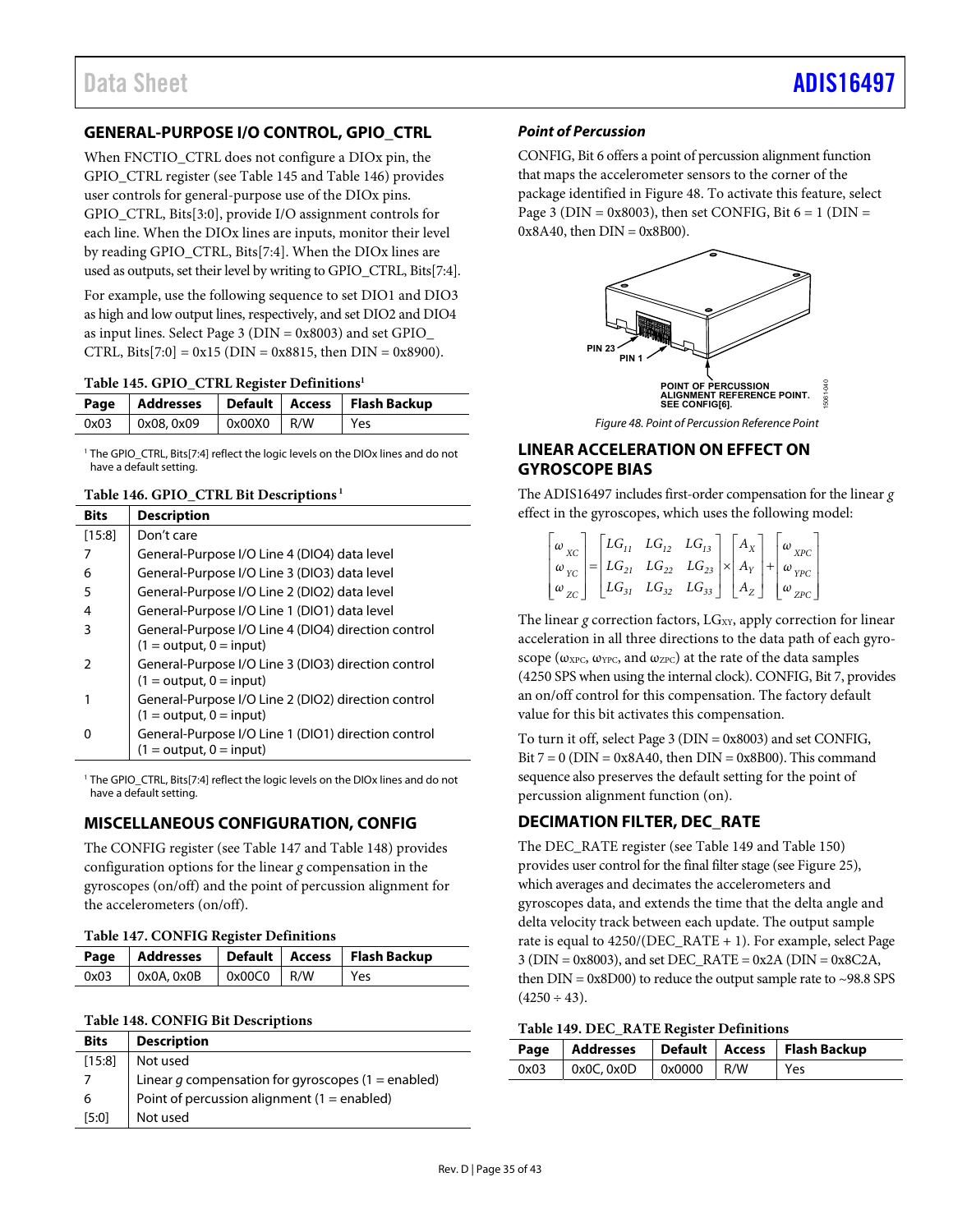## <span id="page-34-0"></span>**GENERAL-PURPOSE I/O CONTROL, GPIO\_CTRL**

When FNCTIO\_CTRL does not configure a DIOx pin, the GPIO\_CTRL register (see [Table 145 a](#page-34-5)nd [Table 146\)](#page-34-6) provides user controls for general-purpose use of the DIOx pins. GPIO\_CTRL, Bits[3:0], provide I/O assignment controls for each line. When the DIOx lines are inputs, monitor their level by reading GPIO\_CTRL, Bits[7:4]. When the DIOx lines are used as outputs, set their level by writing to GPIO\_CTRL, Bits[7:4].

For example, use the following sequence to set DIO1 and DIO3 as high and low output lines, respectively, and set DIO2 and DIO4 as input lines. Select Page 3 (DIN = 0x8003) and set GPIO\_ CTRL, Bits[7:0] =  $0x15$  (DIN =  $0x8815$ , then DIN =  $0x8900$ ).

#### <span id="page-34-5"></span>**Table 145. GPIO\_CTRL Register Definitions1**

|      |                                      |              |  | Page   Addresses   Default   Access   Flash Backup |  |  |  |  |  |
|------|--------------------------------------|--------------|--|----------------------------------------------------|--|--|--|--|--|
| 0x03 | $\sqrt{0 \times 08}$ , 0 $\times$ 09 | $0x00X0$ R/W |  | i Yes                                              |  |  |  |  |  |

<sup>1</sup> The GPIO\_CTRL, Bits[7:4] reflect the logic levels on the DIOx lines and do not have a default setting.

#### <span id="page-34-6"></span>**Table 146. GPIO\_CTRL Bit Descriptions 1**

| <b>Bits</b> | <b>Description</b>                                                               |
|-------------|----------------------------------------------------------------------------------|
| [15:8]      | Don't care                                                                       |
|             | General-Purpose I/O Line 4 (DIO4) data level                                     |
| 6           | General-Purpose I/O Line 3 (DIO3) data level                                     |
| 5           | General-Purpose I/O Line 2 (DIO2) data level                                     |
| 4           | General-Purpose I/O Line 1 (DIO1) data level                                     |
| 3           | General-Purpose I/O Line 4 (DIO4) direction control<br>$(1 = output, 0 = input)$ |
| 2           | General-Purpose I/O Line 3 (DIO3) direction control<br>$(1 = output, 0 = input)$ |
|             | General-Purpose I/O Line 2 (DIO2) direction control<br>$(1 = output, 0 = input)$ |
| o           | General-Purpose I/O Line 1 (DIO1) direction control<br>$(1 = output, 0 = input)$ |

<sup>1</sup> The GPIO\_CTRL, Bits[7:4] reflect the logic levels on the DIOx lines and do not have a default setting.

## <span id="page-34-1"></span>**MISCELLANEOUS CONFIGURATION, CONFIG**

The CONFIG register (se[e Table 147 a](#page-34-7)n[d Table 148\)](#page-34-4) provides configuration options for the linear *g* compensation in the gyroscopes (on/off) and the point of percussion alignment for the accelerometers (on/off).

<span id="page-34-7"></span>

|      |                                               |  |  | Page   Addresses   Default   Access   Flash Backup |  |  |  |
|------|-----------------------------------------------|--|--|----------------------------------------------------|--|--|--|
| 0x03 | $\vert$ 0x0A, 0x0B $\vert$ 0x00C0 $\vert$ R/W |  |  | Yes                                                |  |  |  |

## <span id="page-34-4"></span>**Table 148. CONFIG Bit Descriptions**

| <b>Bits</b> | <b>Description</b>                                   |
|-------------|------------------------------------------------------|
| [15:8]      | Not used                                             |
|             | Linear $g$ compensation for gyroscopes (1 = enabled) |
| 6           | Point of percussion alignment (1 = enabled)          |
| [5:0]       | Not used                                             |

## **Point of Percussion**

CONFIG, Bit 6 offers a point of percussion alignment function that maps the accelerometer sensors to the corner of the package identified i[n Figure 48.](#page-34-8) To activate this feature, select Page 3 ( $DIN = 0x8003$ ), then set CONFIG, Bit  $6 = 1$  ( $DIN =$  $0x8A40$ , then  $DIN = 0x8B00$ ).



## <span id="page-34-8"></span><span id="page-34-2"></span>**LINEAR ACCELERATION ON EFFECT ON GYROSCOPE BIAS**

The ADIS16497 includes first-order compensation for the linear *g* effect in the gyroscopes, which uses the following model:

|  |  |  |  | $\begin{bmatrix} \omega_{XC} \\ \omega_{YC} \\ \omega_{ZC} \end{bmatrix} = \begin{bmatrix} LG_{11} & LG_{12} & LG_{13} \\ LG_{21} & LG_{22} & LG_{23} \\ LG_{31} & LG_{32} & LG_{33} \end{bmatrix} \times \begin{bmatrix} A_X \\ A_Y \\ A_Z \end{bmatrix} + \begin{bmatrix} \omega_{XPC} \\ \omega_{YPC} \\ \omega_{ZPC} \end{bmatrix}$ |
|--|--|--|--|-----------------------------------------------------------------------------------------------------------------------------------------------------------------------------------------------------------------------------------------------------------------------------------------------------------------------------------------|
|  |  |  |  |                                                                                                                                                                                                                                                                                                                                         |
|  |  |  |  |                                                                                                                                                                                                                                                                                                                                         |

The linear *g* correction factors, LG<sub>XY</sub>, apply correction for linear acceleration in all three directions to the data path of each gyroscope ( $\omega_{\text{XPC}}$ ,  $\omega_{\text{YPC}}$ , and  $\omega_{\text{ZPC}}$ ) at the rate of the data samples (4250 SPS when using the internal clock). CONFIG, Bit 7, provides an on/off control for this compensation. The factory default value for this bit activates this compensation.

To turn it off, select Page 3 (DIN = 0x8003) and set CONFIG, Bit  $7 = 0$  (DIN = 0x8A40, then DIN = 0x8B00). This command sequence also preserves the default setting for the point of percussion alignment function (on).

## <span id="page-34-3"></span>**DECIMATION FILTER, DEC\_RATE**

The DEC\_RATE register (see [Table 149](#page-34-9) and [Table 150\)](#page-35-3) provides user control for the final filter stage (se[e Figure 25\)](#page-13-1), which averages and decimates the accelerometers and gyroscopes data, and extends the time that the delta angle and delta velocity track between each update. The output sample rate is equal to 4250/(DEC\_RATE + 1). For example, select Page  $3 (DIN = 0x8003)$ , and set DEC\_RATE = 0x2A (DIN = 0x8C2A, then  $DIN = 0x8D00$ ) to reduce the output sample rate to ~98.8 SPS  $(4250 \div 43).$ 

## <span id="page-34-9"></span>**Table 149. DEC\_RATE Register Definitions**

|      |                   |                                  | Page   Addresses   Default   Access   Flash Backup |
|------|-------------------|----------------------------------|----------------------------------------------------|
| 0x03 | $\sim$ 0x0C, 0x0D | $\sqrt{2}$ 0x0000 $\sqrt{2}$ R/W | Yes                                                |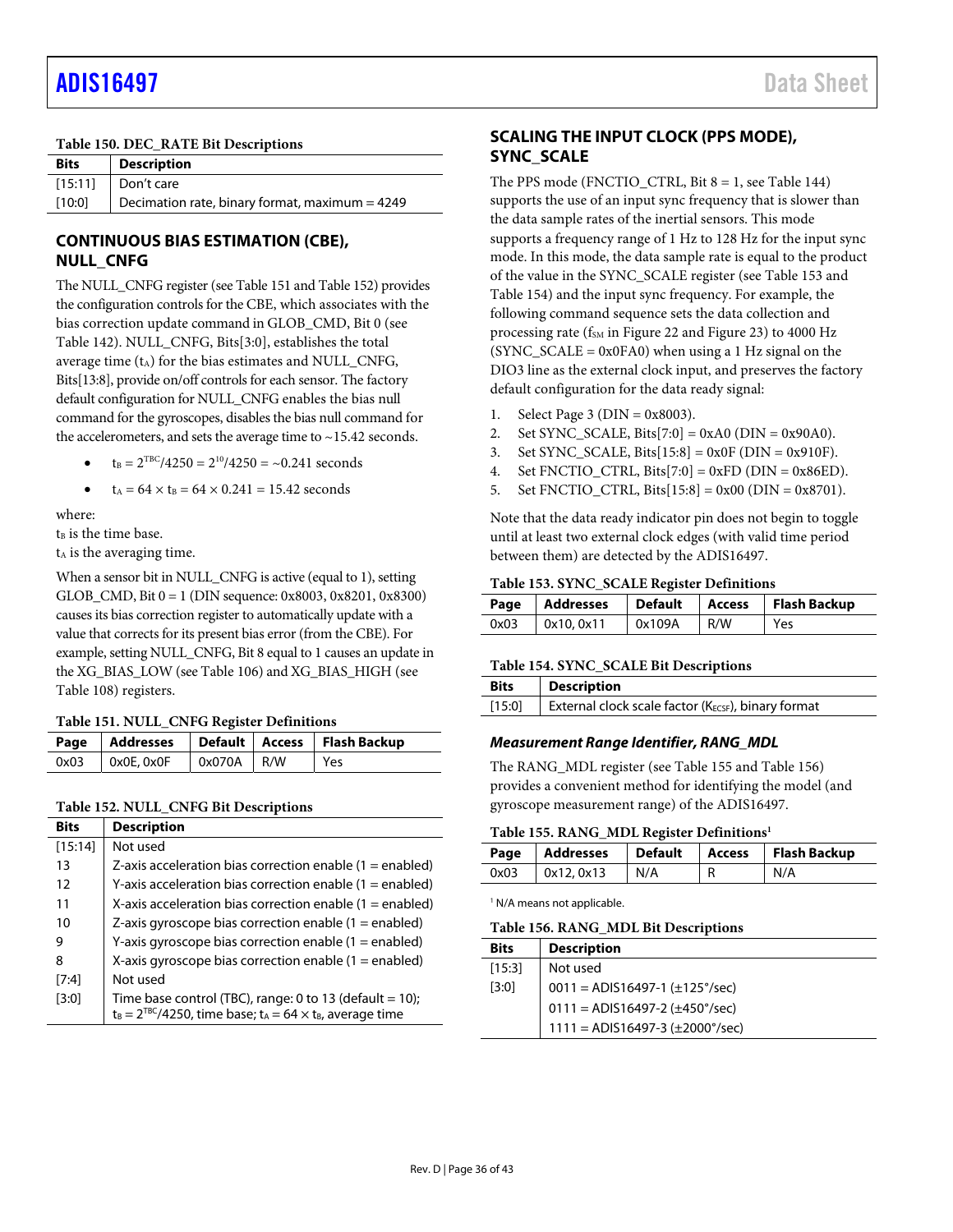#### <span id="page-35-3"></span>**Table 150. DEC\_RATE Bit Descriptions**

| <b>Bits</b> | <b>Description</b>                               |
|-------------|--------------------------------------------------|
|             | $[15:11]$ Don't care                             |
| [10:0]      | Decimation rate, binary format, maximum = $4249$ |

## <span id="page-35-0"></span>**CONTINUOUS BIAS ESTIMATION (CBE), NULL\_CNFG**

The NULL\_CNFG register (se[e Table 151 a](#page-35-5)n[d Table 152\)](#page-35-4) provides the configuration controls for the CBE, which associates with the bias correction update command in GLOB\_CMD, Bit 0 (see [Table 142\)](#page-32-1). NULL\_CNFG, Bits[3:0], establishes the total average time  $(t_A)$  for the bias estimates and NULL\_CNFG, Bits[13:8], provide on/off controls for each sensor. The factory default configuration for NULL\_CNFG enables the bias null command for the gyroscopes, disables the bias null command for the accelerometers, and sets the average time to  $\sim$ 15.42 seconds.

- $t_B = 2^{TBC}/4250 = 2^{10}/4250 = -0.241$  seconds
- $t_A = 64 \times t_B = 64 \times 0.241 = 15.42$  seconds

where:

 $t<sub>B</sub>$  is the time base.

t<sub>A</sub> is the averaging time.

When a sensor bit in NULL\_CNFG is active (equal to 1), setting GLOB CMD, Bit  $0 = 1$  (DIN sequence: 0x8003, 0x8201, 0x8300) causes its bias correction register to automatically update with a value that corrects for its present bias error (from the CBE). For example, setting NULL\_CNFG, Bit 8 equal to 1 causes an update in the XG\_BIAS\_LOW (se[e Table 106\)](#page-29-1) and XG\_BIAS\_HIGH (see [Table 108\)](#page-29-12) registers.

<span id="page-35-5"></span>**Table 151. NULL\_CNFG Register Definitions** 

|                          |              | Page   Addresses   Default   Access   Flash Backup |
|--------------------------|--------------|----------------------------------------------------|
| $0x03$   $0x0E$ , $0x0F$ | $0x070A$ R/W | Yes                                                |

#### <span id="page-35-4"></span>**Table 152. NULL\_CNFG Bit Descriptions**

| <b>Bits</b> | <b>Description</b>                                                                                                                |
|-------------|-----------------------------------------------------------------------------------------------------------------------------------|
| [15:14]     | Not used                                                                                                                          |
| 13          | Z-axis acceleration bias correction enable $(1 =$ enabled)                                                                        |
| 12          | Y-axis acceleration bias correction enable $(1 =$ enabled)                                                                        |
| 11          | X-axis acceleration bias correction enable $(1 =$ enabled)                                                                        |
| 10          | Z-axis gyroscope bias correction enable $(1 =$ enabled)                                                                           |
| 9           | Y-axis gyroscope bias correction enable $(1 =$ enabled)                                                                           |
| 8           | X-axis gyroscope bias correction enable $(1 =$ enabled)                                                                           |
| [7:4]       | Not used                                                                                                                          |
| [3:0]       | Time base control (TBC), range: 0 to 13 (default = 10);<br>$t_B = 2^{TBC}/4250$ , time base; $t_A = 64 \times t_B$ , average time |

## <span id="page-35-1"></span>**SCALING THE INPUT CLOCK (PPS MODE), SYNC\_SCALE**

The PPS mode (FNCTIO\_CTRL, Bit  $8 = 1$ , se[e Table 144\)](#page-33-1) supports the use of an input sync frequency that is slower than the data sample rates of the inertial sensors. This mode supports a frequency range of 1 Hz to 128 Hz for the input sync mode. In this mode, the data sample rate is equal to the product of the value in the SYNC\_SCALE register (se[e Table 153 a](#page-35-6)nd [Table 154\)](#page-35-2) and the input sync frequency. For example, the following command sequence sets the data collection and processing rate ( $f<sub>SM</sub>$  i[n Figure 22](#page-12-3) and [Figure 23\)](#page-12-4) to 4000 Hz  $(SYNC\_SCALE = 0x0FA0)$  when using a 1 Hz signal on the DIO3 line as the external clock input, and preserves the factory default configuration for the data ready signal:

- 1. Select Page 3 ( $DIN = 0x8003$ ).
- 2. Set SYNC\_SCALE, Bits[7:0] =  $0xA0$  (DIN =  $0x90A0$ ).
- 3. Set SYNC\_SCALE, Bits $[15:8] = 0x0F$  (DIN = 0x910F).
- 4. Set FNCTIO\_CTRL, Bits $[7:0] = 0$ xFD (DIN = 0x86ED).
- 5. Set FNCTIO\_CTRL, Bits[15:8] = 0x00 (DIN = 0x8701).

Note that the data ready indicator pin does not begin to toggle until at least two external clock edges (with valid time period between them) are detected by the ADIS16497.

#### <span id="page-35-6"></span>**Table 153. SYNC\_SCALE Register Definitions**

|  |                     |                 |     | Page   Addresses   Default   Access   Flash Backup |  |
|--|---------------------|-----------------|-----|----------------------------------------------------|--|
|  | $0x03$ $0x10, 0x11$ | $\sqrt{0x109A}$ | R/W | Yes                                                |  |

#### <span id="page-35-2"></span>**Table 154. SYNC\_SCALE Bit Descriptions**

| <b>Bits</b> | <b>Description</b>                                        |
|-------------|-----------------------------------------------------------|
| [15:0]      | External clock scale factor ( $K_{ECSF}$ ), binary format |

## **Measurement Range Identifier, RANG\_MDL**

The RANG\_MDL register (se[e Table 155 a](#page-35-7)n[d Table 156\)](#page-35-8) provides a convenient method for identifying the model (and gyroscope measurement range) of the ADIS16497.

#### <span id="page-35-7"></span>**Table 155. RANG\_MDL Register Definitions1**

|      |            |     |   | Page   Addresses   Default   Access   Flash Backup |
|------|------------|-----|---|----------------------------------------------------|
| 0x03 | 0x12, 0x13 | N/A | R | N/A                                                |

<sup>1</sup> N/A means not applicable.

<span id="page-35-8"></span>**Table 156. RANG\_MDL Bit Descriptions** 

| <b>Bits</b> | <b>Description</b>                           |
|-------------|----------------------------------------------|
| [15:3]      | Not used                                     |
| [3:0]       | $0011 = ADIS16497-1 (\pm 125^{\circ}/sec)$   |
|             | $0111 = ADIS16497 - 2 (\pm 450^{\circ}/sec)$ |
|             | $1111 = ADIS16497-3 (\pm 2000^{\circ}/sec)$  |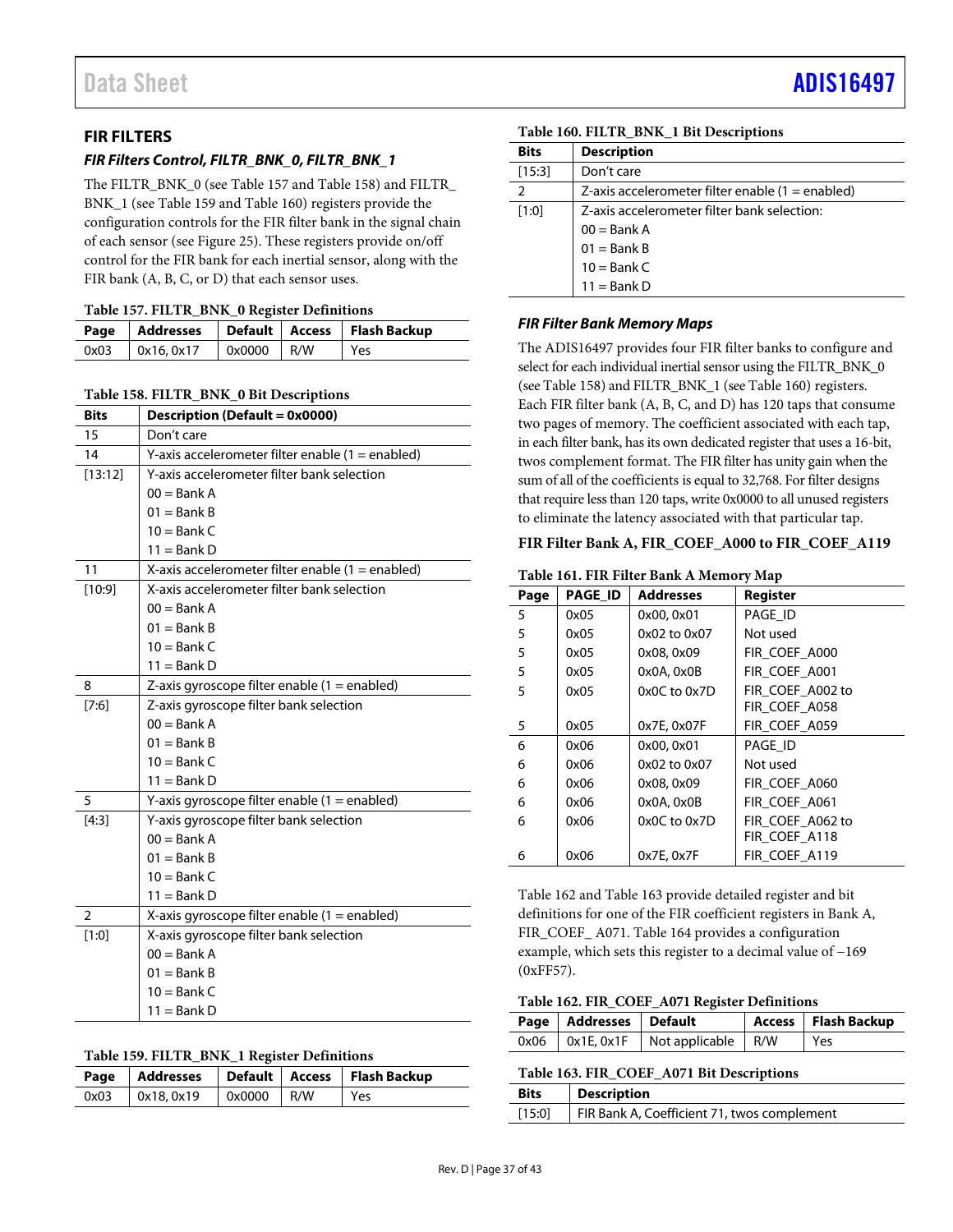## <span id="page-36-0"></span>**FIR FILTERS**

## **FIR Filters Control, FILTR\_BNK\_0, FILTR\_BNK\_1**

The FILTR\_BNK\_0 (se[e Table 157 a](#page-36-5)n[d Table 158\)](#page-36-1) and FILTR BNK\_1 (se[e Table 159 a](#page-36-6)n[d Table 160\)](#page-36-2) registers provide the configuration controls for the FIR filter bank in the signal chain of each sensor (see [Figure 25\)](#page-13-1). These registers provide on/off control for the FIR bank for each inertial sensor, along with the FIR bank (A, B, C, or D) that each sensor uses.

<span id="page-36-5"></span>

|      |           |                            | Page   Addresses   Default   Access   Flash Backup |
|------|-----------|----------------------------|----------------------------------------------------|
| 0x03 | 0x16.0x17 | $\sqrt{0 \times 0000}$ R/W | Yes                                                |

#### <span id="page-36-1"></span>**Table 158. FILTR\_BNK\_0 Bit Descriptions**

| <b>Bits</b>    | <b>Description (Default = 0x0000)</b>              |
|----------------|----------------------------------------------------|
| 15             | Don't care                                         |
| 14             | Y-axis accelerometer filter enable $(1 =$ enabled) |
| [13:12]        | Y-axis accelerometer filter bank selection         |
|                | $00 =$ Bank A                                      |
|                | $01 =$ Bank B                                      |
|                | $10 =$ Bank C                                      |
|                | $11 =$ Bank D                                      |
| 11             | X-axis accelerometer filter enable $(1 =$ enabled) |
| [10:9]         | X-axis accelerometer filter bank selection         |
|                | $00 =$ Bank A                                      |
|                | $01 =$ Bank B                                      |
|                | $10 =$ Bank C                                      |
|                | $11 =$ Bank D                                      |
| 8              | Z-axis gyroscope filter enable (1 = enabled)       |
| [7:6]          | Z-axis gyroscope filter bank selection             |
|                | $00 =$ Bank A                                      |
|                | $01 =$ Bank B                                      |
|                | $10 =$ Bank C                                      |
|                | $11 =$ Bank D                                      |
| 5              | Y-axis gyroscope filter enable (1 = enabled)       |
| [4:3]          | Y-axis gyroscope filter bank selection             |
|                | $00 =$ Bank A                                      |
|                | $01 =$ Bank B                                      |
|                | $10 =$ Bank C                                      |
|                | $11 =$ Bank D                                      |
| $\overline{2}$ | X-axis gyroscope filter enable (1 = enabled)       |
| [1:0]          | X-axis gyroscope filter bank selection             |
|                | $00 =$ Bank A                                      |
|                | $01 =$ Bank B                                      |
|                | $10 =$ Bank C                                      |
|                | 11 = Bank D                                        |

#### <span id="page-36-6"></span>**Table 159. FILTR\_BNK\_1 Register Definitions**

|      |            |              | Page   Addresses   Default   Access   Flash Backup |
|------|------------|--------------|----------------------------------------------------|
| 0x03 | 0x18, 0x19 | $0x0000$ R/W | Yes                                                |

<span id="page-36-2"></span>**Table 160. FILTR\_BNK\_1 Bit Descriptions** 

| <b>Bits</b> | <b>Description</b>                                 |  |  |
|-------------|----------------------------------------------------|--|--|
| [15:3]      | Don't care                                         |  |  |
| 2           | Z-axis accelerometer filter enable $(1 =$ enabled) |  |  |
| [1:0]       | Z-axis accelerometer filter bank selection:        |  |  |
|             | $00 =$ Bank A                                      |  |  |
|             | $01 =$ Bank B                                      |  |  |
|             | $10 =$ Bank C                                      |  |  |
|             | $11 =$ Bank D                                      |  |  |

#### **FIR Filter Bank Memory Maps**

The ADIS16497 provides four FIR filter banks to configure and select for each individual inertial sensor using the FILTR\_BNK\_0 (se[e Table 158\)](#page-36-1) and FILTR\_BNK\_1 (se[e Table 160\)](#page-36-2) registers. Each FIR filter bank (A, B, C, and D) has 120 taps that consume two pages of memory. The coefficient associated with each tap, in each filter bank, has its own dedicated register that uses a 16-bit, twos complement format. The FIR filter has unity gain when the sum of all of the coefficients is equal to 32,768. For filter designs that require less than 120 taps, write 0x0000 to all unused registers to eliminate the latency associated with that particular tap.

#### <span id="page-36-4"></span>**FIR Filter Bank A, FIR\_COEF\_A000 to FIR\_COEF\_A119**

### **Table 161. FIR Filter Bank A Memory Map**

| Tuble To I, I TIK I Hiel Dunk II Memory Mup |                |                  |                  |  |
|---------------------------------------------|----------------|------------------|------------------|--|
| Page                                        | <b>PAGE ID</b> | <b>Addresses</b> | <b>Register</b>  |  |
| 5                                           | 0x05           | 0x00, 0x01       | PAGE_ID          |  |
| 5                                           | 0x05           | 0x02 to 0x07     | Not used         |  |
| 5                                           | 0x05           | 0x08, 0x09       | FIR COEF A000    |  |
| 5                                           | 0x05           | 0x0A, 0x0B       | FIR_COEF_A001    |  |
| 5                                           | 0x05           | 0x0C to 0x7D     | FIR_COEF_A002 to |  |
|                                             |                |                  | FIR COEF A058    |  |
| 5                                           | 0x05           | 0x7E, 0x07F      | FIR_COEF_A059    |  |
| 6                                           | 0x06           | 0x00, 0x01       | PAGE ID          |  |
| 6                                           | 0x06           | 0x02 to 0x07     | Not used         |  |
| 6                                           | 0x06           | 0x08, 0x09       | FIR COEF A060    |  |
| 6                                           | 0x06           | $0x0A$ , $0x0B$  | FIR COEF A061    |  |
| 6                                           | 0x06           | $0x0C$ to $0x7D$ | FIR COEF A062 to |  |
|                                             |                |                  | FIR COEF A118    |  |
| 6                                           | 0x06           | 0x7E, 0x7F       | FIR COEF A119    |  |

[Table 162](#page-36-7) and [Table 163](#page-36-3) provide detailed register and bit definitions for one of the FIR coefficient registers in Bank A, FIR\_COEF\_ A071[. Table 164 p](#page-37-4)rovides a configuration example, which sets this register to a decimal value of −169 (0xFF57).

#### <span id="page-36-7"></span>**Table 162. FIR\_COEF\_A071 Register Definitions**

| Page   Addresses   Default |                                                 | Access   Flash Backup |
|----------------------------|-------------------------------------------------|-----------------------|
|                            | $0x06$   $0x1E$ , $0x1F$   Not applicable   R/W | Yes                   |

#### <span id="page-36-3"></span>**Table 163. FIR\_COEF\_A071 Bit Descriptions**

| <b>Bits</b> | <b>Description</b>                          |
|-------------|---------------------------------------------|
| [15:0]      | FIR Bank A, Coefficient 71, twos complement |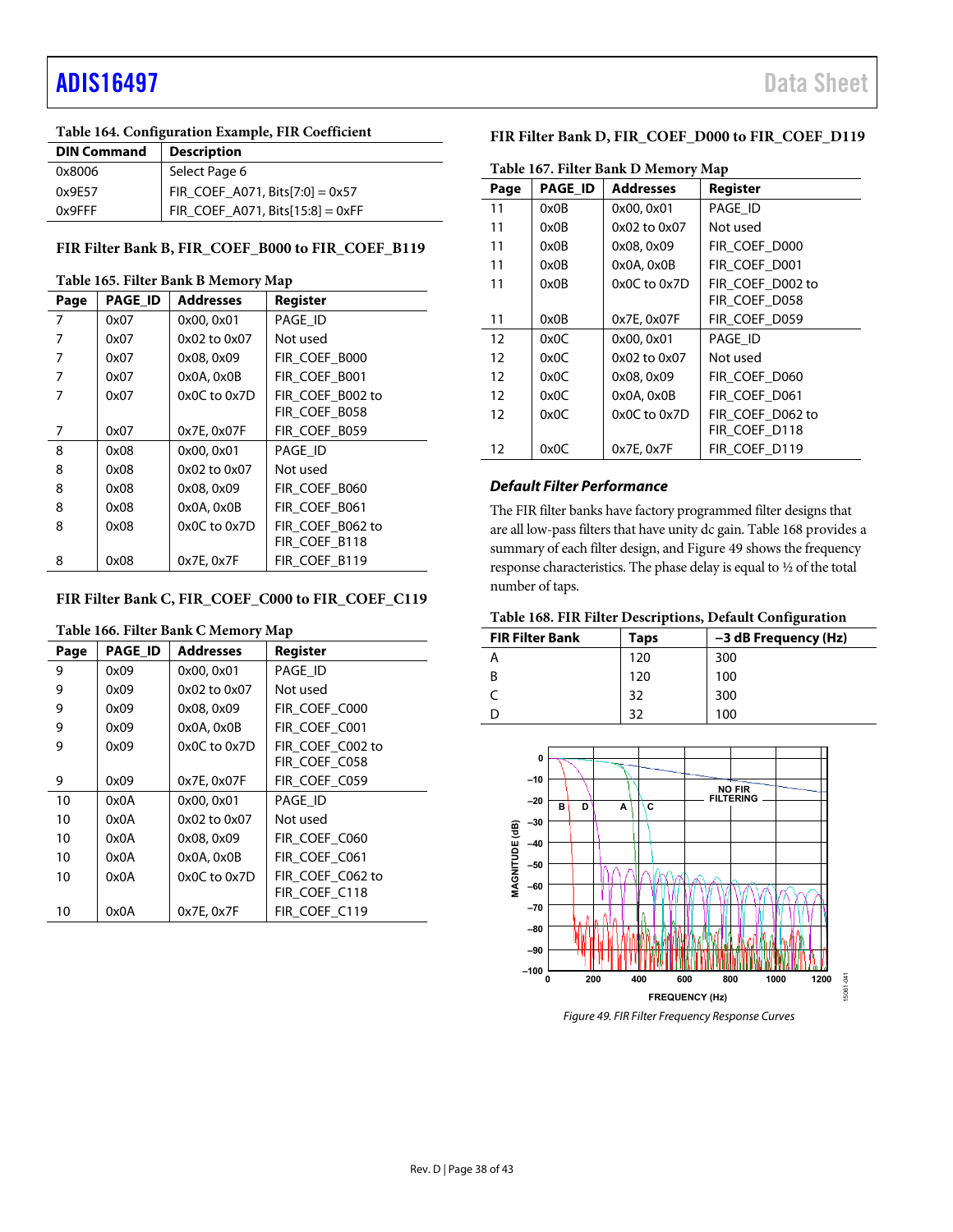## [ADIS16497](https://www.analog.com/ADIS16497?doc=ADIS16497.pdf) Data Sheet

## <span id="page-37-4"></span>**Table 164. Configuration Example, FIR Coefficient**

| <b>DIN Command</b> | <b>Description</b>                  |
|--------------------|-------------------------------------|
| 0x8006             | Select Page 6                       |
| 0x9E57             | $FIR\_COEF\_A071, Bits[7:0] = 0x57$ |
| 0x9FFF             | FIR_COEF_A071, Bits[15:8] = 0xFF    |

## <span id="page-37-1"></span>**FIR Filter Bank B, FIR\_COEF\_B000 to FIR\_COEF\_B119**

#### **Table 165. Filter Bank B Memory Map**

| Page | <b>PAGE ID</b> | <b>Addresses</b> | <b>Register</b>  |  |
|------|----------------|------------------|------------------|--|
| 7    | 0x07           | 0x00, 0x01       | PAGE ID          |  |
| 7    | 0x07           | 0x02 to 0x07     | Not used         |  |
| 7    | 0x07           | 0x08, 0x09       | FIR COEF B000    |  |
| 7    | 0x07           | 0x0A, 0x0B       | FIR COEF B001    |  |
| 7    | 0x07           | 0x0C to 0x7D     | FIR COEF B002 to |  |
|      |                |                  | FIR COEF B058    |  |
| 7    | 0x07           | 0x7E, 0x07F      | FIR COEF B059    |  |
| 8    | 0x08           | 0x00, 0x01       | PAGE ID          |  |
| 8    | 0x08           | 0x02 to 0x07     | Not used         |  |
| 8    | 0x08           | 0x08, 0x09       | FIR COEF B060    |  |
| 8    | 0x08           | $0x0A$ , $0x0B$  | FIR COEF B061    |  |
| 8    | 0x08           | 0x0C to 0x7D     | FIR COEF B062 to |  |
|      |                |                  | FIR COEF B118    |  |
| 8    | 0x08           | 0x7E.0x7F        | FIR COEF B119    |  |

## <span id="page-37-2"></span>**FIR Filter Bank C, FIR\_COEF\_C000 to FIR\_COEF\_C119**

#### **Table 166. Filter Bank C Memory Map**

<span id="page-37-3"></span>

| Page | <b>PAGE ID</b> | Addresses       | Register         |  |
|------|----------------|-----------------|------------------|--|
| 9    | 0x09           | 0x00, 0x01      | PAGE ID          |  |
| 9    | 0x09           | 0x02 to 0x07    | Not used         |  |
| 9    | 0x09           | 0x08, 0x09      | FIR COEF C000    |  |
| 9    | 0x09           | 0x0A, 0x0B      | FIR COEF C001    |  |
| 9    | 0x09           | 0x0C to 0x7D    | FIR COEF C002 to |  |
|      |                |                 | FIR COEF C058    |  |
| 9    | 0x09           | 0x7E, 0x07F     | FIR COEF C059    |  |
| 10   | 0x0A           | 0x00, 0x01      | PAGE ID          |  |
| 10   | 0x0A           | 0x02 to 0x07    | Not used         |  |
| 10   | 0x0A           | 0x08, 0x09      | FIR COEF C060    |  |
| 10   | 0x0A           | $0x0A$ , $0x0B$ | FIR COEF C061    |  |
| 10   | 0x0A           | 0x0C to 0x7D    | FIR COEF C062 to |  |
|      |                |                 | FIR COEF C118    |  |
| 10   | 0x0A           | 0x7E, 0x7F      | FIR COEF C119    |  |

## **FIR Filter Bank D, FIR\_COEF\_D000 to FIR\_COEF\_D119**

| Table 167. Filter Bank D Memory Map |                |                  |                  |  |
|-------------------------------------|----------------|------------------|------------------|--|
| Page                                | <b>PAGE ID</b> | <b>Addresses</b> | Register         |  |
| 11                                  | 0x0B           | 0x00, 0x01       | PAGE ID          |  |
| 11                                  | 0x0B           | 0x02 to 0x07     | Not used         |  |
| 11                                  | 0x0B           | 0x08, 0x09       | FIR COEF D000    |  |
| 11                                  | 0x0B           | $0x0A$ , $0x0B$  | FIR COEF D001    |  |
| 11                                  | 0x0B           | $0x0C$ to $0x7D$ | FIR COEF D002 to |  |
|                                     |                |                  | FIR COEF D058    |  |
| 11                                  | 0x0B           | 0x7E, 0x07F      | FIR COEF D059    |  |
| 12                                  | 0x0C           | 0x00, 0x01       | PAGE ID          |  |
| 12                                  | 0x0C           | 0x02 to 0x07     | Not used         |  |
| 12                                  | 0x0C           | 0x08, 0x09       | FIR COEF D060    |  |
| 12                                  | 0x0C           | 0x0A, 0x0B       | FIR COEF D061    |  |
| 12                                  | 0x0C           | $0x0C$ to $0x7D$ | FIR COEF D062 to |  |
|                                     |                |                  | FIR COEF D118    |  |
| 12                                  | 0x0C           | 0x7E, 0x7F       | FIR COEF D119    |  |

## **Default Filter Performance**

The FIR filter banks have factory programmed filter designs that are all low-pass filters that have unity dc gain[. Table 168 p](#page-37-5)rovides a summary of each filter design, an[d Figure 49 s](#page-37-0)hows the frequency response characteristics. The phase delay is equal to ½ of the total number of taps.

### <span id="page-37-5"></span>**Table 168. FIR Filter Descriptions, Default Configuration**

| <b>FIR Filter Bank</b> | Taps | -3 dB Frequency (Hz) |
|------------------------|------|----------------------|
|                        | 120  | 300                  |
| B                      | 120  | 100                  |
|                        | 32   | 300                  |
|                        | 20   | 100                  |

<span id="page-37-0"></span>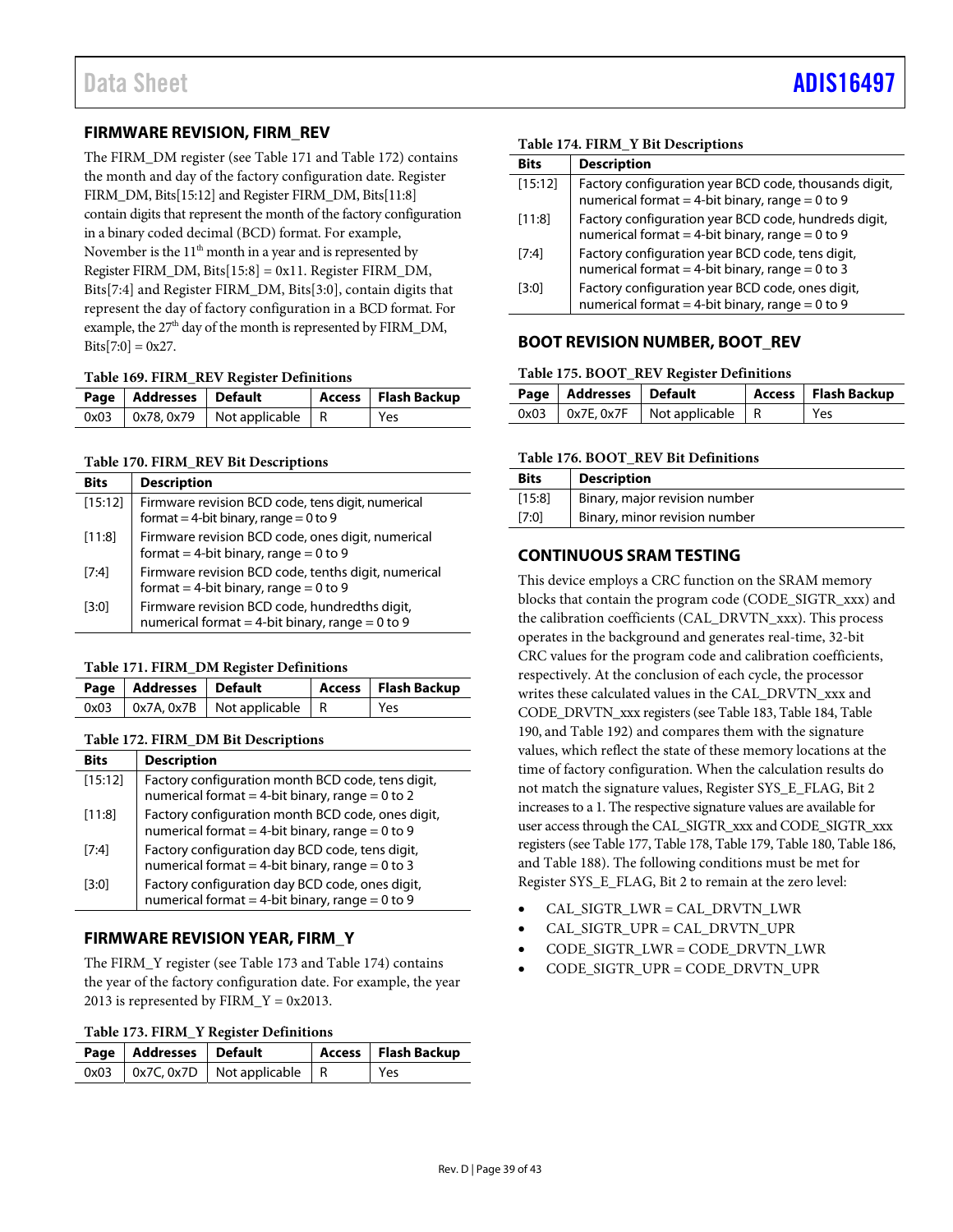## <span id="page-38-0"></span>**FIRMWARE REVISION, FIRM\_REV**

The FIRM\_DM register (see [Table 171 a](#page-38-4)n[d Table 172\)](#page-38-5) contains the month and day of the factory configuration date. Register FIRM\_DM, Bits[15:12] and Register FIRM\_DM, Bits[11:8] contain digits that represent the month of the factory configuration in a binary coded decimal (BCD) format. For example, November is the  $11<sup>th</sup>$  month in a year and is represented by Register FIRM\_DM, Bits $[15:8] = 0x11$ . Register FIRM\_DM, Bits[7:4] and Register FIRM\_DM, Bits[3:0], contain digits that represent the day of factory configuration in a BCD format. For example, the 27<sup>th</sup> day of the month is represented by FIRM\_DM,  $Bits[7:0] = 0x27.$ 

#### **Table 169. FIRM\_REV Register Definitions**

| Page   Addresses   Default |                                            | Access   Flash Backup |
|----------------------------|--------------------------------------------|-----------------------|
|                            | $0x03$   $0x78, 0x79$   Not applicable   R | <b>Yes</b>            |

#### **Table 170. FIRM\_REV Bit Descriptions**

| <b>Bits</b> | <b>Description</b>                                                                                   |
|-------------|------------------------------------------------------------------------------------------------------|
| [15:12]     | Firmware revision BCD code, tens digit, numerical<br>format = 4-bit binary, range = $0$ to $9$       |
| [11:8]      | Firmware revision BCD code, ones digit, numerical<br>format = 4-bit binary, range = $0$ to $9$       |
| [7:4]       | Firmware revision BCD code, tenths digit, numerical<br>format = 4-bit binary, range = $0$ to 9       |
| [3:0]       | Firmware revision BCD code, hundredths digit,<br>numerical format = 4-bit binary, range = $0$ to $9$ |

#### <span id="page-38-4"></span>**Table 171. FIRM\_DM Register Definitions**

| Page   Addresses   Default |                                          | Access   Flash Backup |
|----------------------------|------------------------------------------|-----------------------|
|                            | $0x03$   0x7A, 0x7B   Not applicable   R | l Yes                 |

#### <span id="page-38-5"></span>**Table 172. FIRM\_DM Bit Descriptions**

| <b>Bits</b> | <b>Description</b>                                                                                     |
|-------------|--------------------------------------------------------------------------------------------------------|
| [15:12]     | Factory configuration month BCD code, tens digit,<br>numerical format = 4-bit binary, range = 0 to 2   |
| [11:8]      | Factory configuration month BCD code, ones digit,<br>numerical format = 4-bit binary, range = $0$ to 9 |
| [7:4]       | Factory configuration day BCD code, tens digit,<br>numerical format = 4-bit binary, range = $0$ to 3   |
| [3:0]       | Factory configuration day BCD code, ones digit,<br>numerical format = 4-bit binary, range = $0$ to $9$ |

## <span id="page-38-1"></span>**FIRMWARE REVISION YEAR, FIRM\_Y**

The FIRM\_Y register (se[e Table 173 a](#page-38-6)nd [Table 174\)](#page-38-7) contains the year of the factory configuration date. For example, the year 2013 is represented by  $FIRM_Y = 0x2013$ .

<span id="page-38-6"></span>

| Table 173. FIRM_Y Register Definitions |  |  |  |
|----------------------------------------|--|--|--|
|----------------------------------------|--|--|--|

| Page   Addresses   Default |                                            | Access   Flash Backup |
|----------------------------|--------------------------------------------|-----------------------|
|                            | $0x03$   $0x7C, 0x7D$   Not applicable   R | Yes                   |

#### <span id="page-38-7"></span>**Table 174. FIRM\_Y Bit Descriptions**

| Rits    | <b>Description</b>                                                                                           |
|---------|--------------------------------------------------------------------------------------------------------------|
| [15:12] | Factory configuration year BCD code, thousands digit,<br>numerical format = 4-bit binary, range = $0$ to $9$ |
| [11:8]  | Factory configuration year BCD code, hundreds digit,<br>numerical format = 4-bit binary, range = $0$ to $9$  |
| [7:4]   | Factory configuration year BCD code, tens digit,<br>numerical format = 4-bit binary, range = $0$ to 3        |
| [3:0]   | Factory configuration year BCD code, ones digit,<br>numerical format = 4-bit binary, range = $0$ to $9$      |

## <span id="page-38-2"></span>**BOOT REVISION NUMBER, BOOT\_REV**

#### **Table 175. BOOT\_REV Register Definitions**

| Page   Addresses   Default |                                            | Access   Flash Backup |
|----------------------------|--------------------------------------------|-----------------------|
|                            | $0x03$   $0x7E, 0x7F$   Not applicable   R | Yes                   |

#### **Table 176. BOOT\_REV Bit Definitions**

| <b>Bits</b> | <b>Description</b>            |
|-------------|-------------------------------|
| [15:8]      | Binary, major revision number |
| [7:0]       | Binary, minor revision number |

## <span id="page-38-3"></span>**CONTINUOUS SRAM TESTING**

This device employs a CRC function on the SRAM memory blocks that contain the program code (CODE\_SIGTR\_xxx) and the calibration coefficients (CAL\_DRVTN\_xxx). This process operates in the background and generates real-time, 32-bit CRC values for the program code and calibration coefficients, respectively. At the conclusion of each cycle, the processor writes these calculated values in the CAL\_DRVTN\_xxx and CODE\_DRVTN\_xxx registers (se[e Table 183,](#page-39-0) [Table 184,](#page-39-1) [Table](#page-39-2)  [190,](#page-39-2) an[d Table 192\)](#page-39-3) and compares them with the signature values, which reflect the state of these memory locations at the time of factory configuration. When the calculation results do not match the signature values, Register SYS\_E\_FLAG, Bit 2 increases to a 1. The respective signature values are available for user access through the CAL\_SIGTR\_xxx and CODE\_SIGTR\_xxx registers (se[e Table 177,](#page-39-4) [Table 178,](#page-39-5) [Table 179,](#page-39-6) [Table 180,](#page-39-7) [Table 186,](#page-39-8)  an[d Table 188\)](#page-39-9). The following conditions must be met for Register SYS\_E\_FLAG, Bit 2 to remain at the zero level:

- CAL\_SIGTR\_LWR = CAL\_DRVTN\_LWR
- CAL\_SIGTR\_UPR = CAL\_DRVTN\_UPR
- CODE\_SIGTR\_LWR = CODE\_DRVTN\_LWR
- CODE\_SIGTR\_UPR = CODE\_DRVTN\_UPR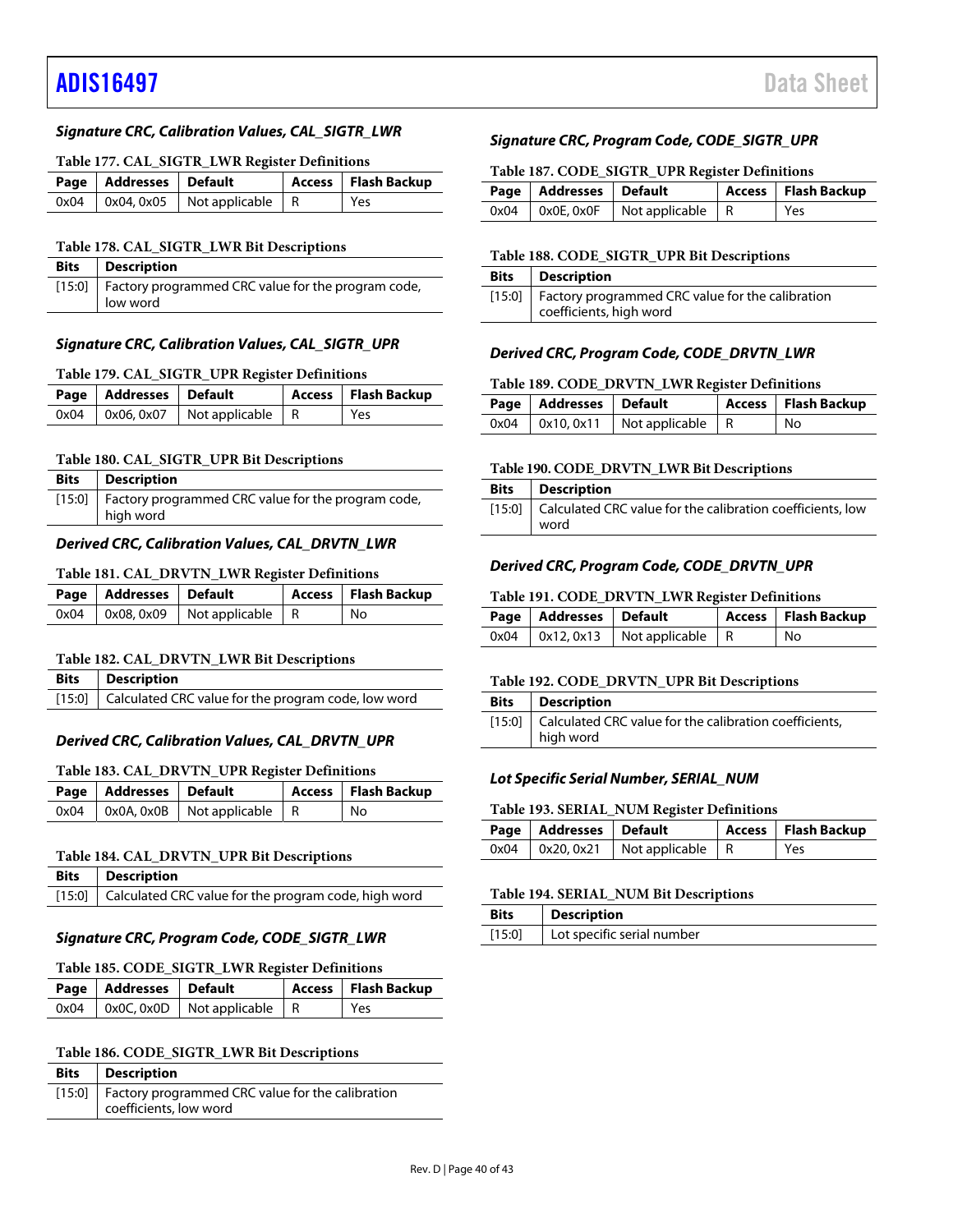## [ADIS16497](https://www.analog.com/ADIS16497?doc=ADIS16497.pdf) Data Sheet

## **Signature CRC, Calibration Values, CAL\_SIGTR\_LWR**

#### <span id="page-39-4"></span>**Table 177. CAL\_SIGTR\_LWR Register Definitions**

| Page   Addresses   Default |                                               | Access   Flash Backup |
|----------------------------|-----------------------------------------------|-----------------------|
|                            | $0x04$   $0x04$ , $0x05$   Not applicable   R | Yes                   |

#### <span id="page-39-5"></span>**Table 178. CAL\_SIGTR\_LWR Bit Descriptions**

| <b>Bits</b> Description                                                 |
|-------------------------------------------------------------------------|
| [15:0]   Factory programmed CRC value for the program code,<br>low word |

#### **Signature CRC, Calibration Values, CAL\_SIGTR\_UPR**

#### <span id="page-39-6"></span>**Table 179. CAL\_SIGTR\_UPR Register Definitions**

| Page   Addresses   Default |                                          | Access   Flash Backup |
|----------------------------|------------------------------------------|-----------------------|
|                            | $0x04$   0x06, 0x07   Not applicable   R | Yes                   |

### <span id="page-39-7"></span>**Table 180. CAL\_SIGTR\_UPR Bit Descriptions**

| <b>Bits</b>   Description                                                |
|--------------------------------------------------------------------------|
| [15:0]   Factory programmed CRC value for the program code,<br>high word |

#### **Derived CRC, Calibration Values, CAL\_DRVTN\_LWR**

#### **Table 181. CAL\_DRVTN\_LWR Register Definitions**

| Page   Addresses   Default |                                            | Access   Flash Backup |
|----------------------------|--------------------------------------------|-----------------------|
|                            | $0x04$   $0x08, 0x09$   Not applicable   R | No                    |

#### **Table 182. CAL\_DRVTN\_LWR Bit Descriptions**

| <b>Bits</b> Description                                    |
|------------------------------------------------------------|
| [15:0] Calculated CRC value for the program code, low word |

#### **Derived CRC, Calibration Values, CAL\_DRVTN\_UPR**

#### <span id="page-39-0"></span>**Table 183. CAL\_DRVTN\_UPR Register Definitions**

| Page   Addresses   Default |                                          | Access   Flash Backup |
|----------------------------|------------------------------------------|-----------------------|
|                            | $0x04$   0x0A, 0x0B   Not applicable   R | No                    |

#### <span id="page-39-1"></span>**Table 184. CAL\_DRVTN\_UPR Bit Descriptions**

| <b>Bits</b>   Description                                   |
|-------------------------------------------------------------|
| [15:0] Calculated CRC value for the program code, high word |

#### **Signature CRC, Program Code, CODE\_SIGTR\_LWR**

#### **Table 185. CODE\_SIGTR\_LWR Register Definitions**

| Page   Addresses   Default |                                               | Access   Flash Backup |
|----------------------------|-----------------------------------------------|-----------------------|
|                            | $0x04$   $0x0C$ , $0x0D$   Not applicable   R | l Yes                 |

#### <span id="page-39-8"></span>**Table 186. CODE\_SIGTR\_LWR Bit Descriptions**

| <b>Bits</b>   Description                                                           |
|-------------------------------------------------------------------------------------|
| [15:0]   Factory programmed CRC value for the calibration<br>coefficients, low word |

#### **Signature CRC, Program Code, CODE\_SIGTR\_UPR**

#### **Table 187. CODE\_SIGTR\_UPR Register Definitions**

| Page   Addresses   Default |                                               | Access   Flash Backup |
|----------------------------|-----------------------------------------------|-----------------------|
|                            | $0x04$   $0x0E$ , $0x0F$   Not applicable   R | l Yes                 |

## <span id="page-39-9"></span>**Table 188. CODE\_SIGTR\_UPR Bit Descriptions**

| <b>Bits</b>   Description                                 |
|-----------------------------------------------------------|
| [15:0]   Factory programmed CRC value for the calibration |
| coefficients, high word                                   |

## **Derived CRC, Program Code, CODE\_DRVTN\_LWR**

#### **Table 189. CODE\_DRVTN\_LWR Register Definitions**

| Page   Addresses   Default |                                            | Access   Flash Backup |
|----------------------------|--------------------------------------------|-----------------------|
|                            | $0x04$   $0x10, 0x11$   Not applicable   R | No                    |

#### <span id="page-39-2"></span>**Table 190. CODE\_DRVTN\_LWR Bit Descriptions**

| <b>Bits</b>   Description                                         |
|-------------------------------------------------------------------|
| [15:0] Calculated CRC value for the calibration coefficients, low |
| word                                                              |

#### **Derived CRC, Program Code, CODE\_DRVTN\_UPR**

#### **Table 191. CODE\_DRVTN\_LWR Register Definitions**

| Page   Addresses   Default |                                            | Access   Flash Backup |
|----------------------------|--------------------------------------------|-----------------------|
|                            | $0x04$   $0x12, 0x13$   Not applicable   R | No                    |

#### <span id="page-39-3"></span>**Table 192. CODE\_DRVTN\_UPR Bit Descriptions**

| <b>Bits</b> Description                                         |
|-----------------------------------------------------------------|
| [15:0]   Calculated CRC value for the calibration coefficients, |
| high word                                                       |

#### **Lot Specific Serial Number, SERIAL\_NUM**

#### **Table 193. SERIAL\_NUM Register Definitions**

| Page   Addresses   Default |                                            | <b>Access</b> Flash Backup |
|----------------------------|--------------------------------------------|----------------------------|
|                            | $0x04$   $0x20, 0x21$   Not applicable   R | Yes                        |

#### **Table 194. SERIAL\_NUM Bit Descriptions**

| <b>Bits</b> | Description                |
|-------------|----------------------------|
| [15:0]      | Lot specific serial number |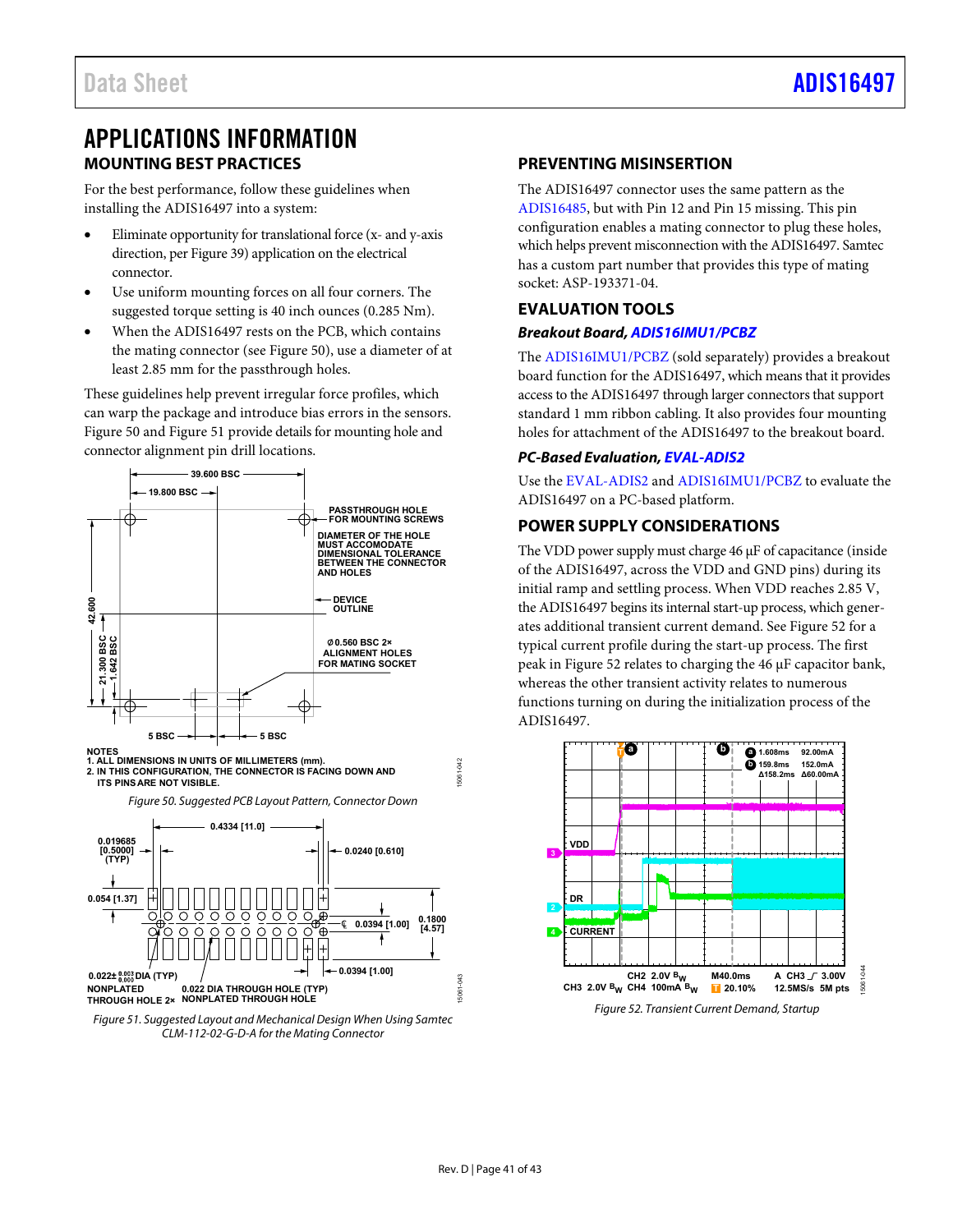## <span id="page-40-0"></span>APPLICATIONS INFORMATION **MOUNTING BEST PRACTICES**

<span id="page-40-1"></span>For the best performance, follow these guidelines when installing the ADIS16497 into a system:

- Eliminate opportunity for translational force (x- and y-axis direction, pe[r Figure 39\)](#page-23-1) application on the electrical connector.
- Use uniform mountin[g forces o](http://www.analog.com/AN-1295?doc=ADIS16487.pdf)n all four corners. The suggested torque setting is 40 inch ounces (0.285 Nm).
- When the ADIS16497 rests on the PCB, which contains the mating connector (see [Figure 50\)](#page-40-5), use a diameter of at least 2.85 mm for the passthrough holes.

These guidelines help prevent irregular force profiles, which can warp the package and introduce bias errors in the sensors. [Figure 50](#page-40-5) an[d Figure 51 p](#page-40-6)rovide details for mounting hole and connector alignment pin drill locations.



<span id="page-40-5"></span>

<span id="page-40-6"></span>

## <span id="page-40-2"></span>**PREVENTING MISINSERTION**

The ADIS16497 connector uses the same pattern as the [ADIS16485,](http://www.analog.com/ADIS16485?doc=ADIS16497.pdf) but with Pin 12 and Pin 15 missing. This pin configuration enables a mating connector to plug these holes, which helps prevent misconnection with the ADIS16497. Samtec has a custom part number that provides this type of mating socket: ASP-193371-04.

## <span id="page-40-3"></span>**EVALUATION TOOLS**

## **Breakout Board[, ADIS16IMU1/PCBZ](http://www.analog.com/ADIS16IMU1/PCBZ?doc=ADIS16497.pdf)**

The [ADIS16IMU1/PCBZ \(](http://www.analog.com/ADIS16IMU1/PCBZ?doc=ADIS16497.pdf)sold separately) provides a breakout board function for the ADIS16497, which means that it provides access to the ADIS16497 through larger connectors that support standard 1 mm ribbon cabling. It also provides four mounting holes for attachment of the ADIS16497 to the breakout board.

## **PC-Based Evaluation[, EVAL-ADIS2](http://www.analog.com/EVAL-ADIS?doc=ADIS16497.pdf)**

Use the [EVAL-ADIS2 a](http://www.analog.com/EVAL-ADIS?doc=ADIS16497.pdf)n[d ADIS16IMU1/PCBZ t](http://www.analog.com/ADIS16IMU1/PCBZ?doc=ADIS16497.pdf)o evaluate the ADIS16497 on a PC-based platform.

## <span id="page-40-4"></span>**POWER SUPPLY CONSIDERATIONS**

The VDD power supply must charge 46 μF of capacitance (inside of the ADIS16497, across the VDD and GND pins) during its initial ramp and settling process. When VDD reaches 2.85 V, the ADIS16497 begins its internal start-up process, which generates additional transient current demand. Se[e Figure 52 f](#page-40-7)or a typical current profile during the start-up process. The first peak in [Figure 52](#page-40-7) relates to charging the 46 μF capacitor bank, whereas the other transient activity relates to numerous functions turning on during the initialization process of the ADIS16497.



Figure 52. Transient Current Demand, Startup

15061-043

<span id="page-40-7"></span>5061

**343**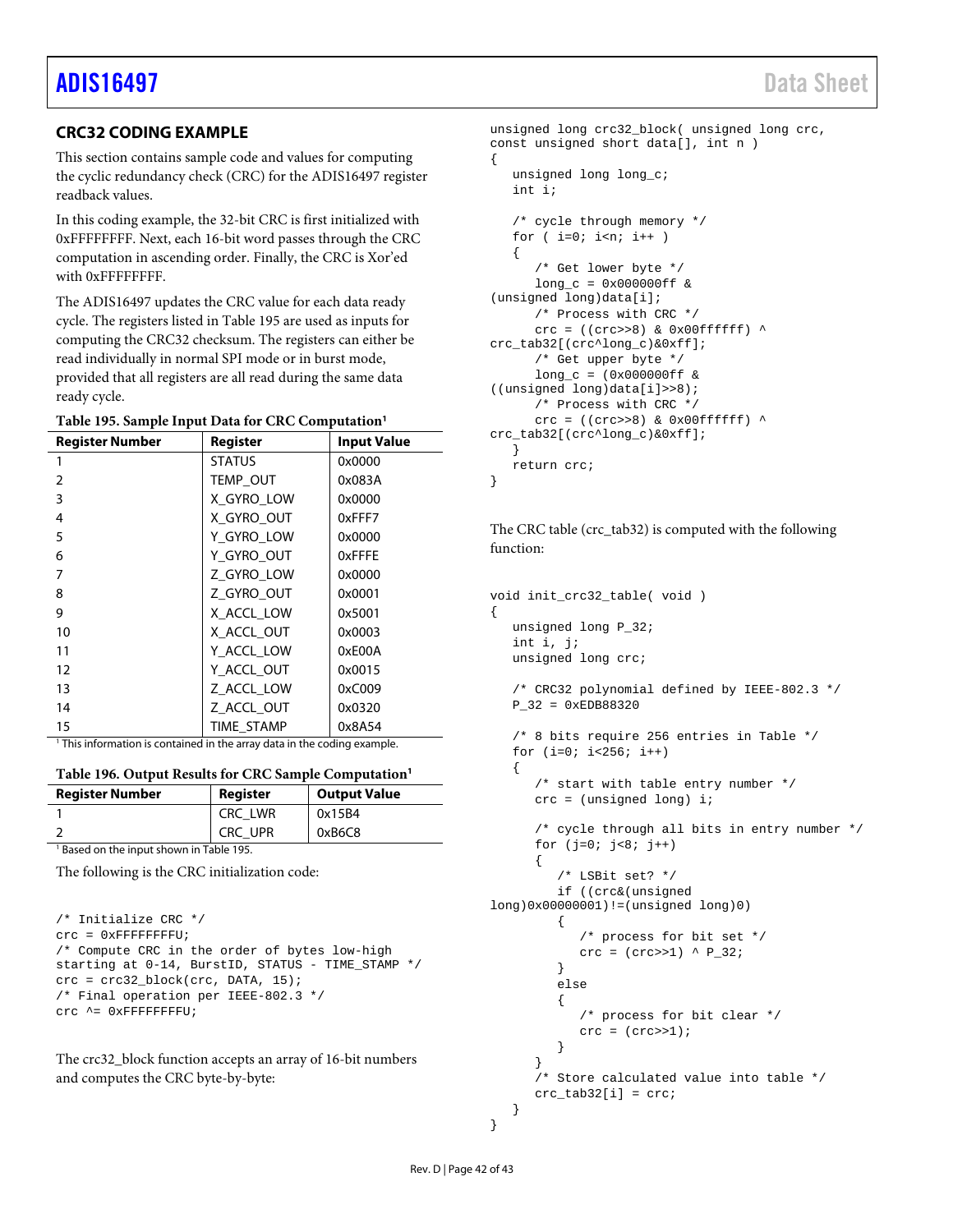## <span id="page-41-0"></span>**CRC32 CODING EXAMPLE**

This section contains sample code and values for computing the cyclic redundancy check (CRC) for the ADIS16497 register readback values.

In this coding example, the 32-bit CRC is first initialized with 0xFFFFFFFF. Next, each 16-bit word passes through the CRC computation in ascending order. Finally, the CRC is Xor'ed with 0xFFFFFFFFF.

The ADIS16497 updates the CRC value for each data ready cycle. The registers listed in [Table 195](#page-41-1) are used as inputs for computing the CRC32 checksum. The registers can either be read individually in normal SPI mode or in burst mode, provided that all registers are all read during the same data ready cycle.

<span id="page-41-1"></span>

| <b>Register Number</b>                                                              | Register      | <b>Input Value</b> |  |  |
|-------------------------------------------------------------------------------------|---------------|--------------------|--|--|
|                                                                                     | <b>STATUS</b> | 0x0000             |  |  |
| $\overline{2}$                                                                      | TEMP_OUT      | 0x083A             |  |  |
| 3                                                                                   | X_GYRO_LOW    | 0x0000             |  |  |
| 4                                                                                   | X GYRO OUT    | 0xFFF7             |  |  |
| 5                                                                                   | Y_GYRO_LOW    | 0x0000             |  |  |
| 6                                                                                   | Y_GYRO_OUT    | 0xFFFE             |  |  |
| 7                                                                                   | Z_GYRO_LOW    | 0x0000             |  |  |
| 8                                                                                   | Z GYRO OUT    | 0x0001             |  |  |
| 9                                                                                   | X ACCL LOW    | 0x5001             |  |  |
| 10                                                                                  | X_ACCL_OUT    | 0x0003             |  |  |
| 11                                                                                  | Y_ACCL_LOW    | 0xE00A             |  |  |
| 12                                                                                  | Y_ACCL_OUT    | 0x0015             |  |  |
| 13                                                                                  | Z ACCL LOW    | 0xC009             |  |  |
| 14                                                                                  | Z ACCL OUT    | 0x0320             |  |  |
| 15                                                                                  | TIME STAMP    | 0x8A54             |  |  |
| <sup>1</sup> This information is contained in the array data in the coding example. |               |                    |  |  |

|  |  | Table 196. Output Results for CRC Sample Computation <sup>1</sup> |  |  |  |
|--|--|-------------------------------------------------------------------|--|--|--|
|--|--|-------------------------------------------------------------------|--|--|--|

| <b>Register Number</b>                              | Register | <b>Output Value</b> |  |  |  |
|-----------------------------------------------------|----------|---------------------|--|--|--|
|                                                     | CRC LWR  | 0x15B4              |  |  |  |
|                                                     | CRC UPR  | 0xB6C8              |  |  |  |
| <sup>1</sup> Based on the input shown in Table 195. |          |                     |  |  |  |

The following is the CRC initialization code:

```
/* Initialize CRC */ 
\text{crc} = 0 \text{xFFFFFFFF}/* Compute CRC in the order of bytes low-high 
starting at 0-14, BurstID, STATUS - TIME_STAMP */ 
crc = crc32_block(crc, DATA, 15); 
/* Final operation per IEEE-802.3 */ 
crc ^= 0xFFFFFFFFU;
```
The crc32\_block function accepts an array of 16-bit numbers and computes the CRC byte-by-byte:

```
unsigned long crc32_block( unsigned long crc, 
const unsigned short data[], int n ) 
{ 
    unsigned long long_c; 
    int i; 
    /* cycle through memory */ 
   for (i=0; i<n; i++)\mathcal{A} /* Get lower byte */ 
      long_c = 0x000000ff &
(unsigned long)data[i]; 
       /* Process with CRC */ 
      crc = ((crc>>8) & 0x00ffffff) ^
crc_tab32[(crc^long_c)&0xff]; 
       /* Get upper byte */ 
      long_c = (0x000000ff \&((unsigned long)data[i]>>8); 
       /* Process with CRC */ 
      crc = ((crc>>8) & 0x00ffffff) ^
crc_tab32[(crc^long_c)&0xff]; 
    } 
    return crc; 
}
```
The CRC table (crc\_tab32) is computed with the following function:

```
void init_crc32_table( void ) 
{ 
    unsigned long P_32; 
    int i, j; 
    unsigned long crc; 
    /* CRC32 polynomial defined by IEEE-802.3 */ 
    P_32 = 0xEDB88320 
    /* 8 bits require 256 entries in Table */ 
   for (i=0; i<256; i++) { 
        /* start with table entry number */ 
       crc = (unsigned long) i; 
        /* cycle through all bits in entry number */ 
       for (j=0; j<8; j++) 
       { 
           /* LSBit set? */ 
          if ((crc&(unsigned 
long)0x00000001)!=(unsigned long)0) 
           { 
              /* process for bit set */ 
             crc = (crc>>1) ^ P_32;
           } 
           else 
\{ /* process for bit clear */ 
             \text{crc} = (\text{crc}>>1); } 
\qquad \qquad \} /* Store calculated value into table */ 
      \text{crc\_tab32}[i] = \text{crc}; }
```
}